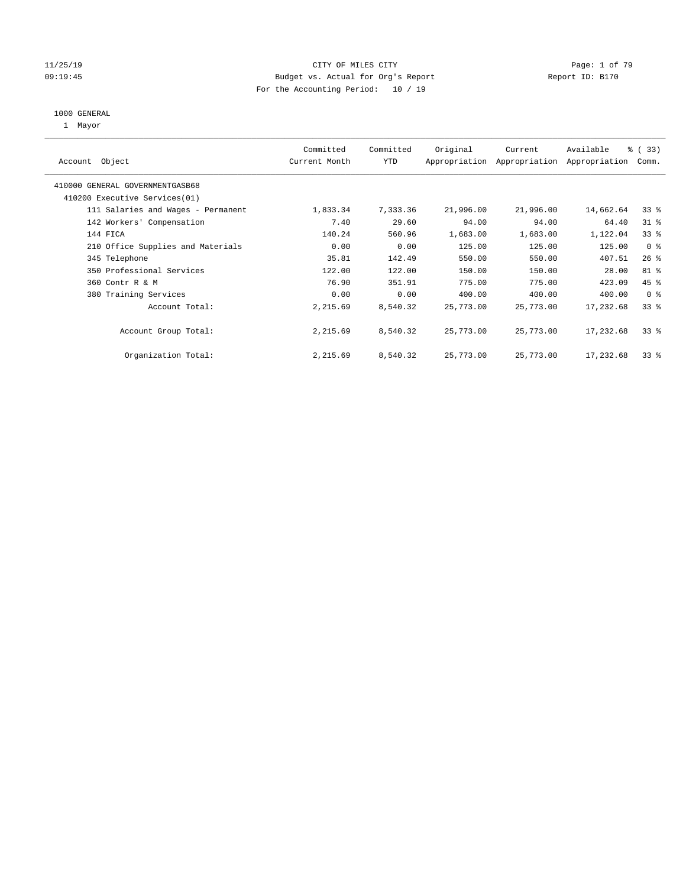#### 11/25/19 **CITY OF MILES CITY CITY CITY Page: 1 of 79** 09:19:45 Budget vs. Actual for Org's Report Communication Chemical Report ID: B170 For the Accounting Period: 10 / 19

#### 1000 GENERAL

1 Mayor

| Object<br>Account                  | Committed<br>Current Month | Committed<br><b>YTD</b> | Original  | Current<br>Appropriation Appropriation | Available<br>Appropriation | % (33)<br>Comm. |
|------------------------------------|----------------------------|-------------------------|-----------|----------------------------------------|----------------------------|-----------------|
| 410000 GENERAL GOVERNMENTGASB68    |                            |                         |           |                                        |                            |                 |
| 410200 Executive Services (01)     |                            |                         |           |                                        |                            |                 |
| 111 Salaries and Wages - Permanent | 1,833.34                   | 7,333.36                | 21,996.00 | 21,996.00                              | 14,662.64                  | 33 <sup>8</sup> |
| 142 Workers' Compensation          | 7.40                       | 29.60                   | 94.00     | 94.00                                  | 64.40                      | $31$ %          |
| 144 FICA                           | 140.24                     | 560.96                  | 1,683.00  | 1,683.00                               | 1,122.04                   | 33 <sup>8</sup> |
| 210 Office Supplies and Materials  | 0.00                       | 0.00                    | 125.00    | 125.00                                 | 125.00                     | 0 <sup>8</sup>  |
| 345 Telephone                      | 35.81                      | 142.49                  | 550.00    | 550.00                                 | 407.51                     | $26$ %          |
| 350 Professional Services          | 122.00                     | 122.00                  | 150.00    | 150.00                                 | 28.00                      | 81 %            |
| 360 Contr R & M                    | 76.90                      | 351.91                  | 775.00    | 775.00                                 | 423.09                     | 45 %            |
| 380 Training Services              | 0.00                       | 0.00                    | 400.00    | 400.00                                 | 400.00                     | 0 <sup>8</sup>  |
| Account Total:                     | 2,215.69                   | 8,540.32                | 25,773.00 | 25,773.00                              | 17,232.68                  | 33 <sup>8</sup> |
| Account Group Total:               | 2,215.69                   | 8,540.32                | 25,773.00 | 25,773.00                              | 17,232.68                  | 33 <sup>8</sup> |
| Organization Total:                | 2,215.69                   | 8,540.32                | 25,773.00 | 25,773.00                              | 17,232.68                  | 33 <sup>8</sup> |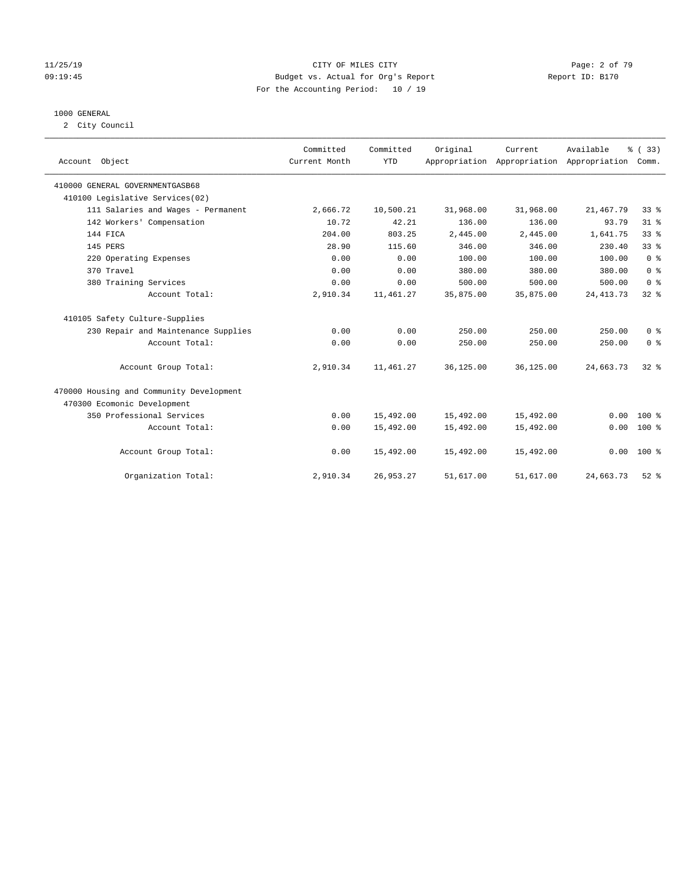#### 11/25/19 CITY OF MILES CITY Page: 2 of 79 09:19:45 Budget vs. Actual for Org's Report Changer Report ID: B170 For the Accounting Period: 10 / 19

#### 1000 GENERAL

2 City Council

|                                          | Committed     | Committed  | Original  | Current                                   | Available   | % (33)          |
|------------------------------------------|---------------|------------|-----------|-------------------------------------------|-------------|-----------------|
| Account Object                           | Current Month | <b>YTD</b> |           | Appropriation Appropriation Appropriation |             | Comm.           |
| 410000 GENERAL GOVERNMENTGASB68          |               |            |           |                                           |             |                 |
| 410100 Legislative Services(02)          |               |            |           |                                           |             |                 |
| 111 Salaries and Wages - Permanent       | 2,666.72      | 10,500.21  | 31,968.00 | 31,968.00                                 | 21, 467.79  | 33 <sup>8</sup> |
| 142 Workers' Compensation                | 10.72         | 42.21      | 136.00    | 136.00                                    | 93.79       | $31$ %          |
| 144 FICA                                 | 204.00        | 803.25     | 2,445.00  | 2,445.00                                  | 1,641.75    | 33 <sup>8</sup> |
| 145 PERS                                 | 28.90         | 115.60     | 346.00    | 346.00                                    | 230.40      | 33%             |
| 220 Operating Expenses                   | 0.00          | 0.00       | 100.00    | 100.00                                    | 100.00      | 0 <sup>8</sup>  |
| 370 Travel                               | 0.00          | 0.00       | 380.00    | 380.00                                    | 380.00      | 0 <sup>8</sup>  |
| 380 Training Services                    | 0.00          | 0.00       | 500.00    | 500.00                                    | 500.00      | 0 <sup>8</sup>  |
| Account Total:                           | 2,910.34      | 11,461.27  | 35,875.00 | 35,875.00                                 | 24, 413. 73 | 32%             |
| 410105 Safety Culture-Supplies           |               |            |           |                                           |             |                 |
| 230 Repair and Maintenance Supplies      | 0.00          | 0.00       | 250.00    | 250.00                                    | 250.00      | 0 <sup>8</sup>  |
| Account Total:                           | 0.00          | 0.00       | 250.00    | 250.00                                    | 250.00      | 0 <sup>8</sup>  |
| Account Group Total:                     | 2,910.34      | 11,461.27  | 36,125.00 | 36,125.00                                 | 24,663.73   | $32*$           |
| 470000 Housing and Community Development |               |            |           |                                           |             |                 |
| 470300 Ecomonic Development              |               |            |           |                                           |             |                 |
| 350 Professional Services                | 0.00          | 15,492.00  | 15,492.00 | 15,492.00                                 | 0.00        | $100*$          |
| Account Total:                           | 0.00          | 15,492.00  | 15,492.00 | 15,492.00                                 | 0.00        | $100*$          |
| Account Group Total:                     | 0.00          | 15,492.00  | 15,492.00 | 15,492.00                                 | 0.00        | $100*$          |
| Organization Total:                      | 2,910.34      | 26,953.27  | 51,617.00 | 51,617.00                                 | 24,663.73   | $52$ $%$        |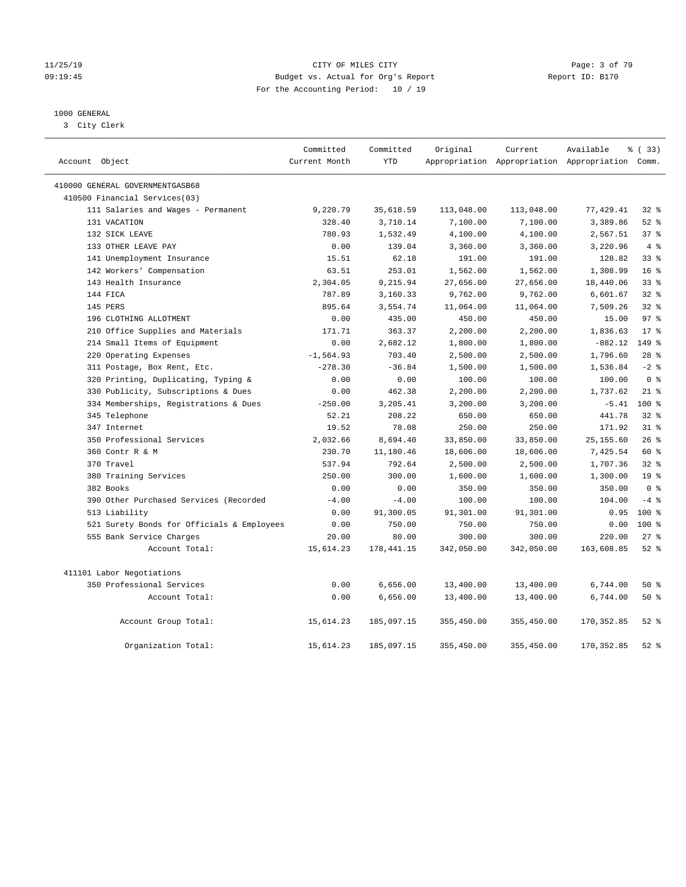#### 11/25/19 CITY OF MILES CITY Page: 3 of 79 09:19:45 Budget vs. Actual for Org's Report Changer Report ID: B170 For the Accounting Period: 10 / 19

### 1000 GENERAL

3 City Clerk

| Account Object                             | Committed<br>Current Month | Committed<br><b>YTD</b> | Original   | Current    | Available<br>Appropriation Appropriation Appropriation Comm. | % (33)          |
|--------------------------------------------|----------------------------|-------------------------|------------|------------|--------------------------------------------------------------|-----------------|
| 410000 GENERAL GOVERNMENTGASB68            |                            |                         |            |            |                                                              |                 |
| 410500 Financial Services(03)              |                            |                         |            |            |                                                              |                 |
| 111 Salaries and Wages - Permanent         | 9,220.79                   | 35,618.59               | 113,048.00 | 113,048.00 | 77,429.41                                                    | 32%             |
| 131 VACATION                               | 328.40                     | 3,710.14                | 7,100.00   | 7,100.00   | 3,389.86                                                     | $52$ $%$        |
| 132 SICK LEAVE                             | 780.93                     | 1,532.49                | 4,100.00   | 4,100.00   | 2,567.51                                                     | 37 <sup>8</sup> |
| 133 OTHER LEAVE PAY                        | 0.00                       | 139.04                  | 3,360.00   | 3,360.00   | 3,220.96                                                     | 4%              |
| 141 Unemployment Insurance                 | 15.51                      | 62.18                   | 191.00     | 191.00     | 128.82                                                       | 33 <sup>8</sup> |
| 142 Workers' Compensation                  | 63.51                      | 253.01                  | 1,562.00   | 1,562.00   | 1,308.99                                                     | 16 <sup>°</sup> |
| 143 Health Insurance                       | 2,304.05                   | 9,215.94                | 27,656.00  | 27,656.00  | 18,440.06                                                    | 338             |
| 144 FICA                                   | 787.89                     | 3,160.33                | 9,762.00   | 9,762.00   | 6,601.67                                                     | 32%             |
| 145 PERS                                   | 895.64                     | 3,554.74                | 11,064.00  | 11,064.00  | 7,509.26                                                     | $32$ $%$        |
| 196 CLOTHING ALLOTMENT                     | 0.00                       | 435.00                  | 450.00     | 450.00     | 15.00                                                        | 97 <sub>8</sub> |
| 210 Office Supplies and Materials          | 171.71                     | 363.37                  | 2,200.00   | 2,200.00   | 1,836.63                                                     | $17*$           |
| 214 Small Items of Equipment               | 0.00                       | 2,682.12                | 1,800.00   | 1,800.00   | $-882.12$                                                    | 149 %           |
| 220 Operating Expenses                     | $-1, 564.93$               | 703.40                  | 2,500.00   | 2,500.00   | 1,796.60                                                     | $28$ %          |
| 311 Postage, Box Rent, Etc.                | $-278.30$                  | $-36.84$                | 1,500.00   | 1,500.00   | 1,536.84                                                     | $-2$ $%$        |
| 320 Printing, Duplicating, Typing &        | 0.00                       | 0.00                    | 100.00     | 100.00     | 100.00                                                       | 0 <sup>8</sup>  |
| 330 Publicity, Subscriptions & Dues        | 0.00                       | 462.38                  | 2,200.00   | 2,200.00   | 1,737.62                                                     | $21$ %          |
| 334 Memberships, Registrations & Dues      | $-250.00$                  | 3,205.41                | 3,200.00   | 3,200.00   | $-5.41$                                                      | $100*$          |
| 345 Telephone                              | 52.21                      | 208.22                  | 650.00     | 650.00     | 441.78                                                       | 32%             |
| 347 Internet                               | 19.52                      | 78.08                   | 250.00     | 250.00     | 171.92                                                       | $31$ %          |
| 350 Professional Services                  | 2,032.66                   | 8,694.40                | 33,850.00  | 33,850.00  | 25, 155.60                                                   | 26%             |
| 360 Contr R & M                            | 230.70                     | 11,180.46               | 18,606.00  | 18,606.00  | 7,425.54                                                     | 60 %            |
| 370 Travel                                 | 537.94                     | 792.64                  | 2,500.00   | 2,500.00   | 1,707.36                                                     | 32%             |
| 380 Training Services                      | 250.00                     | 300.00                  | 1,600.00   | 1,600.00   | 1,300.00                                                     | 19 <sup>°</sup> |
| 382 Books                                  | 0.00                       | 0.00                    | 350.00     | 350.00     | 350.00                                                       | 0 <sup>8</sup>  |
| 390 Other Purchased Services (Recorded     | $-4.00$                    | $-4.00$                 | 100.00     | 100.00     | 104.00                                                       | $-4$ %          |
| 513 Liability                              | 0.00                       | 91,300.05               | 91,301.00  | 91,301.00  | 0.95                                                         | $100*$          |
| 521 Surety Bonds for Officials & Employees | 0.00                       | 750.00                  | 750.00     | 750.00     | 0.00                                                         | $100*$          |
| 555 Bank Service Charges                   | 20.00                      | 80.00                   | 300.00     | 300.00     | 220.00                                                       | $27$ %          |
| Account Total:                             | 15,614.23                  | 178, 441.15             | 342,050.00 | 342,050.00 | 163,608.85                                                   | $52$ $%$        |
| 411101 Labor Negotiations                  |                            |                         |            |            |                                                              |                 |
| 350 Professional Services                  | 0.00                       | 6,656.00                | 13,400.00  | 13,400.00  | 6,744.00                                                     | 50 %            |
| Account Total:                             | 0.00                       | 6,656.00                | 13,400.00  | 13,400.00  | 6,744.00                                                     | 50%             |
| Account Group Total:                       | 15,614.23                  | 185,097.15              | 355,450.00 | 355,450.00 | 170, 352.85                                                  | $52$ $%$        |
| Organization Total:                        | 15,614.23                  | 185,097.15              | 355,450.00 | 355,450.00 | 170, 352.85                                                  | $52$ $%$        |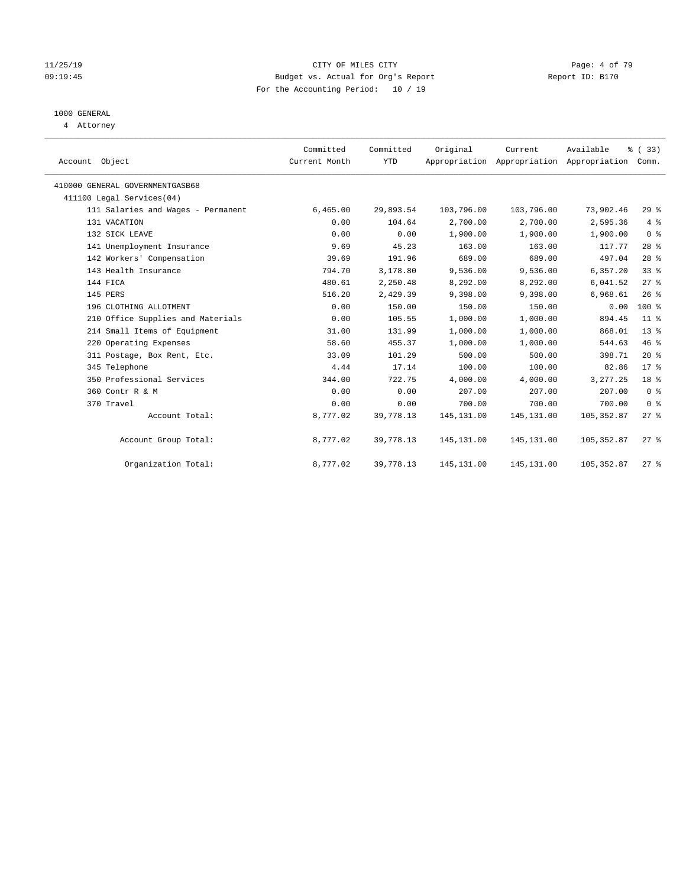#### 11/25/19 Page: 4 of 79 09:19:45 Budget vs. Actual for Org's Report Communication Chemical Report ID: B170 For the Accounting Period: 10 / 19

## 1000 GENERAL

4 Attorney

| Account Object |                                    | Committed<br>Current Month | Committed<br><b>YTD</b> | Original    | Current<br>Appropriation Appropriation Appropriation | Available   | % (33)<br>Comm. |  |
|----------------|------------------------------------|----------------------------|-------------------------|-------------|------------------------------------------------------|-------------|-----------------|--|
|                | 410000 GENERAL GOVERNMENTGASB68    |                            |                         |             |                                                      |             |                 |  |
|                | 411100 Legal Services(04)          |                            |                         |             |                                                      |             |                 |  |
|                | 111 Salaries and Wages - Permanent | 6,465.00                   | 29,893.54               | 103,796.00  | 103,796.00                                           | 73,902.46   | 29%             |  |
|                | 131 VACATION                       | 0.00                       | 104.64                  | 2,700.00    | 2,700.00                                             | 2,595.36    | 4%              |  |
|                | 132 SICK LEAVE                     | 0.00                       | 0.00                    | 1,900.00    | 1,900.00                                             | 1,900.00    | 0 <sup>8</sup>  |  |
|                | 141 Unemployment Insurance         | 9.69                       | 45.23                   | 163.00      | 163.00                                               | 117.77      | $28$ %          |  |
|                | 142 Workers' Compensation          | 39.69                      | 191.96                  | 689.00      | 689.00                                               | 497.04      | $28$ %          |  |
|                | 143 Health Insurance               | 794.70                     | 3,178.80                | 9,536.00    | 9,536.00                                             | 6,357.20    | 33 <sup>8</sup> |  |
|                | 144 FICA                           | 480.61                     | 2,250.48                | 8,292.00    | 8,292.00                                             | 6,041.52    | 27%             |  |
|                | 145 PERS                           | 516.20                     | 2,429.39                | 9,398.00    | 9,398.00                                             | 6,968.61    | 26%             |  |
|                | 196 CLOTHING ALLOTMENT             | 0.00                       | 150.00                  | 150.00      | 150.00                                               | 0.00        | 100 %           |  |
|                | 210 Office Supplies and Materials  | 0.00                       | 105.55                  | 1,000.00    | 1,000.00                                             | 894.45      | $11$ %          |  |
|                | 214 Small Items of Equipment       | 31.00                      | 131.99                  | 1,000.00    | 1,000.00                                             | 868.01      | $13*$           |  |
|                | 220 Operating Expenses             | 58.60                      | 455.37                  | 1,000.00    | 1,000.00                                             | 544.63      | 46%             |  |
|                | 311 Postage, Box Rent, Etc.        | 33.09                      | 101.29                  | 500.00      | 500.00                                               | 398.71      | $20*$           |  |
|                | 345 Telephone                      | 4.44                       | 17.14                   | 100.00      | 100.00                                               | 82.86       | $17*$           |  |
|                | 350 Professional Services          | 344.00                     | 722.75                  | 4,000.00    | 4,000.00                                             | 3, 277.25   | 18 %            |  |
|                | 360 Contr R & M                    | 0.00                       | 0.00                    | 207.00      | 207.00                                               | 207.00      | 0 <sup>8</sup>  |  |
|                | 370 Travel                         | 0.00                       | 0.00                    | 700.00      | 700.00                                               | 700.00      | 0 <sup>8</sup>  |  |
|                | Account Total:                     | 8,777.02                   | 39,778.13               | 145, 131.00 | 145, 131.00                                          | 105, 352.87 | $27$ %          |  |
|                | Account Group Total:               | 8,777.02                   | 39,778.13               | 145, 131.00 | 145, 131.00                                          | 105, 352.87 | $27$ %          |  |
|                | Organization Total:                | 8,777.02                   | 39,778.13               | 145,131.00  | 145,131.00                                           | 105, 352.87 | $27$ %          |  |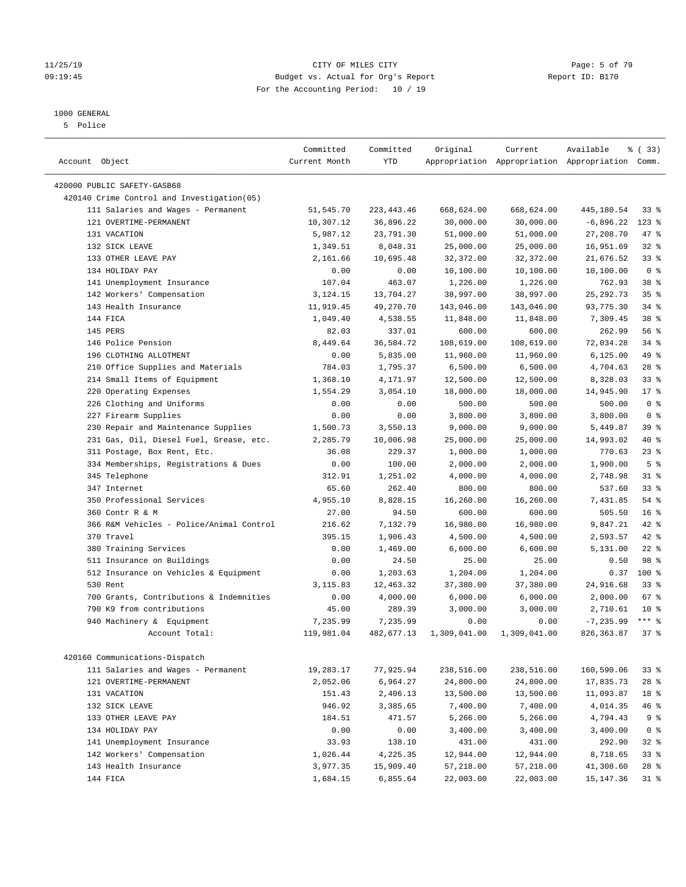#### 11/25/19 **CITY OF MILES CITY CITY CITY CITY Page: 5 of 79** 09:19:45 Budget vs. Actual for Org's Report Report ID: B170 For the Accounting Period: 10 / 19

————————————————————————————————————————————————————————————————————————————————————————————————————————————————————————————————————

### 1000 GENERAL

5 Police

| Account Object                                                            | Committed<br>Current Month | Committed<br>YTD | Original     | Current      | Available<br>Appropriation Appropriation Appropriation Comm. | % ( 33)         |
|---------------------------------------------------------------------------|----------------------------|------------------|--------------|--------------|--------------------------------------------------------------|-----------------|
|                                                                           |                            |                  |              |              |                                                              |                 |
| 420000 PUBLIC SAFETY-GASB68<br>420140 Crime Control and Investigation(05) |                            |                  |              |              |                                                              |                 |
|                                                                           | 51,545.70                  | 223, 443. 46     | 668,624.00   | 668,624.00   | 445,180.54                                                   | 33%             |
| 111 Salaries and Wages - Permanent<br>121 OVERTIME-PERMANENT              | 10,307.12                  | 36,896.22        | 30,000.00    | 30,000.00    | $-6,896.22$                                                  | $123$ %         |
| 131 VACATION                                                              | 5,987.12                   | 23,791.30        | 51,000.00    | 51,000.00    | 27,208.70                                                    | 47 %            |
| 132 SICK LEAVE                                                            | 1,349.51                   | 8,048.31         | 25,000.00    | 25,000.00    | 16,951.69                                                    | $32$ $%$        |
| 133 OTHER LEAVE PAY                                                       | 2,161.66                   | 10,695.48        | 32,372.00    | 32,372.00    | 21,676.52                                                    | 33 <sup>8</sup> |
| 134 HOLIDAY PAY                                                           | 0.00                       | 0.00             | 10,100.00    | 10,100.00    | 10,100.00                                                    | 0 <sup>8</sup>  |
| 141 Unemployment Insurance                                                | 107.04                     | 463.07           | 1,226.00     | 1,226.00     | 762.93                                                       | 38 %            |
| 142 Workers' Compensation                                                 | 3,124.15                   | 13,704.27        | 38,997.00    | 38,997.00    | 25, 292. 73                                                  | 35%             |
| 143 Health Insurance                                                      | 11,919.45                  | 49,270.70        | 143,046.00   | 143,046.00   | 93,775.30                                                    | 34%             |
| 144 FICA                                                                  | 1,049.40                   | 4,538.55         | 11,848.00    | 11,848.00    | 7,309.45                                                     | 38 %            |
| 145 PERS                                                                  | 82.03                      | 337.01           | 600.00       | 600.00       | 262.99                                                       | 56%             |
| 146 Police Pension                                                        | 8,449.64                   | 36,584.72        | 108,619.00   | 108,619.00   | 72,034.28                                                    | $34$ $%$        |
| 196 CLOTHING ALLOTMENT                                                    | 0.00                       | 5,835.00         | 11,960.00    | 11,960.00    | 6, 125.00                                                    | 49 %            |
| 210 Office Supplies and Materials                                         | 784.03                     | 1,795.37         | 6,500.00     | 6,500.00     | 4,704.63                                                     | $28$ %          |
| 214 Small Items of Equipment                                              | 1,368.10                   | 4,171.97         | 12,500.00    | 12,500.00    | 8,328.03                                                     | 33%             |
| 220 Operating Expenses                                                    | 1,554.29                   | 3,054.10         | 18,000.00    | 18,000.00    | 14,945.90                                                    | $17*$           |
| 226 Clothing and Uniforms                                                 | 0.00                       | 0.00             | 500.00       | 500.00       | 500.00                                                       | 0 <sup>8</sup>  |
| 227 Firearm Supplies                                                      | 0.00                       | 0.00             | 3,800.00     | 3,800.00     | 3,800.00                                                     | 0 <sup>8</sup>  |
| 230 Repair and Maintenance Supplies                                       | 1,500.73                   | 3,550.13         | 9,000.00     | 9,000.00     | 5,449.87                                                     | 39 %            |
| 231 Gas, Oil, Diesel Fuel, Grease, etc.                                   | 2,285.79                   | 10,006.98        | 25,000.00    | 25,000.00    | 14,993.02                                                    | 40 %            |
| 311 Postage, Box Rent, Etc.                                               | 36.08                      | 229.37           | 1,000.00     | 1,000.00     | 770.63                                                       | $23$ $%$        |
| 334 Memberships, Registrations & Dues                                     | 0.00                       | 100.00           | 2,000.00     | 2,000.00     | 1,900.00                                                     | 5 <sup>°</sup>  |
| 345 Telephone                                                             | 312.91                     | 1,251.02         | 4,000.00     | 4,000.00     | 2,748.98                                                     | $31$ %          |
| 347 Internet                                                              | 65.60                      | 262.40           | 800.00       | 800.00       | 537.60                                                       | 33%             |
| 350 Professional Services                                                 | 4,955.10                   | 8,828.15         | 16,260.00    | 16,260.00    | 7,431.85                                                     | 54 %            |
| 360 Contr R & M                                                           | 27.00                      | 94.50            | 600.00       | 600.00       | 505.50                                                       | 16 <sup>°</sup> |
| 366 R&M Vehicles - Police/Animal Control                                  | 216.62                     | 7,132.79         | 16,980.00    | 16,980.00    | 9,847.21                                                     | 42 %            |
| 370 Travel                                                                | 395.15                     | 1,906.43         | 4,500.00     | 4,500.00     | 2,593.57                                                     | 42 %            |
| 380 Training Services                                                     | 0.00                       | 1,469.00         | 6,600.00     | 6,600.00     | 5,131.00                                                     | $22$ %          |
| 511 Insurance on Buildings                                                | 0.00                       | 24.50            | 25.00        | 25.00        | 0.50                                                         | 98 %            |
| 512 Insurance on Vehicles & Equipment                                     | 0.00                       | 1,203.63         | 1,204.00     | 1,204.00     | 0.37                                                         | $100*$          |
| 530 Rent                                                                  | 3,115.83                   | 12,463.32        | 37,380.00    | 37,380.00    | 24,916.68                                                    | $33$ $%$        |
| 700 Grants, Contributions & Indemnities                                   | 0.00                       | 4,000.00         | 6,000.00     | 6,000.00     | 2,000.00                                                     | 67%             |
| 790 K9 from contributions                                                 | 45.00                      | 289.39           | 3,000.00     | 3,000.00     | 2,710.61                                                     | $10*$           |
| 940 Machinery & Equipment                                                 | 7,235.99                   | 7,235.99         | 0.00         | 0.00         | $-7, 235.99$                                                 | $***$ $%$       |
| Account Total:                                                            | 119,981.04                 | 482,677.13       | 1,309,041.00 | 1,309,041.00 | 826, 363.87                                                  | 37%             |
|                                                                           |                            |                  |              |              |                                                              |                 |
| 420160 Communications-Dispatch                                            |                            |                  |              |              |                                                              |                 |
| 111 Salaries and Wages - Permanent                                        | 19,283.17                  | 77,925.94        | 238,516.00   | 238,516.00   | 160,590.06                                                   | 33%             |
| 121 OVERTIME-PERMANENT                                                    | 2,052.06                   | 6,964.27         | 24,800.00    | 24,800.00    | 17,835.73                                                    | $28$ %          |
| 131 VACATION                                                              | 151.43                     | 2,406.13         | 13,500.00    | 13,500.00    | 11,093.87                                                    | 18 %            |
| 132 SICK LEAVE                                                            | 946.92                     | 3,385.65         | 7,400.00     | 7,400.00     | 4,014.35                                                     | 46 %            |
| 133 OTHER LEAVE PAY                                                       | 184.51                     | 471.57           | 5,266.00     | 5,266.00     | 4,794.43                                                     | 9%              |
| 134 HOLIDAY PAY                                                           | 0.00                       | 0.00             | 3,400.00     | 3,400.00     | 3,400.00                                                     | 0 <sup>8</sup>  |
| 141 Unemployment Insurance                                                | 33.93                      | 138.10           | 431.00       | 431.00       | 292.90                                                       | $32$ $%$        |
| 142 Workers' Compensation                                                 | 1,026.44                   | 4,225.35         | 12,944.00    | 12,944.00    | 8,718.65                                                     | 33%             |
| 143 Health Insurance                                                      | 3,977.35                   | 15,909.40        | 57,218.00    | 57,218.00    | 41,308.60                                                    | $28$ %          |
| 144 FICA                                                                  | 1,684.15                   | 6,855.64         | 22,003.00    | 22,003.00    | 15,147.36                                                    | 31 %            |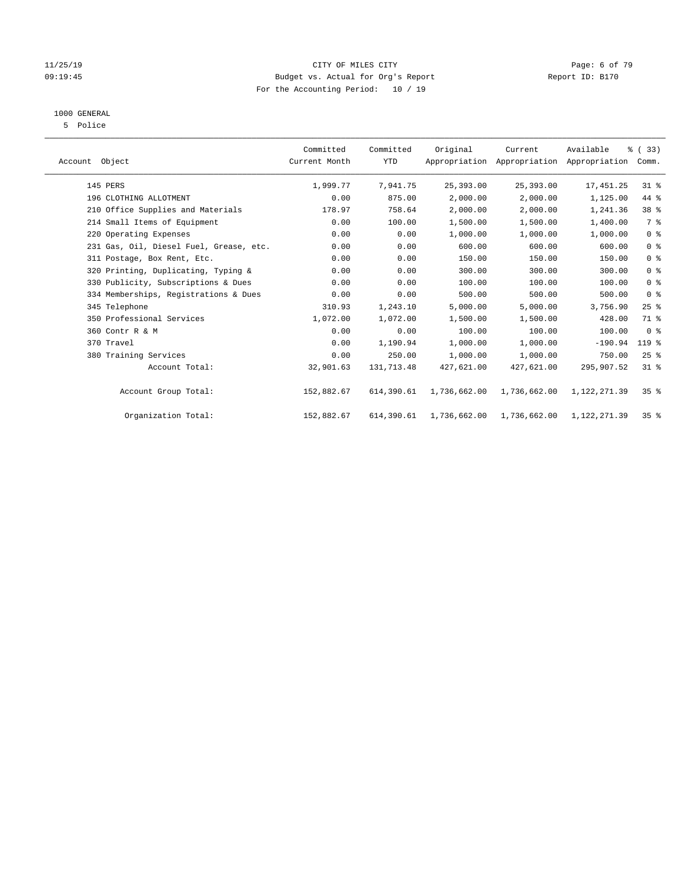#### 11/25/19 **CITY OF MILES CITY CITY CITY Page: 6 of 79** 09:19:45 Budget vs. Actual for Org's Report Report ID: B170 For the Accounting Period: 10 / 19

## 1000 GENERAL

5 Police

| Account Object                          | Committed<br>Current Month | Committed<br><b>YTD</b> | Original     | Current<br>Appropriation Appropriation Appropriation | Available    | % (33)<br>Comm. |  |
|-----------------------------------------|----------------------------|-------------------------|--------------|------------------------------------------------------|--------------|-----------------|--|
| 145 PERS                                | 1,999.77                   | 7,941.75                | 25,393.00    | 25,393.00                                            | 17,451.25    | $31$ %          |  |
| 196 CLOTHING ALLOTMENT                  | 0.00                       | 875.00                  | 2,000.00     | 2,000.00                                             | 1,125.00     | 44 %            |  |
| 210 Office Supplies and Materials       | 178.97                     | 758.64                  | 2,000.00     | 2,000.00                                             | 1,241.36     | 38 %            |  |
| 214 Small Items of Equipment            | 0.00                       | 100.00                  | 1,500.00     | 1,500.00                                             | 1,400.00     | 7 %             |  |
| 220 Operating Expenses                  | 0.00                       | 0.00                    | 1,000.00     | 1,000.00                                             | 1,000.00     | 0 <sup>8</sup>  |  |
| 231 Gas, Oil, Diesel Fuel, Grease, etc. | 0.00                       | 0.00                    | 600.00       | 600.00                                               | 600.00       | 0 <sup>8</sup>  |  |
| 311 Postage, Box Rent, Etc.             | 0.00                       | 0.00                    | 150.00       | 150.00                                               | 150.00       | 0 <sup>8</sup>  |  |
| 320 Printing, Duplicating, Typing &     | 0.00                       | 0.00                    | 300.00       | 300.00                                               | 300.00       | 0 <sup>8</sup>  |  |
| 330 Publicity, Subscriptions & Dues     | 0.00                       | 0.00                    | 100.00       | 100.00                                               | 100.00       | 0 <sup>8</sup>  |  |
| 334 Memberships, Registrations & Dues   | 0.00                       | 0.00                    | 500.00       | 500.00                                               | 500.00       | 0 <sup>8</sup>  |  |
| 345 Telephone                           | 310.93                     | 1,243.10                | 5,000.00     | 5,000.00                                             | 3,756.90     | 25%             |  |
| 350 Professional Services               | 1,072.00                   | 1,072.00                | 1,500.00     | 1,500.00                                             | 428.00       | 71 %            |  |
| 360 Contr R & M                         | 0.00                       | 0.00                    | 100.00       | 100.00                                               | 100.00       | 0 <sup>8</sup>  |  |
| 370 Travel                              | 0.00                       | 1,190.94                | 1,000.00     | 1,000.00                                             | $-190.94$    | 119 %           |  |
| 380 Training Services                   | 0.00                       | 250.00                  | 1,000.00     | 1,000.00                                             | 750.00       | 25%             |  |
| Account Total:                          | 32,901.63                  | 131,713.48              | 427,621.00   | 427,621.00                                           | 295,907.52   | $31$ %          |  |
| Account Group Total:                    | 152,882.67                 | 614,390.61              | 1,736,662.00 | 1,736,662.00                                         | 1,122,271.39 | 35 <sup>8</sup> |  |
| Organization Total:                     | 152,882.67                 | 614,390.61              | 1,736,662.00 | 1,736,662.00                                         | 1,122,271.39 | 35 <sup>8</sup> |  |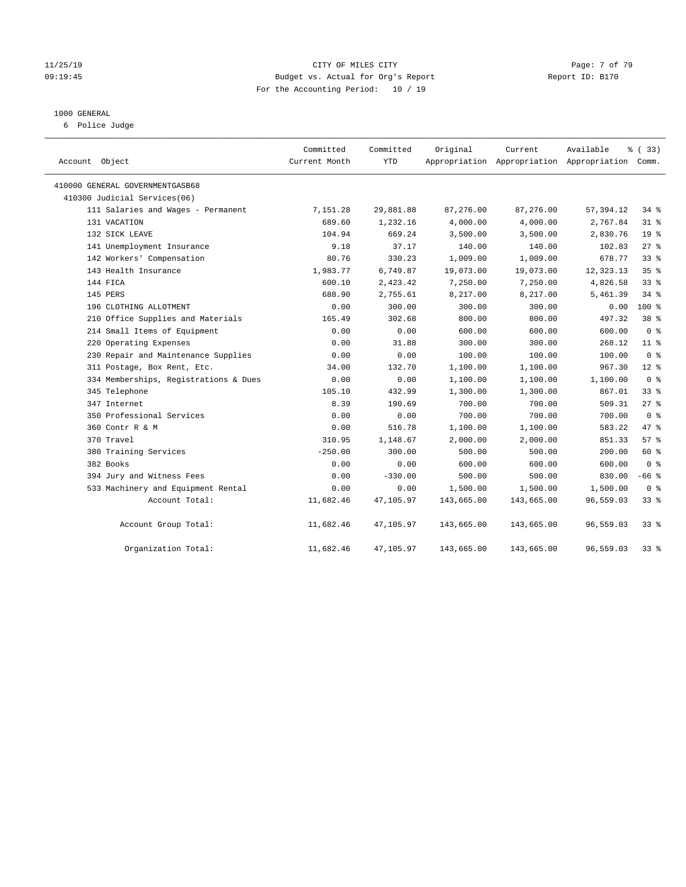#### 11/25/19 CITY OF MILES CITY Page: 7 of 79 09:19:45 Budget vs. Actual for Org's Report Communication of Report ID: B170 For the Accounting Period: 10 / 19

#### 1000 GENERAL

6 Police Judge

| Account Object                        | Committed<br>Current Month | Committed<br>YTD | Original   | Current    | Available<br>Appropriation Appropriation Appropriation Comm. | % (33)          |
|---------------------------------------|----------------------------|------------------|------------|------------|--------------------------------------------------------------|-----------------|
| 410000 GENERAL GOVERNMENTGASB68       |                            |                  |            |            |                                                              |                 |
| 410300 Judicial Services(06)          |                            |                  |            |            |                                                              |                 |
| 111 Salaries and Wages - Permanent    | 7,151.28                   | 29,881.88        | 87,276.00  | 87,276.00  | 57,394.12                                                    | 34.8            |
| 131 VACATION                          | 689.60                     | 1,232.16         | 4,000.00   | 4,000.00   | 2,767.84                                                     | $31$ %          |
| 132 SICK LEAVE                        | 104.94                     | 669.24           | 3,500.00   | 3,500.00   | 2,830.76                                                     | 19 <sup>°</sup> |
| 141 Unemployment Insurance            | 9.18                       | 37.17            | 140.00     | 140.00     | 102.83                                                       | $27$ %          |
| 142 Workers' Compensation             | 80.76                      | 330.23           | 1,009.00   | 1,009.00   | 678.77                                                       | 33%             |
| 143 Health Insurance                  | 1,983.77                   | 6,749.87         | 19,073.00  | 19,073.00  | 12,323.13                                                    | 35%             |
| 144 FICA                              | 600.10                     | 2,423.42         | 7,250.00   | 7,250.00   | 4,826.58                                                     | 33 <sup>8</sup> |
| 145 PERS                              | 688.90                     | 2,755.61         | 8,217.00   | 8,217.00   | 5,461.39                                                     | 34%             |
| 196 CLOTHING ALLOTMENT                | 0.00                       | 300.00           | 300.00     | 300.00     | 0.00                                                         | $100*$          |
| 210 Office Supplies and Materials     | 165.49                     | 302.68           | 800.00     | 800.00     | 497.32                                                       | 38 <sup>8</sup> |
| 214 Small Items of Equipment          | 0.00                       | 0.00             | 600.00     | 600.00     | 600.00                                                       | 0 <sup>8</sup>  |
| 220 Operating Expenses                | 0.00                       | 31.88            | 300.00     | 300.00     | 268.12                                                       | 11 <sup>8</sup> |
| 230 Repair and Maintenance Supplies   | 0.00                       | 0.00             | 100.00     | 100.00     | 100.00                                                       | 0 <sup>8</sup>  |
| 311 Postage, Box Rent, Etc.           | 34.00                      | 132.70           | 1,100.00   | 1,100.00   | 967.30                                                       | $12*$           |
| 334 Memberships, Registrations & Dues | 0.00                       | 0.00             | 1,100.00   | 1,100.00   | 1,100.00                                                     | 0 <sup>8</sup>  |
| 345 Telephone                         | 105.10                     | 432.99           | 1,300.00   | 1,300.00   | 867.01                                                       | 33 <sup>8</sup> |
| 347 Internet                          | 8.39                       | 190.69           | 700.00     | 700.00     | 509.31                                                       | $27$ %          |
| 350 Professional Services             | 0.00                       | 0.00             | 700.00     | 700.00     | 700.00                                                       | 0 <sup>8</sup>  |
| 360 Contr R & M                       | 0.00                       | 516.78           | 1,100.00   | 1,100.00   | 583.22                                                       | 47.8            |
| 370 Travel                            | 310.95                     | 1,148.67         | 2,000.00   | 2,000.00   | 851.33                                                       | 57%             |
| 380 Training Services                 | $-250.00$                  | 300.00           | 500.00     | 500.00     | 200.00                                                       | 60 %            |
| 382 Books                             | 0.00                       | 0.00             | 600.00     | 600.00     | 600.00                                                       | 0 <sup>8</sup>  |
| 394 Jury and Witness Fees             | 0.00                       | $-330.00$        | 500.00     | 500.00     | 830.00                                                       | $-66$ %         |
| 533 Machinery and Equipment Rental    | 0.00                       | 0.00             | 1,500.00   | 1,500.00   | 1,500.00                                                     | 0 <sup>8</sup>  |
| Account Total:                        | 11,682.46                  | 47,105.97        | 143,665.00 | 143,665.00 | 96,559.03                                                    | 33 <sup>8</sup> |
| Account Group Total:                  | 11,682.46                  | 47,105.97        | 143,665.00 | 143,665.00 | 96,559.03                                                    | $33$ $%$        |
| Organization Total:                   | 11,682.46                  | 47,105.97        | 143,665.00 | 143,665.00 | 96,559.03                                                    | $33$ $%$        |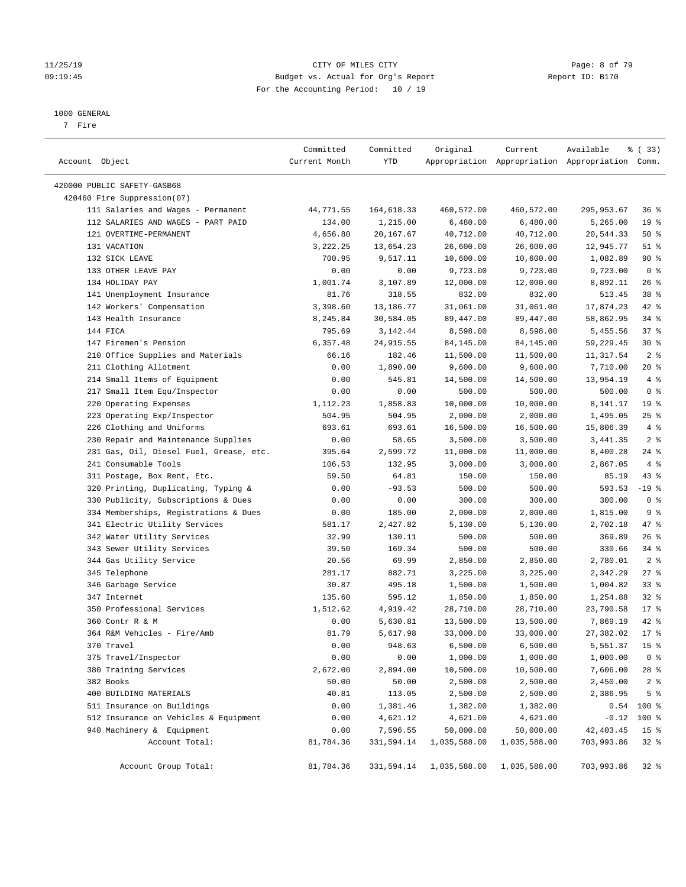#### 11/25/19 CITY OF MILES CITY Page: 8 of 79 09:19:45 Budget vs. Actual for Org's Report Changer Report ID: B170 For the Accounting Period: 10 / 19

#### 1000 GENERAL

7 Fire

| Account Object                          | Committed<br>Current Month | Committed<br>YTD | Original     | Current      | Available<br>Appropriation Appropriation Appropriation Comm. | % (33)          |
|-----------------------------------------|----------------------------|------------------|--------------|--------------|--------------------------------------------------------------|-----------------|
| 420000 PUBLIC SAFETY-GASB68             |                            |                  |              |              |                                                              |                 |
| 420460 Fire Suppression(07)             |                            |                  |              |              |                                                              |                 |
| 111 Salaries and Wages - Permanent      | 44,771.55                  | 164,618.33       | 460,572.00   | 460,572.00   | 295,953.67                                                   | 36%             |
| 112 SALARIES AND WAGES - PART PAID      | 134.00                     | 1,215.00         | 6,480.00     | 6,480.00     | 5,265.00                                                     | 19 <sup>°</sup> |
| 121 OVERTIME-PERMANENT                  | 4,656.80                   | 20,167.67        | 40,712.00    | 40,712.00    | 20,544.33                                                    | 50%             |
| 131 VACATION                            | 3,222.25                   | 13,654.23        | 26,600.00    | 26,600.00    | 12,945.77                                                    | $51$ %          |
| 132 SICK LEAVE                          | 700.95                     | 9,517.11         | 10,600.00    | 10,600.00    | 1,082.89                                                     | 90%             |
| 133 OTHER LEAVE PAY                     | 0.00                       | 0.00             | 9,723.00     | 9,723.00     | 9,723.00                                                     | 0 <sup>8</sup>  |
| 134 HOLIDAY PAY                         | 1,001.74                   | 3,107.89         | 12,000.00    | 12,000.00    | 8,892.11                                                     | 26%             |
| 141 Unemployment Insurance              | 81.76                      | 318.55           | 832.00       | 832.00       | 513.45                                                       | 38 %            |
| 142 Workers' Compensation               | 3,398.60                   | 13,186.77        | 31,061.00    | 31,061.00    | 17,874.23                                                    | 42 %            |
| 143 Health Insurance                    | 8,245.84                   | 30,584.05        | 89,447.00    | 89,447.00    | 58,862.95                                                    | 34%             |
| 144 FICA                                | 795.69                     | 3,142.44         | 8,598.00     | 8,598.00     | 5,455.56                                                     | 37%             |
| 147 Firemen's Pension                   | 6,357.48                   | 24,915.55        | 84,145.00    | 84,145.00    | 59,229.45                                                    | $30*$           |
| 210 Office Supplies and Materials       | 66.16                      | 182.46           | 11,500.00    | 11,500.00    | 11,317.54                                                    | 2 <sup>°</sup>  |
| 211 Clothing Allotment                  | 0.00                       | 1,890.00         | 9,600.00     | 9,600.00     | 7,710.00                                                     | $20*$           |
| 214 Small Items of Equipment            | 0.00                       | 545.81           | 14,500.00    | 14,500.00    | 13,954.19                                                    | $4\degree$      |
| 217 Small Item Equ/Inspector            | 0.00                       | 0.00             | 500.00       | 500.00       | 500.00                                                       | 0 <sup>8</sup>  |
| 220 Operating Expenses                  | 1,112.23                   | 1,858.83         | 10,000.00    | 10,000.00    | 8,141.17                                                     | 19 <sup>°</sup> |
| 223 Operating Exp/Inspector             | 504.95                     | 504.95           | 2,000.00     | 2,000.00     | 1,495.05                                                     | $25$ %          |
| 226 Clothing and Uniforms               | 693.61                     | 693.61           | 16,500.00    | 16,500.00    | 15,806.39                                                    | 4%              |
| 230 Repair and Maintenance Supplies     | 0.00                       | 58.65            | 3,500.00     | 3,500.00     | 3,441.35                                                     | 2 <sup>8</sup>  |
| 231 Gas, Oil, Diesel Fuel, Grease, etc. | 395.64                     | 2,599.72         | 11,000.00    | 11,000.00    | 8,400.28                                                     | $24$ %          |
| 241 Consumable Tools                    | 106.53                     | 132.95           | 3,000.00     | 3,000.00     | 2,867.05                                                     | 4%              |
| 311 Postage, Box Rent, Etc.             | 59.50                      | 64.81            | 150.00       | 150.00       | 85.19                                                        | $43$ %          |
| 320 Printing, Duplicating, Typing &     | 0.00                       | $-93.53$         | 500.00       | 500.00       | 593.53                                                       | $-19$ %         |
| 330 Publicity, Subscriptions & Dues     | 0.00                       | 0.00             | 300.00       | 300.00       | 300.00                                                       | 0 <sup>8</sup>  |
| 334 Memberships, Registrations & Dues   | 0.00                       | 185.00           | 2,000.00     | 2,000.00     | 1,815.00                                                     | 9 <sup>°</sup>  |
| 341 Electric Utility Services           | 581.17                     | 2,427.82         | 5,130.00     | 5,130.00     | 2,702.18                                                     | 47 %            |
| 342 Water Utility Services              | 32.99                      | 130.11           | 500.00       | 500.00       | 369.89                                                       | 26%             |
| 343 Sewer Utility Services              | 39.50                      | 169.34           | 500.00       | 500.00       | 330.66                                                       | $34$ $%$        |
| 344 Gas Utility Service                 | 20.56                      | 69.99            | 2,850.00     | 2,850.00     | 2,780.01                                                     | 2 <sup>8</sup>  |
| 345 Telephone                           | 281.17                     | 882.71           | 3,225.00     | 3,225.00     | 2,342.29                                                     | $27$ %          |
| 346 Garbage Service                     | 30.87                      | 495.18           | 1,500.00     | 1,500.00     | 1,004.82                                                     | 33%             |
| 347 Internet                            | 135.60                     | 595.12           | 1,850.00     | 1,850.00     | 1,254.88                                                     | $32$ $%$        |
| 350 Professional Services               | 1,512.62                   | 4,919.42         | 28,710.00    | 28,710.00    | 23,790.58                                                    | $17*$           |
| 360 Contr R & M                         | 0.00                       | 5,630.81         | 13,500.00    | 13,500.00    | 7,869.19                                                     | 42 %            |
| 364 R&M Vehicles - Fire/Amb             | 81.79                      | 5,617.98         | 33,000.00    | 33,000.00    | 27,382.02                                                    | 17.8            |
| 370 Travel                              | 0.00                       | 948.63           | 6,500.00     | 6,500.00     | 5,551.37                                                     | 15 <sup>°</sup> |
| 375 Travel/Inspector                    | 0.00                       | 0.00             | 1,000.00     | 1,000.00     | 1,000.00                                                     | 0 <sup>8</sup>  |
| 380 Training Services                   | 2,672.00                   | 2,894.00         | 10,500.00    | 10,500.00    | 7,606.00                                                     | 28 %            |
| 382 Books                               | 50.00                      | 50.00            | 2,500.00     | 2,500.00     | 2,450.00                                                     | 2 <sup>°</sup>  |
| 400 BUILDING MATERIALS                  | 40.81                      | 113.05           | 2,500.00     | 2,500.00     | 2,386.95                                                     | 5 <sup>°</sup>  |
| 511 Insurance on Buildings              | 0.00                       | 1,381.46         | 1,382.00     | 1,382.00     |                                                              | $0.54$ 100 %    |
| 512 Insurance on Vehicles & Equipment   | 0.00                       | 4,621.12         | 4,621.00     | 4,621.00     | $-0.12$                                                      | 100 %           |
| 940 Machinery & Equipment               | 0.00                       | 7,596.55         | 50,000.00    | 50,000.00    | 42, 403.45                                                   | 15 <sup>°</sup> |
| Account Total:                          | 81,784.36                  | 331,594.14       | 1,035,588.00 | 1,035,588.00 | 703,993.86                                                   | $32$ $%$        |
| Account Group Total:                    | 81,784.36                  | 331,594.14       | 1,035,588.00 | 1,035,588.00 | 703,993.86                                                   | 32%             |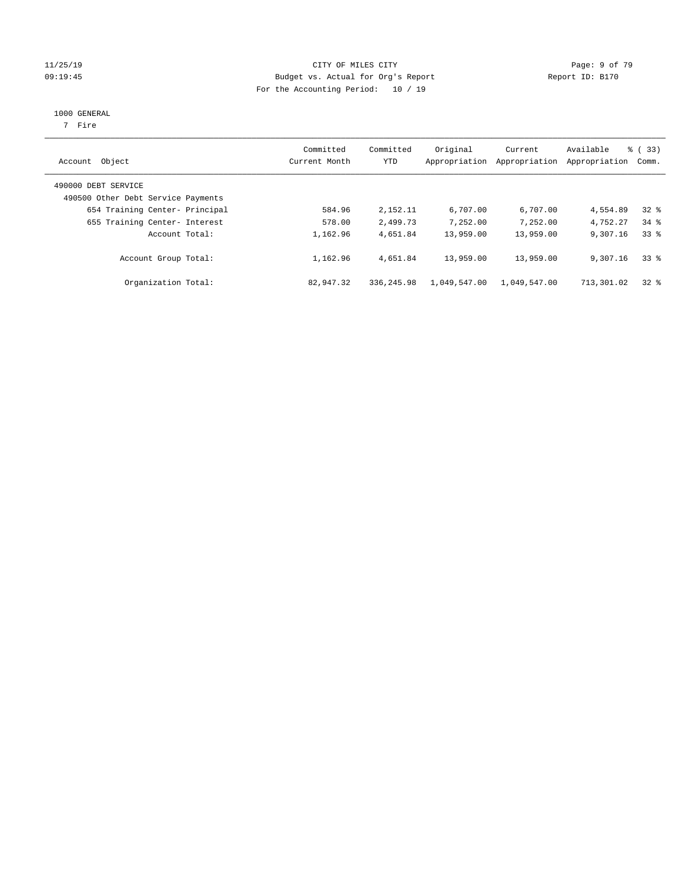#### 11/25/19 Page: 9 of 79 09:19:45 Budget vs. Actual for Org's Report Communication Chemical Report ID: B170 For the Accounting Period: 10 / 19

#### 1000 GENERAL

7 Fire

| Account Object                                            | Committed<br>Current Month | Committed<br><b>YTD</b> | Original<br>Appropriation | Current<br>Appropriation | Available<br>Appropriation | % (33)<br>Comm. |
|-----------------------------------------------------------|----------------------------|-------------------------|---------------------------|--------------------------|----------------------------|-----------------|
| 490000 DEBT SERVICE<br>490500 Other Debt Service Payments |                            |                         |                           |                          |                            |                 |
| 654 Training Center- Principal                            | 584.96                     | 2,152.11                | 6,707.00                  | 6,707.00                 | 4,554.89                   | $32*$           |
| 655 Training Center- Interest                             | 578.00                     | 2,499.73                | 7,252.00                  | 7,252.00                 | 4.752.27                   | $34$ $%$        |
| Account Total:                                            | 1,162.96                   | 4,651.84                | 13,959.00                 | 13,959.00                | 9,307.16                   | 338             |
| Account Group Total:                                      | 1,162.96                   | 4,651.84                | 13,959.00                 | 13,959.00                | 9,307.16                   | 338             |
| Organization Total:                                       | 82,947.32                  | 336, 245.98             | 1,049,547.00              | 1,049,547.00             | 713,301.02                 | 328             |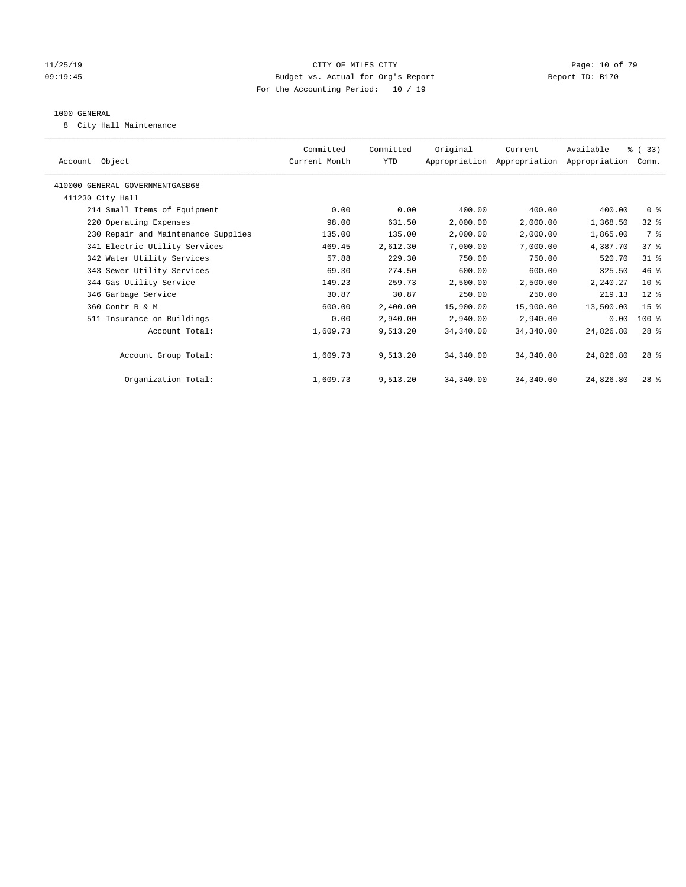#### 11/25/19 Page: 10 of 79 CITY OF MILES CITY CONTROL PAGE: 10 of 79 09:19:45 Budget vs. Actual for Org's Report Communication Chemical Report ID: B170 For the Accounting Period: 10 / 19

#### 1000 GENERAL

8 City Hall Maintenance

| Account Object                      | Committed<br>Current Month | Committed<br>YTD | Original  | Current<br>Appropriation Appropriation Appropriation | Available | % (33)<br>Comm. |  |
|-------------------------------------|----------------------------|------------------|-----------|------------------------------------------------------|-----------|-----------------|--|
| 410000 GENERAL GOVERNMENTGASB68     |                            |                  |           |                                                      |           |                 |  |
| 411230 City Hall                    |                            |                  |           |                                                      |           |                 |  |
| 214 Small Items of Equipment        | 0.00                       | 0.00             | 400.00    | 400.00                                               | 400.00    | 0 <sup>8</sup>  |  |
| 220 Operating Expenses              | 98.00                      | 631.50           | 2,000.00  | 2,000.00                                             | 1,368.50  | $32$ $%$        |  |
| 230 Repair and Maintenance Supplies | 135.00                     | 135.00           | 2,000.00  | 2,000.00                                             | 1,865.00  | 7 %             |  |
| 341 Electric Utility Services       | 469.45                     | 2,612.30         | 7,000.00  | 7,000.00                                             | 4,387.70  | 37.8            |  |
| 342 Water Utility Services          | 57.88                      | 229.30           | 750.00    | 750.00                                               | 520.70    | $31$ %          |  |
| 343 Sewer Utility Services          | 69.30                      | 274.50           | 600.00    | 600.00                                               | 325.50    | 46%             |  |
| 344 Gas Utility Service             | 149.23                     | 259.73           | 2,500.00  | 2,500.00                                             | 2,240.27  | 10 <sup>8</sup> |  |
| 346 Garbage Service                 | 30.87                      | 30.87            | 250.00    | 250.00                                               | 219.13    | $12$ %          |  |
| 360 Contr R & M                     | 600.00                     | 2,400.00         | 15,900.00 | 15,900.00                                            | 13,500.00 | 15 <sup>8</sup> |  |
| 511 Insurance on Buildings          | 0.00                       | 2,940.00         | 2,940.00  | 2,940.00                                             | 0.00      | $100*$          |  |
| Account Total:                      | 1,609.73                   | 9,513.20         | 34,340.00 | 34,340.00                                            | 24,826.80 | $28*$           |  |
|                                     |                            |                  |           |                                                      |           |                 |  |
| Account Group Total:                | 1,609.73                   | 9,513.20         | 34,340.00 | 34,340.00                                            | 24,826.80 | $28*$           |  |
|                                     |                            |                  |           |                                                      |           |                 |  |
| Organization Total:                 | 1,609.73                   | 9,513.20         | 34,340.00 | 34,340.00                                            | 24,826.80 | $28*$           |  |
|                                     |                            |                  |           |                                                      |           |                 |  |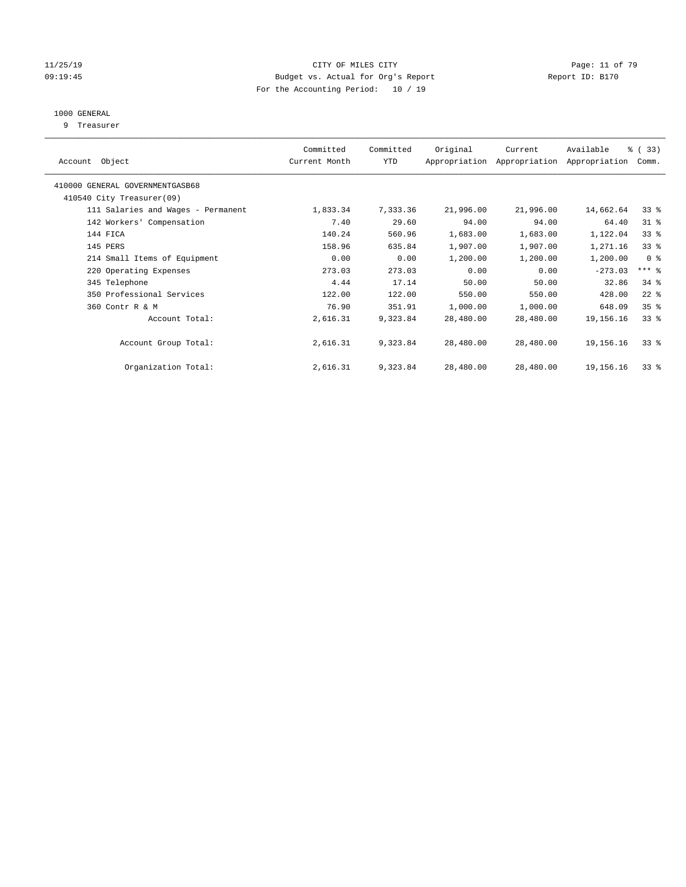#### $CITY$  OF MILES  $CITY$  and the contract of  $79$ 09:19:45 Budget vs. Actual for Org's Report Communication Report ID: B170 For the Accounting Period: 10 / 19

## 1000 GENERAL

9 Treasurer

| Object<br>Account                  | Committed<br>Current Month | Committed<br>YTD | Original  | Current<br>Appropriation Appropriation | Available<br>Appropriation | % (33)<br>Comm. |
|------------------------------------|----------------------------|------------------|-----------|----------------------------------------|----------------------------|-----------------|
| 410000 GENERAL GOVERNMENTGASB68    |                            |                  |           |                                        |                            |                 |
| 410540 City Treasurer(09)          |                            |                  |           |                                        |                            |                 |
| 111 Salaries and Wages - Permanent | 1,833.34                   | 7,333.36         | 21,996.00 | 21,996.00                              | 14,662.64                  | $33*$           |
| 142 Workers' Compensation          | 7.40                       | 29.60            | 94.00     | 94.00                                  | 64.40                      | $31*$           |
| 144 FICA                           | 140.24                     | 560.96           | 1,683.00  | 1,683.00                               | 1,122.04                   | 33 <sup>8</sup> |
| 145 PERS                           | 158.96                     | 635.84           | 1,907.00  | 1,907.00                               | 1,271.16                   | 33 <sup>8</sup> |
| 214 Small Items of Equipment       | 0.00                       | 0.00             | 1,200.00  | 1,200.00                               | 1,200.00                   | 0 <sup>8</sup>  |
| 220 Operating Expenses             | 273.03                     | 273.03           | 0.00      | 0.00                                   | $-273.03$                  | $***$ $%$       |
| 345 Telephone                      | 4.44                       | 17.14            | 50.00     | 50.00                                  | 32.86                      | $34$ $%$        |
| 350 Professional Services          | 122.00                     | 122.00           | 550.00    | 550.00                                 | 428.00                     | $22$ %          |
| 360 Contr R & M                    | 76.90                      | 351.91           | 1,000.00  | 1,000.00                               | 648.09                     | 35 <sup>8</sup> |
| Account Total:                     | 2,616.31                   | 9,323.84         | 28,480.00 | 28,480.00                              | 19,156.16                  | 33 <sup>8</sup> |
| Account Group Total:               | 2,616.31                   | 9,323.84         | 28,480.00 | 28,480.00                              | 19, 156, 16                | $33*$           |
| Organization Total:                | 2,616.31                   | 9,323.84         | 28,480.00 | 28,480.00                              | 19,156.16                  | 33 <sup>8</sup> |
|                                    |                            |                  |           |                                        |                            |                 |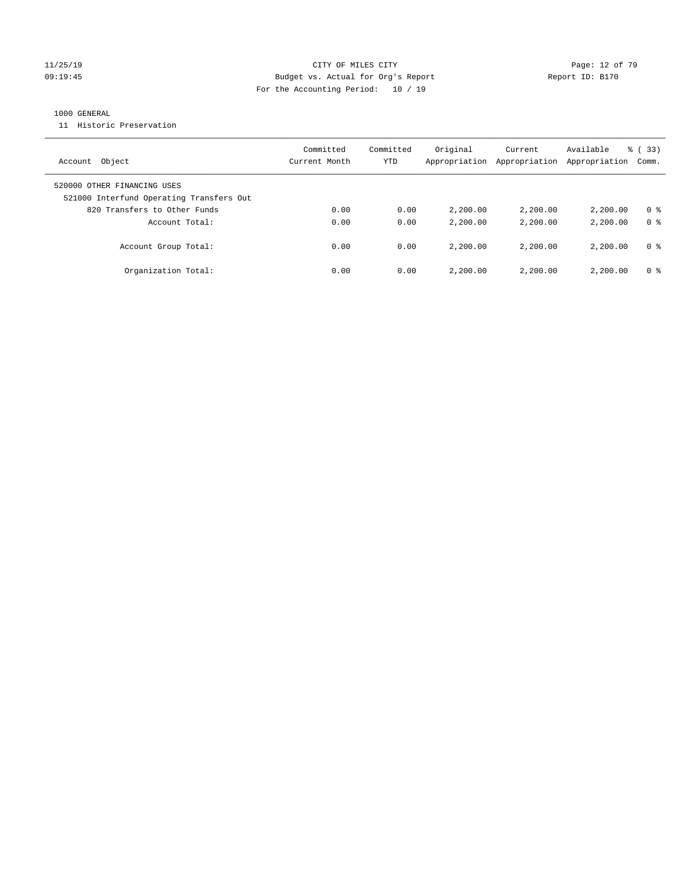#### 11/25/19 Page: 12 of 79 09:19:45 Budget vs. Actual for Org's Report Report ID: B170 For the Accounting Period: 10 / 19

#### 1000 GENERAL

11 Historic Preservation

| Object<br>Account                                                       | Committed<br>Current Month | Committed<br>YTD | Original<br>Appropriation | Current<br>Appropriation | Available<br>Appropriation | $\frac{8}{6}$ (33)<br>Comm. |
|-------------------------------------------------------------------------|----------------------------|------------------|---------------------------|--------------------------|----------------------------|-----------------------------|
| 520000 OTHER FINANCING USES<br>521000 Interfund Operating Transfers Out |                            |                  |                           |                          |                            |                             |
| 820 Transfers to Other Funds                                            | 0.00                       | 0.00             | 2,200.00                  | 2,200,00                 | 2,200.00                   | 0 %                         |
| Account Total:                                                          | 0.00                       | 0.00             | 2,200.00                  | 2,200,00                 | 2,200.00                   | 0 <sup>8</sup>              |
| Account Group Total:                                                    | 0.00                       | 0.00             | 2,200.00                  | 2,200.00                 | 2,200.00                   | 0 %                         |
| Organization Total:                                                     | 0.00                       | 0.00             | 2,200.00                  | 2,200.00                 | 2,200.00                   | 0 %                         |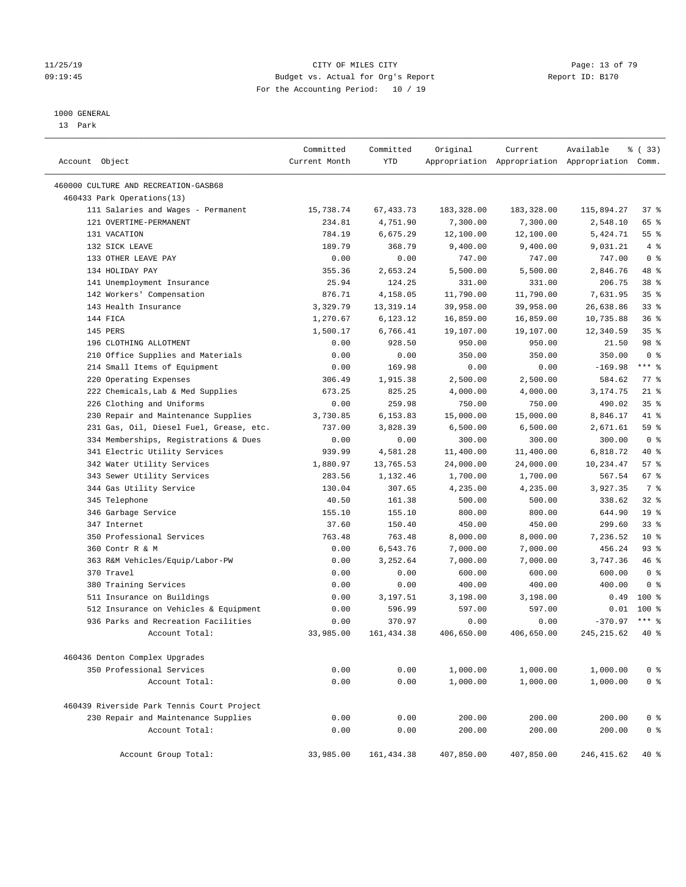#### 11/25/19 Page: 13 of 79 09:19:45 Budget vs. Actual for Org's Report Communication of Report ID: B170 For the Accounting Period: 10 / 19

————————————————————————————————————————————————————————————————————————————————————————————————————————————————————————————————————

#### 1000 GENERAL

13 Park

|                                            | Committed     | Committed   | Original   | Current    | Available                                       | 8 (33)          |
|--------------------------------------------|---------------|-------------|------------|------------|-------------------------------------------------|-----------------|
| Account Object                             | Current Month | YTD         |            |            | Appropriation Appropriation Appropriation Comm. |                 |
| 460000 CULTURE AND RECREATION-GASB68       |               |             |            |            |                                                 |                 |
| 460433 Park Operations(13)                 |               |             |            |            |                                                 |                 |
| 111 Salaries and Wages - Permanent         | 15,738.74     | 67, 433.73  | 183,328.00 | 183,328.00 | 115,894.27                                      | 37 %            |
| 121 OVERTIME-PERMANENT                     | 234.81        | 4,751.90    | 7,300.00   | 7,300.00   | 2,548.10                                        | 65 %            |
| 131 VACATION                               | 784.19        | 6,675.29    | 12,100.00  | 12,100.00  | 5,424.71                                        | 55 %            |
| 132 SICK LEAVE                             | 189.79        | 368.79      | 9,400.00   | 9,400.00   | 9,031.21                                        | 4%              |
| 133 OTHER LEAVE PAY                        | 0.00          | 0.00        | 747.00     | 747.00     | 747.00                                          | 0 <sup>8</sup>  |
| 134 HOLIDAY PAY                            | 355.36        | 2,653.24    | 5,500.00   | 5,500.00   | 2,846.76                                        | 48 %            |
| 141 Unemployment Insurance                 | 25.94         | 124.25      | 331.00     | 331.00     | 206.75                                          | 38 <sup>8</sup> |
| 142 Workers' Compensation                  | 876.71        | 4,158.05    | 11,790.00  | 11,790.00  | 7,631.95                                        | 35%             |
| 143 Health Insurance                       | 3,329.79      | 13, 319.14  | 39,958.00  | 39,958.00  | 26,638.86                                       | 33%             |
| 144 FICA                                   | 1,270.67      | 6,123.12    | 16,859.00  | 16,859.00  | 10,735.88                                       | 36%             |
| 145 PERS                                   | 1,500.17      | 6,766.41    | 19,107.00  | 19,107.00  | 12,340.59                                       | 35%             |
| 196 CLOTHING ALLOTMENT                     | 0.00          | 928.50      | 950.00     | 950.00     | 21.50                                           | 98 %            |
| 210 Office Supplies and Materials          | 0.00          | 0.00        | 350.00     | 350.00     | 350.00                                          | 0 <sup>8</sup>  |
| 214 Small Items of Equipment               | 0.00          | 169.98      | 0.00       | 0.00       | $-169.98$                                       | $***$ $-$       |
| 220 Operating Expenses                     | 306.49        | 1,915.38    | 2,500.00   | 2,500.00   | 584.62                                          | 77 %            |
| 222 Chemicals, Lab & Med Supplies          | 673.25        | 825.25      | 4,000.00   | 4,000.00   | 3,174.75                                        | $21$ %          |
| 226 Clothing and Uniforms                  | 0.00          | 259.98      | 750.00     | 750.00     | 490.02                                          | 35%             |
| 230 Repair and Maintenance Supplies        | 3,730.85      | 6,153.83    | 15,000.00  | 15,000.00  | 8,846.17                                        | 41 %            |
| 231 Gas, Oil, Diesel Fuel, Grease, etc.    | 737.00        | 3,828.39    | 6,500.00   | 6,500.00   | 2,671.61                                        | 59 %            |
| 334 Memberships, Registrations & Dues      | 0.00          | 0.00        | 300.00     | 300.00     | 300.00                                          | 0 <sup>8</sup>  |
| 341 Electric Utility Services              | 939.99        | 4,581.28    | 11,400.00  | 11,400.00  | 6,818.72                                        | 40 %            |
| 342 Water Utility Services                 | 1,880.97      | 13,765.53   | 24,000.00  | 24,000.00  | 10,234.47                                       | 57%             |
| 343 Sewer Utility Services                 | 283.56        | 1,132.46    | 1,700.00   | 1,700.00   | 567.54                                          | $67$ %          |
| 344 Gas Utility Service                    | 130.04        | 307.65      | 4,235.00   | 4,235.00   | 3,927.35                                        | 7 %             |
| 345 Telephone                              | 40.50         | 161.38      | 500.00     | 500.00     | 338.62                                          | $32$ $%$        |
| 346 Garbage Service                        | 155.10        | 155.10      | 800.00     | 800.00     | 644.90                                          | 19 <sup>°</sup> |
| 347 Internet                               | 37.60         | 150.40      | 450.00     | 450.00     | 299.60                                          | $33$ $%$        |
| 350 Professional Services                  | 763.48        | 763.48      | 8,000.00   | 8,000.00   | 7,236.52                                        | $10*$           |
| 360 Contr R & M                            | 0.00          | 6,543.76    | 7,000.00   | 7,000.00   | 456.24                                          | $93$ $%$        |
| 363 R&M Vehicles/Equip/Labor-PW            | 0.00          | 3,252.64    | 7,000.00   | 7,000.00   | 3,747.36                                        | 46 %            |
| 370 Travel                                 | 0.00          | 0.00        | 600.00     | 600.00     | 600.00                                          | 0 <sup>8</sup>  |
| 380 Training Services                      | 0.00          | 0.00        | 400.00     | 400.00     | 400.00                                          | 0 <sup>8</sup>  |
| 511 Insurance on Buildings                 | 0.00          | 3,197.51    | 3,198.00   | 3,198.00   | 0.49                                            | $100*$          |
| 512 Insurance on Vehicles & Equipment      | 0.00          | 596.99      | 597.00     | 597.00     | 0.01                                            | $100$ %         |
| 936 Parks and Recreation Facilities        | 0.00          | 370.97      | 0.00       | 0.00       | $-370.97$                                       | $***$ $%$       |
| Account Total:                             | 33,985.00     | 161, 434.38 | 406,650.00 | 406,650.00 | 245, 215.62                                     | $40*$           |
| 460436 Denton Complex Upgrades             |               |             |            |            |                                                 |                 |
| 350 Professional Services                  | 0.00          | 0.00        | 1,000.00   | 1,000.00   | 1,000.00                                        | 0 <sup>°</sup>  |
| Account Total:                             | 0.00          | 0.00        | 1,000.00   | 1,000.00   | 1,000.00                                        | 0 <sup>8</sup>  |
| 460439 Riverside Park Tennis Court Project |               |             |            |            |                                                 |                 |
|                                            |               |             |            |            |                                                 |                 |
| 230 Repair and Maintenance Supplies        | 0.00          | 0.00        | 200.00     | 200.00     | 200.00                                          | 0 <sup>8</sup>  |
| Account Total:                             | 0.00          | 0.00        | 200.00     | 200.00     | 200.00                                          | 0 <sup>8</sup>  |
| Account Group Total:                       | 33,985.00     | 161,434.38  | 407,850.00 | 407,850.00 | 246,415.62                                      | $40*$           |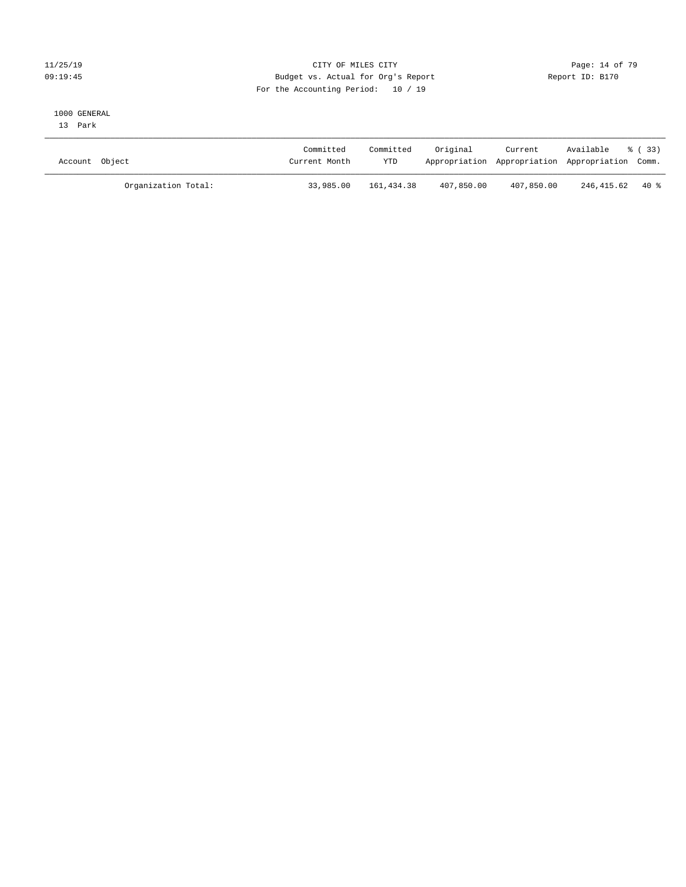#### $CITY$  OF MILES  $CITY$  and the contract of  $79$ 09:19:45 Budget vs. Actual for Org's Report Communication of Report ID: B170 For the Accounting Period: 10 / 19

#### 1000 GENERAL

13 Park

| Account Object      | Committed<br>Current Month | Committed<br><b>YTD</b> | Original   | Current<br>Appropriation Appropriation Appropriation Comm. | Available % (33) |  |
|---------------------|----------------------------|-------------------------|------------|------------------------------------------------------------|------------------|--|
| Organization Total: | 33,985.00                  | 161,434.38              | 407,850.00 | 407,850.00                                                 | 246,415.62 40%   |  |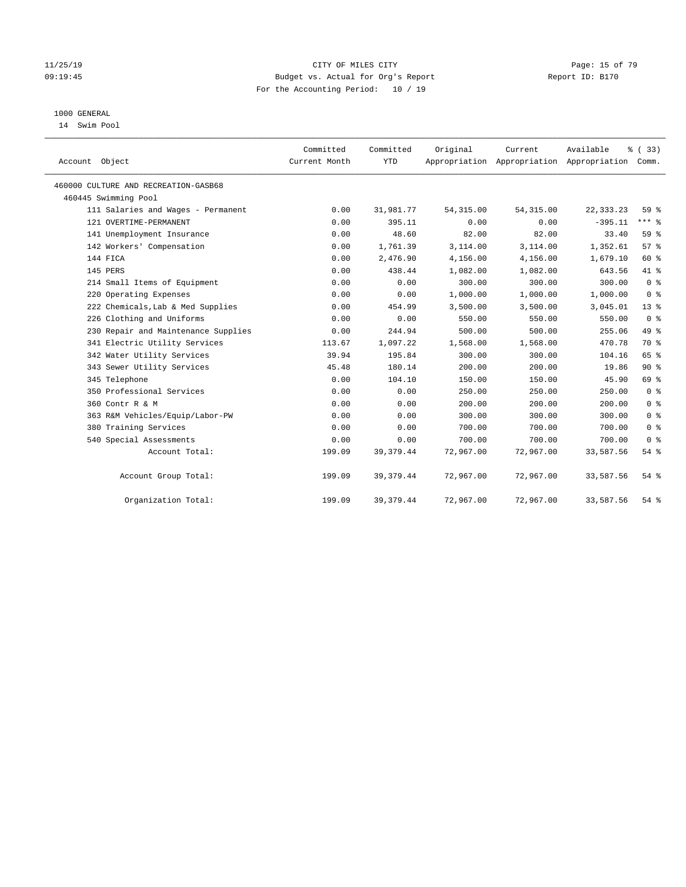#### $CITY$  OF MILES  $CITY$  and the contract of  $79$ 09:19:45 Budget vs. Actual for Org's Report Report ID: B170 For the Accounting Period: 10 / 19

## 1000 GENERAL

14 Swim Pool

| Account Object                       | Committed<br>Current Month | Committed<br><b>YTD</b> | Original   | Current<br>Appropriation Appropriation Appropriation | Available   | % (33)<br>Comm. |
|--------------------------------------|----------------------------|-------------------------|------------|------------------------------------------------------|-------------|-----------------|
| 460000 CULTURE AND RECREATION-GASB68 |                            |                         |            |                                                      |             |                 |
| 460445 Swimming Pool                 |                            |                         |            |                                                      |             |                 |
| 111 Salaries and Wages - Permanent   | 0.00                       | 31,981.77               | 54, 315.00 | 54, 315.00                                           | 22, 333. 23 | 59 <sub>8</sub> |
| 121 OVERTIME-PERMANENT               | 0.00                       | 395.11                  | 0.00       | 0.00                                                 | $-395.11$   | $***$ $-$       |
| 141 Unemployment Insurance           | 0.00                       | 48.60                   | 82.00      | 82.00                                                | 33.40       | 59 %            |
| 142 Workers' Compensation            | 0.00                       | 1,761.39                | 3,114.00   | 3,114.00                                             | 1,352.61    | 57%             |
| 144 FICA                             | 0.00                       | 2,476.90                | 4,156.00   | 4,156.00                                             | 1,679.10    | 60 %            |
| 145 PERS                             | 0.00                       | 438.44                  | 1,082.00   | 1,082.00                                             | 643.56      | 41 %            |
| 214 Small Items of Equipment         | 0.00                       | 0.00                    | 300.00     | 300.00                                               | 300.00      | 0 <sup>8</sup>  |
| 220 Operating Expenses               | 0.00                       | 0.00                    | 1,000.00   | 1,000.00                                             | 1,000.00    | 0 <sup>8</sup>  |
| 222 Chemicals, Lab & Med Supplies    | 0.00                       | 454.99                  | 3,500.00   | 3,500.00                                             | 3,045.01    | $13*$           |
| 226 Clothing and Uniforms            | 0.00                       | 0.00                    | 550.00     | 550.00                                               | 550.00      | 0 <sup>8</sup>  |
| 230 Repair and Maintenance Supplies  | 0.00                       | 244.94                  | 500.00     | 500.00                                               | 255.06      | 49 %            |
| 341 Electric Utility Services        | 113.67                     | 1,097.22                | 1,568.00   | 1,568.00                                             | 470.78      | 70 %            |
| 342 Water Utility Services           | 39.94                      | 195.84                  | 300.00     | 300.00                                               | 104.16      | 65 %            |
| 343 Sewer Utility Services           | 45.48                      | 180.14                  | 200.00     | 200.00                                               | 19.86       | $90*$           |
| 345 Telephone                        | 0.00                       | 104.10                  | 150.00     | 150.00                                               | 45.90       | 69 %            |
| 350 Professional Services            | 0.00                       | 0.00                    | 250.00     | 250.00                                               | 250.00      | 0 <sup>8</sup>  |
| 360 Contr R & M                      | 0.00                       | 0.00                    | 200.00     | 200.00                                               | 200.00      | 0 <sup>8</sup>  |
| 363 R&M Vehicles/Equip/Labor-PW      | 0.00                       | 0.00                    | 300.00     | 300.00                                               | 300.00      | 0 <sup>8</sup>  |
| 380 Training Services                | 0.00                       | 0.00                    | 700.00     | 700.00                                               | 700.00      | 0 <sup>8</sup>  |
| 540 Special Assessments              | 0.00                       | 0.00                    | 700.00     | 700.00                                               | 700.00      | 0 <sup>8</sup>  |
| Account Total:                       | 199.09                     | 39, 379.44              | 72,967.00  | 72,967.00                                            | 33,587.56   | $54$ $%$        |
| Account Group Total:                 | 199.09                     | 39, 379.44              | 72,967.00  | 72,967.00                                            | 33,587.56   | $54$ %          |
| Organization Total:                  | 199.09                     | 39, 379.44              | 72,967.00  | 72,967.00                                            | 33,587.56   | 54 %            |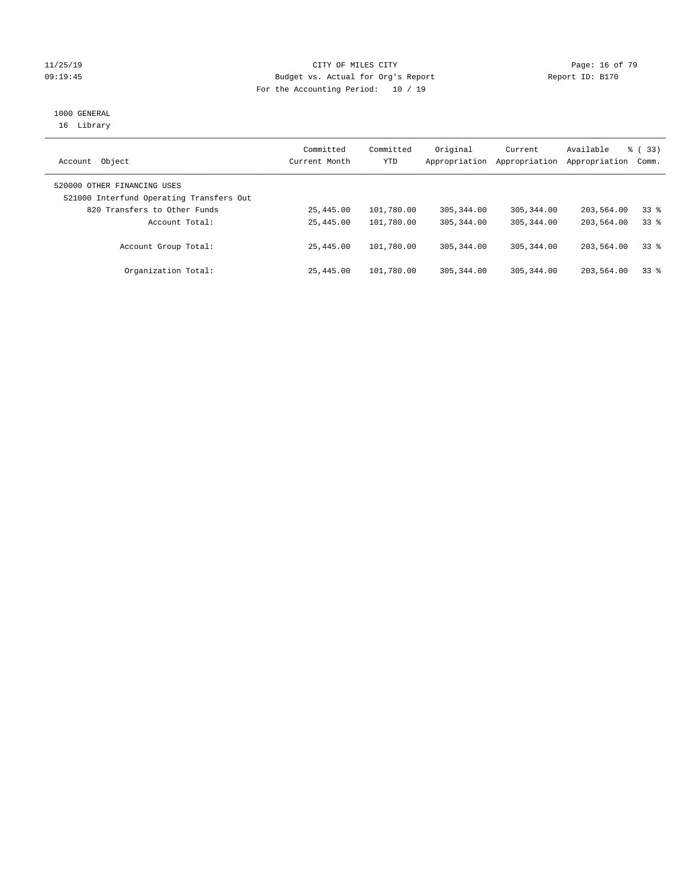#### $CITY$  OF MILES  $CITY$  and the contract of  $79$ 09:19:45 Budget vs. Actual for Org's Report Communication Report ID: B170 For the Accounting Period: 10 / 19

# 1000 GENERAL

16 Library

| Object<br>Account                                                       | Committed<br>Current Month | Committed<br>YTD | Original<br>Appropriation | Current<br>Appropriation | Available<br>Appropriation | 8 (33)<br>Comm. |
|-------------------------------------------------------------------------|----------------------------|------------------|---------------------------|--------------------------|----------------------------|-----------------|
| 520000 OTHER FINANCING USES<br>521000 Interfund Operating Transfers Out |                            |                  |                           |                          |                            |                 |
| 820 Transfers to Other Funds                                            | 25,445.00                  | 101,780.00       | 305, 344, 00              | 305, 344, 00             | 203,564.00                 | 338             |
| Account Total:                                                          | 25,445.00                  | 101,780.00       | 305, 344, 00              | 305, 344, 00             | 203,564.00                 | 338             |
| Account Group Total:                                                    | 25,445.00                  | 101,780.00       | 305, 344, 00              | 305, 344, 00             | 203,564.00                 | 338             |
| Organization Total:                                                     | 25,445.00                  | 101,780.00       | 305, 344, 00              | 305, 344, 00             | 203,564.00                 | 338             |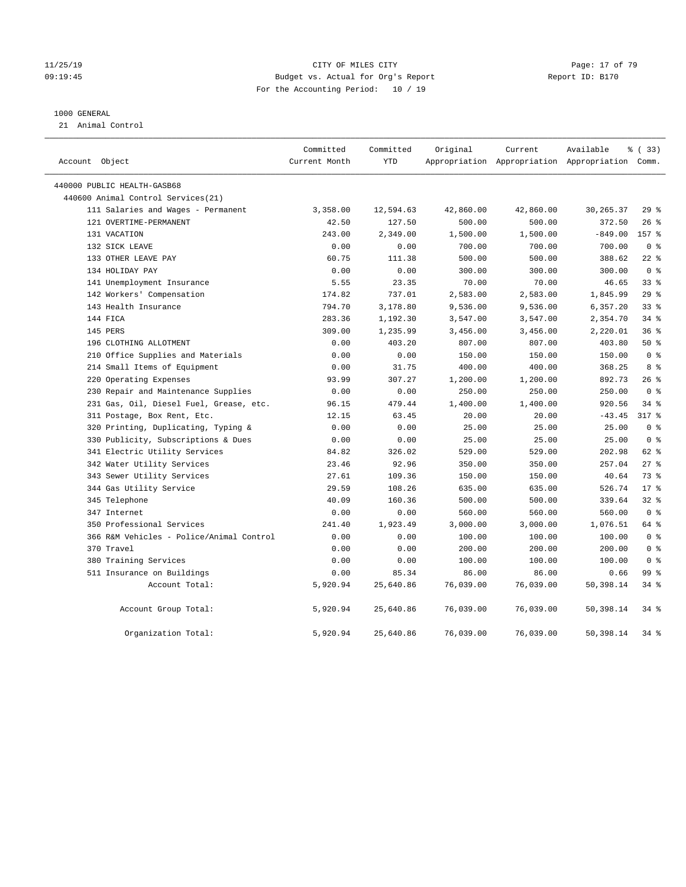#### 11/25/19 **Page: 17 of 79** CITY OF MILES CITY **CITY Page: 17 of 79** 09:19:45 Budget vs. Actual for Org's Report Report ID: B170 For the Accounting Period: 10 / 19

#### 1000 GENERAL

21 Animal Control

| Account Object                           | Committed<br>Current Month | Committed<br><b>YTD</b> | Original  | Current   | Available<br>Appropriation Appropriation Appropriation Comm. | 8 (33)         |  |
|------------------------------------------|----------------------------|-------------------------|-----------|-----------|--------------------------------------------------------------|----------------|--|
| 440000 PUBLIC HEALTH-GASB68              |                            |                         |           |           |                                                              |                |  |
| 440600 Animal Control Services (21)      |                            |                         |           |           |                                                              |                |  |
| 111 Salaries and Wages - Permanent       | 3,358.00                   | 12,594.63               | 42,860.00 | 42,860.00 | 30, 265. 37                                                  | 29%            |  |
| 121 OVERTIME-PERMANENT                   | 42.50                      | 127.50                  | 500.00    | 500.00    | 372.50                                                       | 26%            |  |
| 131 VACATION                             | 243.00                     | 2,349.00                | 1,500.00  | 1,500.00  | $-849.00$                                                    | 157 %          |  |
| 132 SICK LEAVE                           | 0.00                       | 0.00                    | 700.00    | 700.00    | 700.00                                                       | 0 <sup>8</sup> |  |
| 133 OTHER LEAVE PAY                      | 60.75                      | 111.38                  | 500.00    | 500.00    | 388.62                                                       | $22$ %         |  |
| 134 HOLIDAY PAY                          | 0.00                       | 0.00                    | 300.00    | 300.00    | 300.00                                                       | 0 <sup>8</sup> |  |
| 141 Unemployment Insurance               | 5.55                       | 23.35                   | 70.00     | 70.00     | 46.65                                                        | 338            |  |
| 142 Workers' Compensation                | 174.82                     | 737.01                  | 2,583.00  | 2,583.00  | 1,845.99                                                     | 29%            |  |
| 143 Health Insurance                     | 794.70                     | 3,178.80                | 9,536.00  | 9,536.00  | 6,357.20                                                     | 338            |  |
| 144 FICA                                 | 283.36                     | 1,192.30                | 3,547.00  | 3,547.00  | 2,354.70                                                     | 34%            |  |
| 145 PERS                                 | 309.00                     | 1,235.99                | 3,456.00  | 3,456.00  | 2,220.01                                                     | 36%            |  |
| 196 CLOTHING ALLOTMENT                   | 0.00                       | 403.20                  | 807.00    | 807.00    | 403.80                                                       | 50%            |  |
| 210 Office Supplies and Materials        | 0.00                       | 0.00                    | 150.00    | 150.00    | 150.00                                                       | 0 <sup>8</sup> |  |
| 214 Small Items of Equipment             | 0.00                       | 31.75                   | 400.00    | 400.00    | 368.25                                                       | 8 %            |  |
| 220 Operating Expenses                   | 93.99                      | 307.27                  | 1,200.00  | 1,200.00  | 892.73                                                       | $26$ %         |  |
| 230 Repair and Maintenance Supplies      | 0.00                       | 0.00                    | 250.00    | 250.00    | 250.00                                                       | 0 <sup>8</sup> |  |
| 231 Gas, Oil, Diesel Fuel, Grease, etc.  | 96.15                      | 479.44                  | 1,400.00  | 1,400.00  | 920.56                                                       | $34$ $%$       |  |
| 311 Postage, Box Rent, Etc.              | 12.15                      | 63.45                   | 20.00     | 20.00     | $-43.45$                                                     | $317$ %        |  |
| 320 Printing, Duplicating, Typing &      | 0.00                       | 0.00                    | 25.00     | 25.00     | 25.00                                                        | 0 <sup>8</sup> |  |
| 330 Publicity, Subscriptions & Dues      | 0.00                       | 0.00                    | 25.00     | 25.00     | 25.00                                                        | 0 <sup>8</sup> |  |
| 341 Electric Utility Services            | 84.82                      | 326.02                  | 529.00    | 529.00    | 202.98                                                       | 62 %           |  |
| 342 Water Utility Services               | 23.46                      | 92.96                   | 350.00    | 350.00    | 257.04                                                       | $27$ %         |  |
| 343 Sewer Utility Services               | 27.61                      | 109.36                  | 150.00    | 150.00    | 40.64                                                        | 73.8           |  |
| 344 Gas Utility Service                  | 29.59                      | 108.26                  | 635.00    | 635.00    | 526.74                                                       | $17*$          |  |
| 345 Telephone                            | 40.09                      | 160.36                  | 500.00    | 500.00    | 339.64                                                       | 32%            |  |
| 347 Internet                             | 0.00                       | 0.00                    | 560.00    | 560.00    | 560.00                                                       | 0 <sup>8</sup> |  |
| 350 Professional Services                | 241.40                     | 1,923.49                | 3,000.00  | 3,000.00  | 1,076.51                                                     | 64 %           |  |
| 366 R&M Vehicles - Police/Animal Control | 0.00                       | 0.00                    | 100.00    | 100.00    | 100.00                                                       | 0 <sup>8</sup> |  |
| 370 Travel                               | 0.00                       | 0.00                    | 200.00    | 200.00    | 200.00                                                       | 0 <sup>8</sup> |  |
| 380 Training Services                    | 0.00                       | 0.00                    | 100.00    | 100.00    | 100.00                                                       | 0 <sup>8</sup> |  |
| 511 Insurance on Buildings               | 0.00                       | 85.34                   | 86.00     | 86.00     | 0.66                                                         | 99 %           |  |
| Account Total:                           | 5,920.94                   | 25,640.86               | 76,039.00 | 76,039.00 | 50,398.14                                                    | $34$ $%$       |  |
| Account Group Total:                     | 5,920.94                   | 25,640.86               | 76,039.00 | 76,039.00 | 50,398.14                                                    | $34$ $%$       |  |
| Organization Total:                      | 5,920.94                   | 25,640.86               | 76,039.00 | 76,039.00 | 50,398.14                                                    | 34.8           |  |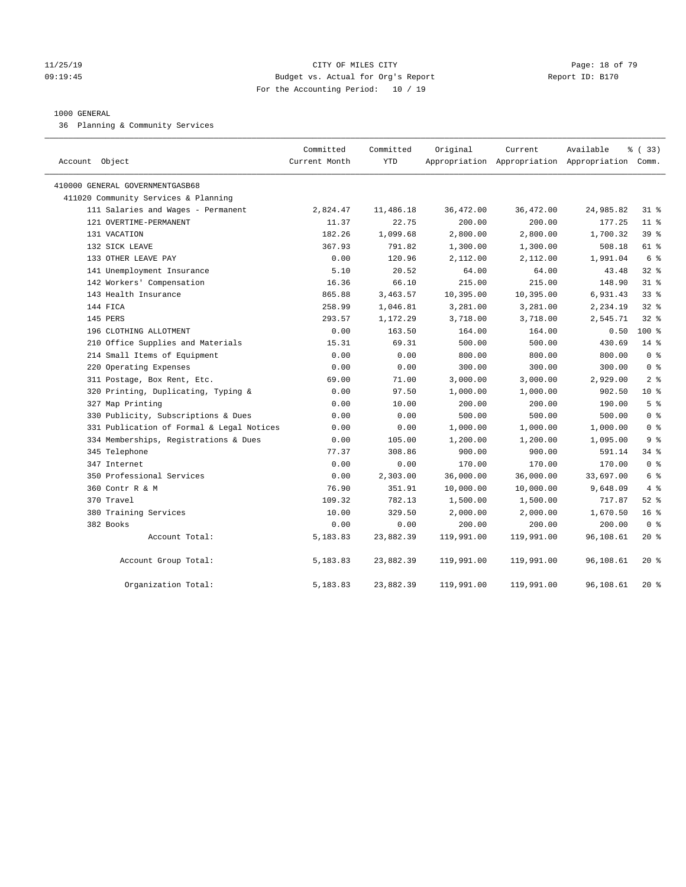#### 11/25/19 Page: 18 of 79 09:19:45 Budget vs. Actual for Org's Report Report ID: B170 For the Accounting Period: 10 / 19

#### 1000 GENERAL

36 Planning & Community Services

| Account Object                            | Committed<br>Current Month | Committed<br>YTD | Original   | Current    | Available<br>Appropriation Appropriation Appropriation Comm. | % (33)           |
|-------------------------------------------|----------------------------|------------------|------------|------------|--------------------------------------------------------------|------------------|
| 410000 GENERAL GOVERNMENTGASB68           |                            |                  |            |            |                                                              |                  |
| 411020 Community Services & Planning      |                            |                  |            |            |                                                              |                  |
| 111 Salaries and Wages - Permanent        | 2,824.47                   | 11,486.18        | 36,472.00  | 36,472.00  | 24,985.82                                                    | $31$ %           |
| 121 OVERTIME-PERMANENT                    | 11.37                      | 22.75            | 200.00     | 200.00     | 177.25                                                       | $11$ %           |
| 131 VACATION                              | 182.26                     | 1,099.68         | 2,800.00   | 2,800.00   | 1,700.32                                                     | 39 %             |
| 132 SICK LEAVE                            | 367.93                     | 791.82           | 1,300.00   | 1,300.00   | 508.18                                                       | 61 %             |
| 133 OTHER LEAVE PAY                       | 0.00                       | 120.96           | 2,112.00   | 2,112.00   | 1,991.04                                                     | 6 %              |
| 141 Unemployment Insurance                | 5.10                       | 20.52            | 64.00      | 64.00      | 43.48                                                        | $32$ $%$         |
| 142 Workers' Compensation                 | 16.36                      | 66.10            | 215.00     | 215.00     | 148.90                                                       | 318              |
| 143 Health Insurance                      | 865.88                     | 3,463.57         | 10,395.00  | 10,395.00  | 6,931.43                                                     | 338              |
| 144 FICA                                  | 258.99                     | 1,046.81         | 3,281.00   | 3,281.00   | 2,234.19                                                     | 328              |
| 145 PERS                                  | 293.57                     | 1,172.29         | 3,718.00   | 3,718.00   | 2,545.71                                                     | 328              |
| 196 CLOTHING ALLOTMENT                    | 0.00                       | 163.50           | 164.00     | 164.00     | 0.50                                                         | $100*$           |
| 210 Office Supplies and Materials         | 15.31                      | 69.31            | 500.00     | 500.00     | 430.69                                                       | $14*$            |
| 214 Small Items of Equipment              | 0.00                       | 0.00             | 800.00     | 800.00     | 800.00                                                       | 0 <sup>8</sup>   |
| 220 Operating Expenses                    | 0.00                       | 0.00             | 300.00     | 300.00     | 300.00                                                       | 0 <sup>8</sup>   |
| 311 Postage, Box Rent, Etc.               | 69.00                      | 71.00            | 3,000.00   | 3,000.00   | 2,929.00                                                     | 2 <sup>°</sup>   |
| 320 Printing, Duplicating, Typing &       | 0.00                       | 97.50            | 1,000.00   | 1,000.00   | 902.50                                                       | $10*$            |
| 327 Map Printing                          | 0.00                       | 10.00            | 200.00     | 200.00     | 190.00                                                       | 5 <sup>8</sup>   |
| 330 Publicity, Subscriptions & Dues       | 0.00                       | 0.00             | 500.00     | 500.00     | 500.00                                                       | 0 <sup>8</sup>   |
| 331 Publication of Formal & Legal Notices | 0.00                       | 0.00             | 1,000.00   | 1,000.00   | 1,000.00                                                     | 0 <sup>8</sup>   |
| 334 Memberships, Registrations & Dues     | 0.00                       | 105.00           | 1,200.00   | 1,200.00   | 1,095.00                                                     | 9 <sup>°</sup>   |
| 345 Telephone                             | 77.37                      | 308.86           | 900.00     | 900.00     | 591.14                                                       | $34$ $%$         |
| 347 Internet                              | 0.00                       | 0.00             | 170.00     | 170.00     | 170.00                                                       | 0 <sup>8</sup>   |
| 350 Professional Services                 | 0.00                       | 2,303.00         | 36,000.00  | 36,000.00  | 33,697.00                                                    | 6 %              |
| 360 Contr R & M                           | 76.90                      | 351.91           | 10,000.00  | 10,000.00  | 9,648.09                                                     | 4%               |
| 370 Travel                                | 109.32                     | 782.13           | 1,500.00   | 1,500.00   | 717.87                                                       | 52 $\frac{8}{3}$ |
| 380 Training Services                     | 10.00                      | 329.50           | 2,000.00   | 2,000.00   | 1,670.50                                                     | 16 <sup>°</sup>  |
| 382 Books                                 | 0.00                       | 0.00             | 200.00     | 200.00     | 200.00                                                       | 0 <sup>8</sup>   |
| Account Total:                            | 5,183.83                   | 23,882.39        | 119,991.00 | 119,991.00 | 96,108.61                                                    | $20*$            |
| Account Group Total:                      | 5,183.83                   | 23,882.39        | 119,991.00 | 119,991.00 | 96,108.61                                                    | $20*$            |
| Organization Total:                       | 5,183.83                   | 23,882.39        | 119,991.00 | 119,991.00 | 96,108.61                                                    | $20*$            |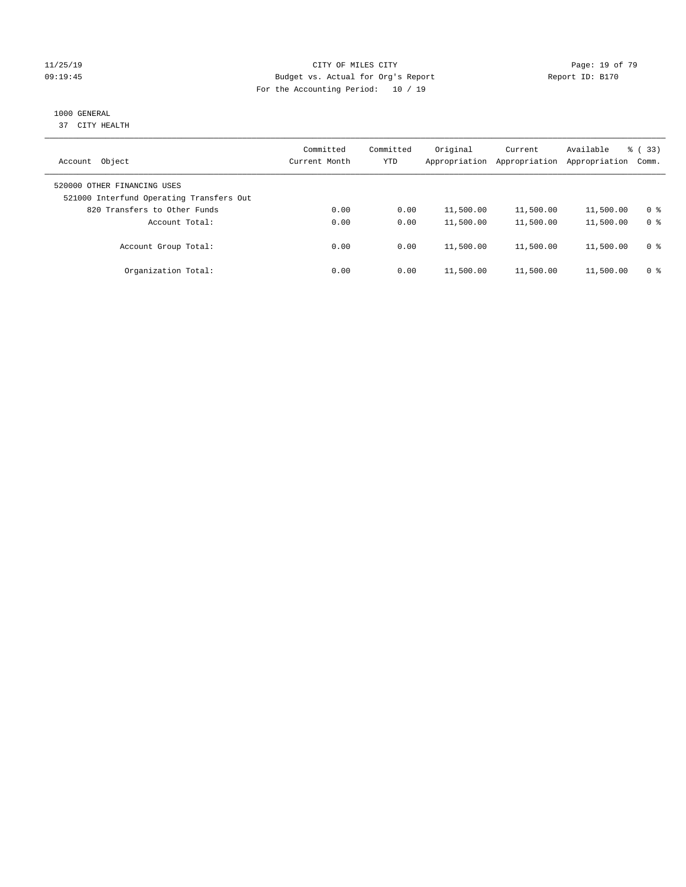#### 11/25/19 Page: 19 of 79 09:19:45 Budget vs. Actual for Org's Report Communication of Report ID: B170 For the Accounting Period: 10 / 19

## 1000 GENERAL

37 CITY HEALTH

| Object<br>Account                                                       | Committed<br>Current Month | Committed<br>YTD | Original<br>Appropriation | Current<br>Appropriation | Available<br>Appropriation | % (33)<br>Comm. |
|-------------------------------------------------------------------------|----------------------------|------------------|---------------------------|--------------------------|----------------------------|-----------------|
| 520000 OTHER FINANCING USES<br>521000 Interfund Operating Transfers Out |                            |                  |                           |                          |                            |                 |
| 820 Transfers to Other Funds                                            | 0.00                       | 0.00             | 11,500.00                 | 11,500.00                | 11,500.00                  | 0 %             |
| Account Total:                                                          | 0.00                       | 0.00             | 11,500.00                 | 11,500.00                | 11,500.00                  | 0 <sup>8</sup>  |
| Account Group Total:                                                    | 0.00                       | 0.00             | 11,500.00                 | 11,500.00                | 11,500.00                  | 0 %             |
| Organization Total:                                                     | 0.00                       | 0.00             | 11,500.00                 | 11,500.00                | 11,500.00                  | 0 %             |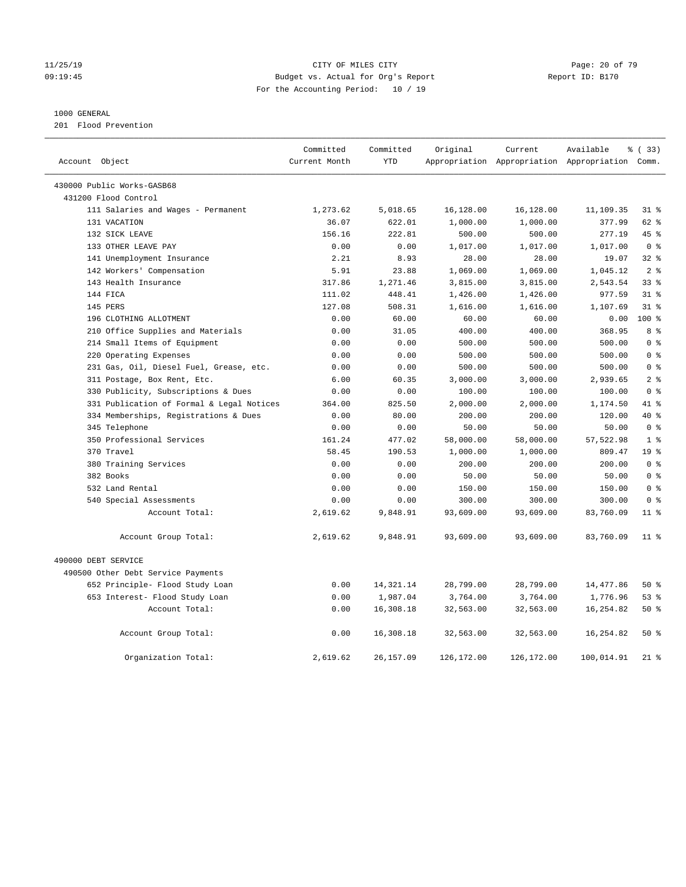#### 11/25/19 **Page: 20 of 79** CITY OF MILES CITY **CITY Page: 20 of 79** 09:19:45 Budget vs. Actual for Org's Report Report ID: B170 For the Accounting Period: 10 / 19

#### 1000 GENERAL

201 Flood Prevention

| Account Object                            | Committed<br>Current Month | Committed<br><b>YTD</b> | Original    | Current    | Available<br>Appropriation Appropriation Appropriation Comm. | % (33)          |
|-------------------------------------------|----------------------------|-------------------------|-------------|------------|--------------------------------------------------------------|-----------------|
|                                           |                            |                         |             |            |                                                              |                 |
| 430000 Public Works-GASB68                |                            |                         |             |            |                                                              |                 |
| 431200 Flood Control                      |                            |                         |             |            |                                                              |                 |
| 111 Salaries and Wages - Permanent        | 1,273.62                   | 5,018.65                | 16,128.00   | 16,128.00  | 11,109.35                                                    | $31$ %          |
| 131 VACATION                              | 36.07                      | 622.01                  | 1,000.00    | 1,000.00   | 377.99                                                       | $62$ $%$        |
| 132 SICK LEAVE                            | 156.16                     | 222.81                  | 500.00      | 500.00     | 277.19                                                       | 45 %            |
| 133 OTHER LEAVE PAY                       | 0.00                       | 0.00                    | 1,017.00    | 1,017.00   | 1,017.00                                                     | 0 <sup>8</sup>  |
| 141 Unemployment Insurance                | 2.21                       | 8.93                    | 28.00       | 28.00      | 19.07                                                        | 32%             |
| 142 Workers' Compensation                 | 5.91                       | 23.88                   | 1,069.00    | 1,069.00   | 1,045.12                                                     | 2 <sup>8</sup>  |
| 143 Health Insurance                      | 317.86                     | 1,271.46                | 3,815.00    | 3,815.00   | 2,543.54                                                     | 33 <sup>8</sup> |
| 144 FICA                                  | 111.02                     | 448.41                  | 1,426.00    | 1,426.00   | 977.59                                                       | 31.8            |
| 145 PERS                                  | 127.08                     | 508.31                  | 1,616.00    | 1,616.00   | 1,107.69                                                     | 318             |
| 196 CLOTHING ALLOTMENT                    | 0.00                       | 60.00                   | 60.00       | 60.00      | 0.00                                                         | 100 %           |
| 210 Office Supplies and Materials         | 0.00                       | 31.05                   | 400.00      | 400.00     | 368.95                                                       | 8 %             |
| 214 Small Items of Equipment              | 0.00                       | 0.00                    | 500.00      | 500.00     | 500.00                                                       | 0 <sup>8</sup>  |
| 220 Operating Expenses                    | 0.00                       | 0.00                    | 500.00      | 500.00     | 500.00                                                       | 0 <sup>8</sup>  |
| 231 Gas, Oil, Diesel Fuel, Grease, etc.   | 0.00                       | 0.00                    | 500.00      | 500.00     | 500.00                                                       | 0 <sup>8</sup>  |
| 311 Postage, Box Rent, Etc.               | 6.00                       | 60.35                   | 3,000.00    | 3,000.00   | 2,939.65                                                     | 2 <sup>8</sup>  |
| 330 Publicity, Subscriptions & Dues       | 0.00                       | 0.00                    | 100.00      | 100.00     | 100.00                                                       | 0 <sup>8</sup>  |
| 331 Publication of Formal & Legal Notices | 364.00                     | 825.50                  | 2,000.00    | 2,000.00   | 1,174.50                                                     | 41.8            |
| 334 Memberships, Registrations & Dues     | 0.00                       | 80.00                   | 200.00      | 200.00     | 120.00                                                       | 40 %            |
| 345 Telephone                             | 0.00                       | 0.00                    | 50.00       | 50.00      | 50.00                                                        | 0 <sup>8</sup>  |
| 350 Professional Services                 | 161.24                     | 477.02                  | 58,000.00   | 58,000.00  | 57,522.98                                                    | 1 <sup>8</sup>  |
| 370 Travel                                | 58.45                      | 190.53                  | 1,000.00    | 1,000.00   | 809.47                                                       | 19 <sup>°</sup> |
| 380 Training Services                     | 0.00                       | 0.00                    | 200.00      | 200.00     | 200.00                                                       | 0 <sup>8</sup>  |
| 382 Books                                 | 0.00                       | 0.00                    | 50.00       | 50.00      | 50.00                                                        | 0 <sup>8</sup>  |
| 532 Land Rental                           | 0.00                       | 0.00                    | 150.00      | 150.00     | 150.00                                                       | 0 <sup>8</sup>  |
| 540 Special Assessments                   | 0.00                       | 0.00                    | 300.00      | 300.00     | 300.00                                                       | 0 <sup>8</sup>  |
| Account Total:                            | 2,619.62                   | 9,848.91                | 93,609.00   | 93,609.00  | 83,760.09                                                    | 11 <sup>8</sup> |
| Account Group Total:                      | 2,619.62                   | 9,848.91                | 93,609.00   | 93,609.00  | 83,760.09                                                    | $11$ %          |
| 490000 DEBT SERVICE                       |                            |                         |             |            |                                                              |                 |
| 490500 Other Debt Service Payments        |                            |                         |             |            |                                                              |                 |
| 652 Principle- Flood Study Loan           | 0.00                       | 14,321.14               | 28,799.00   | 28,799.00  | 14, 477.86                                                   | 50%             |
| 653 Interest- Flood Study Loan            | 0.00                       | 1,987.04                | 3,764.00    | 3,764.00   | 1,776.96                                                     | 53%             |
| Account Total:                            | 0.00                       | 16,308.18               | 32,563.00   | 32,563.00  | 16,254.82                                                    | 50%             |
| Account Group Total:                      | 0.00                       | 16,308.18               | 32,563.00   | 32,563.00  | 16,254.82                                                    | 50%             |
| Organization Total:                       | 2,619.62                   | 26, 157.09              | 126, 172.00 | 126,172.00 | 100,014.91                                                   | $21$ %          |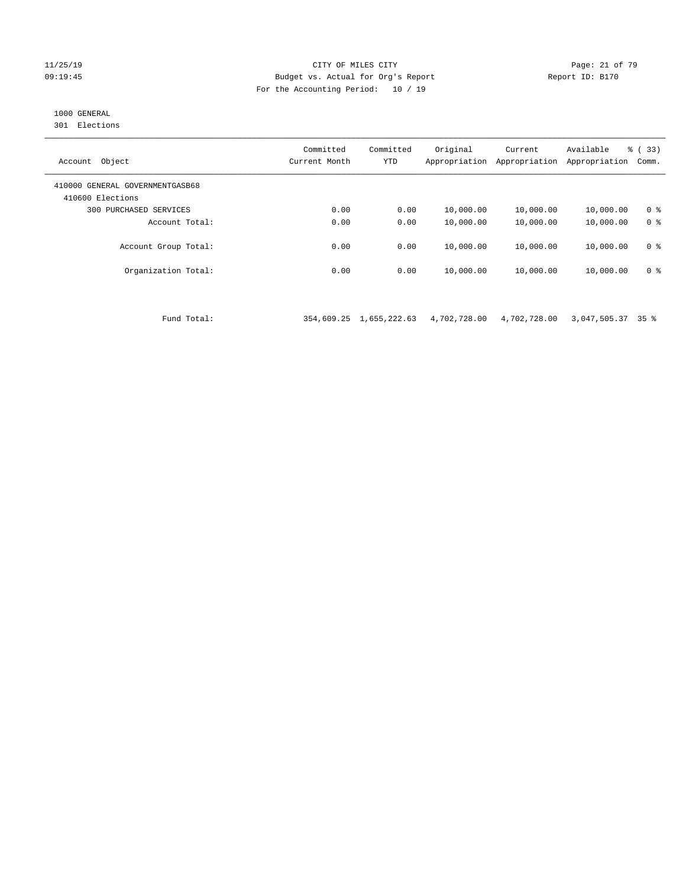#### 11/25/19 Page: 21 of 79 09:19:45 Budget vs. Actual for Org's Report Report ID: B170 For the Accounting Period: 10 / 19

## 1000 GENERAL

301 Elections

| Object<br>Account                                   | Committed<br>Current Month | Committed<br><b>YTD</b> | Original<br>Appropriation | Current<br>Appropriation | Available<br>Appropriation | 8 (33)<br>Comm. |
|-----------------------------------------------------|----------------------------|-------------------------|---------------------------|--------------------------|----------------------------|-----------------|
| 410000 GENERAL GOVERNMENTGASB68<br>410600 Elections |                            |                         |                           |                          |                            |                 |
| 300<br>PURCHASED SERVICES                           | 0.00                       | 0.00                    | 10,000.00                 | 10,000.00                | 10,000.00                  | 0 <sup>8</sup>  |
| Account Total:                                      | 0.00                       | 0.00                    | 10,000.00                 | 10,000.00                | 10,000.00                  | 0 <sup>8</sup>  |
| Account Group Total:                                | 0.00                       | 0.00                    | 10,000.00                 | 10,000.00                | 10,000.00                  | 0 <sup>8</sup>  |
| Organization Total:                                 | 0.00                       | 0.00                    | 10,000.00                 | 10,000.00                | 10,000.00                  | 0 <sup>8</sup>  |
|                                                     |                            |                         |                           |                          |                            |                 |

Fund Total: 354,609.25 1,655,222.63 4,702,728.00 4,702,728.00 3,047,505.37 35 %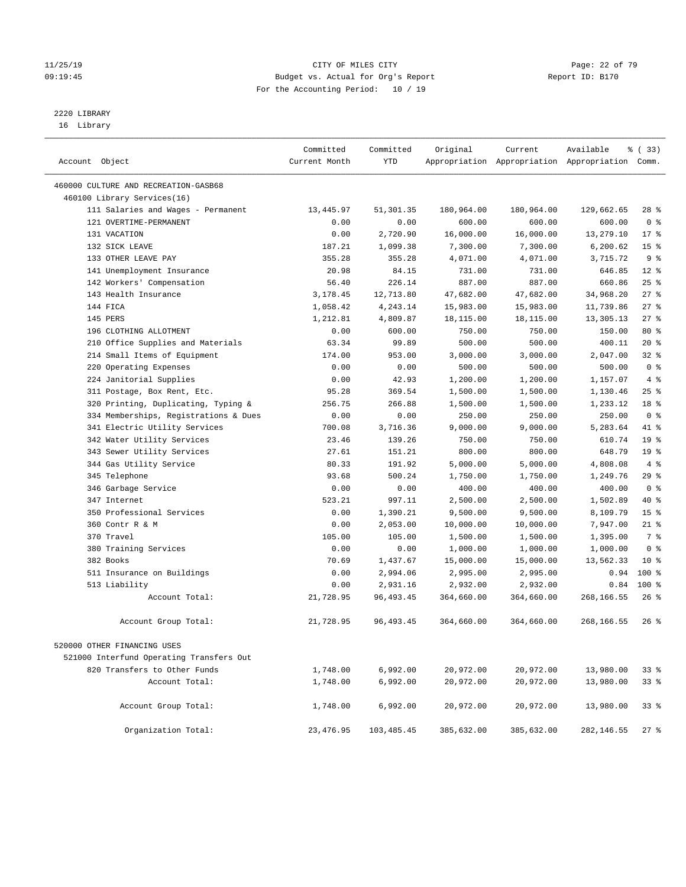#### 11/25/19 Page: 22 of 79 09:19:45 Budget vs. Actual for Org's Report Report ID: B170 For the Accounting Period: 10 / 19

————————————————————————————————————————————————————————————————————————————————————————————————————————————————————————————————————

# 2220 LIBRARY

16 Library

|                                             | Committed     | Committed            | Original             | Current              | Available                                       | % (33)          |
|---------------------------------------------|---------------|----------------------|----------------------|----------------------|-------------------------------------------------|-----------------|
| Account Object                              | Current Month | YTD                  |                      |                      | Appropriation Appropriation Appropriation Comm. |                 |
| 460000 CULTURE AND RECREATION-GASB68        |               |                      |                      |                      |                                                 |                 |
| 460100 Library Services(16)                 |               |                      |                      |                      |                                                 |                 |
| 111 Salaries and Wages - Permanent          | 13,445.97     | 51,301.35            | 180,964.00           | 180,964.00           | 129,662.65                                      | 28 %            |
| 121 OVERTIME-PERMANENT                      | 0.00          | 0.00                 | 600.00               | 600.00               | 600.00                                          | 0 <sup>8</sup>  |
| 131 VACATION                                | 0.00          | 2,720.90             | 16,000.00            | 16,000.00            | 13,279.10                                       | $17*$           |
| 132 SICK LEAVE                              | 187.21        | 1,099.38             | 7,300.00             | 7,300.00             | 6,200.62                                        | 15 <sup>°</sup> |
| 133 OTHER LEAVE PAY                         | 355.28        | 355.28               | 4,071.00             | 4,071.00             | 3,715.72                                        | 9 <sup>°</sup>  |
| 141 Unemployment Insurance                  | 20.98         | 84.15                | 731.00               | 731.00               | 646.85                                          | $12*$           |
| 142 Workers' Compensation                   | 56.40         | 226.14               | 887.00               | 887.00               | 660.86                                          | $25$ %          |
| 143 Health Insurance                        | 3,178.45      | 12,713.80            | 47,682.00            | 47,682.00            | 34,968.20                                       | 27%             |
| 144 FICA                                    | 1,058.42      | 4,243.14             | 15,983.00            | 15,983.00            | 11,739.86                                       | $27$ %          |
| 145 PERS                                    | 1,212.81      | 4,809.87             | 18,115.00            | 18,115.00            | 13,305.13                                       | 27%             |
| 196 CLOTHING ALLOTMENT                      | 0.00          | 600.00               | 750.00               | 750.00               | 150.00                                          | 80 %            |
| 210 Office Supplies and Materials           | 63.34         | 99.89                | 500.00               | 500.00               | 400.11                                          | $20*$           |
| 214 Small Items of Equipment                | 174.00        | 953.00               | 3,000.00             | 3,000.00             | 2,047.00                                        | 32%             |
| 220 Operating Expenses                      | 0.00          | 0.00                 | 500.00               | 500.00               | 500.00                                          | 0 <sup>8</sup>  |
| 224 Janitorial Supplies                     | 0.00          | 42.93                | 1,200.00             | 1,200.00             | 1,157.07                                        | 4%              |
| 311 Postage, Box Rent, Etc.                 | 95.28         | 369.54               | 1,500.00             | 1,500.00             | 1,130.46                                        | 25%             |
| 320 Printing, Duplicating, Typing &         | 256.75        | 266.88               | 1,500.00             | 1,500.00             | 1,233.12                                        | 18 %            |
| 334 Memberships, Registrations & Dues       | 0.00          | 0.00                 | 250.00               | 250.00               | 250.00                                          | 0 <sup>8</sup>  |
| 341 Electric Utility Services               | 700.08        | 3,716.36             | 9,000.00             | 9,000.00             | 5,283.64                                        | 41 %            |
| 342 Water Utility Services                  | 23.46         | 139.26               | 750.00               | 750.00               | 610.74                                          | 19 <sup>°</sup> |
| 343 Sewer Utility Services                  | 27.61         | 151.21               | 800.00               | 800.00               | 648.79                                          | 19 <sup>°</sup> |
| 344 Gas Utility Service                     | 80.33         | 191.92               | 5,000.00             | 5,000.00             | 4,808.08                                        | $4\degree$      |
| 345 Telephone                               | 93.68         | 500.24               | 1,750.00             | 1,750.00             | 1,249.76                                        | $29$ %          |
| 346 Garbage Service                         | 0.00          | 0.00                 | 400.00               | 400.00               | 400.00                                          | 0 <sup>8</sup>  |
| 347 Internet                                | 523.21        | 997.11               | 2,500.00             | 2,500.00             | 1,502.89                                        | 40 %            |
| 350 Professional Services                   | 0.00          | 1,390.21             | 9,500.00             | 9,500.00             | 8,109.79                                        | 15 <sup>°</sup> |
| 360 Contr R & M                             | 0.00          | 2,053.00             | 10,000.00            | 10,000.00            | 7,947.00                                        | $21$ %          |
| 370 Travel                                  | 105.00        | 105.00               | 1,500.00             | 1,500.00             | 1,395.00                                        | 7 %             |
| 380 Training Services                       | 0.00          | 0.00                 | 1,000.00             | 1,000.00             | 1,000.00                                        | 0 <sup>8</sup>  |
| 382 Books                                   | 70.69         | 1,437.67<br>2,994.06 | 15,000.00            | 15,000.00            | 13,562.33                                       | $10*$<br>$100*$ |
| 511 Insurance on Buildings<br>513 Liability | 0.00<br>0.00  | 2,931.16             | 2,995.00<br>2,932.00 | 2,995.00<br>2,932.00 | 0.94<br>0.84                                    | $100*$          |
| Account Total:                              | 21,728.95     | 96, 493. 45          | 364,660.00           | 364,660.00           | 268,166.55                                      | $26$ %          |
|                                             |               |                      |                      |                      |                                                 |                 |
| Account Group Total:                        | 21,728.95     | 96,493.45            | 364,660.00           | 364,660.00           | 268,166.55                                      | 26 %            |
| 520000 OTHER FINANCING USES                 |               |                      |                      |                      |                                                 |                 |
| 521000 Interfund Operating Transfers Out    |               |                      |                      |                      |                                                 |                 |
| 820 Transfers to Other Funds                | 1,748.00      | 6,992.00             | 20,972.00            | 20,972.00            | 13,980.00                                       | 33 %            |
| Account Total:                              | 1,748.00      | 6,992.00             | 20,972.00            | 20,972.00            | 13,980.00                                       | 33 %            |
|                                             |               |                      |                      |                      |                                                 |                 |
| Account Group Total:                        | 1,748.00      | 6,992.00             | 20,972.00            | 20,972.00            | 13,980.00                                       | 33 %            |
| Organization Total:                         | 23, 476.95    | 103,485.45           | 385,632.00           | 385,632.00           | 282,146.55                                      | $27$ %          |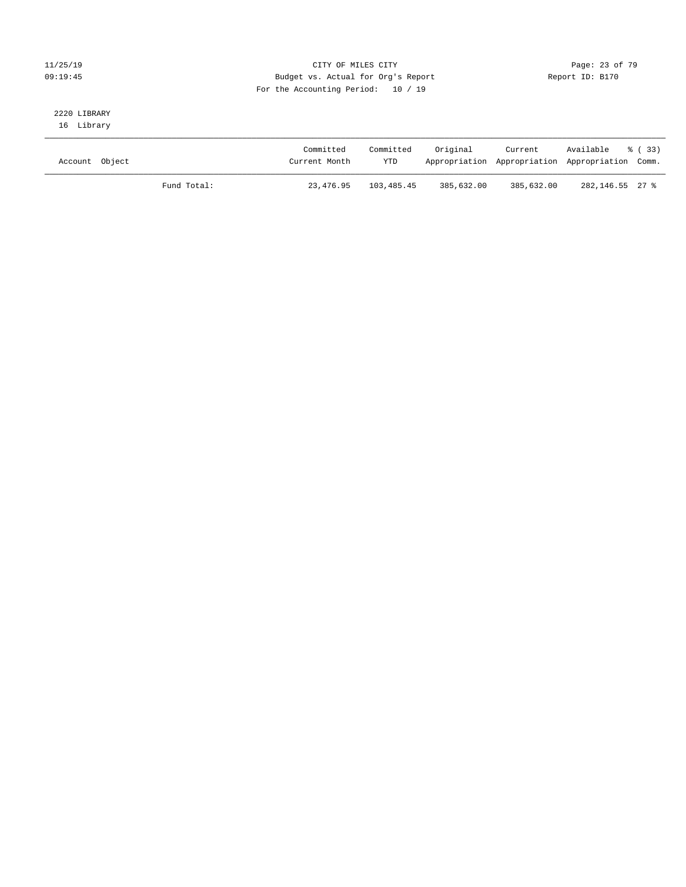#### 11/25/19 Page: 23 of 79 09:19:45 Budget vs. Actual for Org's Report Changer Report ID: B170 For the Accounting Period: 10 / 19

# 2220 LIBRARY

16 Library

| Account Object |             | Committed<br>Current Month | Committed<br><b>YTD</b> | Original   | Current<br>Appropriation Appropriation Appropriation Comm. | Available % (33) |  |
|----------------|-------------|----------------------------|-------------------------|------------|------------------------------------------------------------|------------------|--|
|                | Fund Total: | 23,476.95                  | 103,485.45              | 385,632.00 | 385,632.00                                                 | 282,146.55 27 %  |  |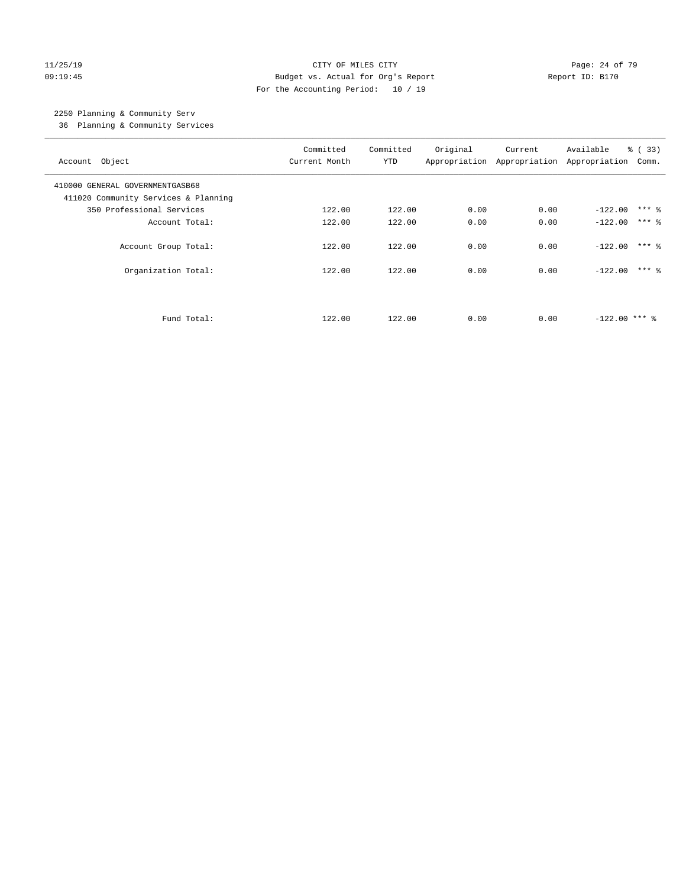#### 11/25/19 Page: 24 of 79 09:19:45 Budget vs. Actual for Org's Report Changer Report ID: B170 For the Accounting Period: 10 / 19

## 2250 Planning & Community Serv

36 Planning & Community Services

| Account Object                                                          | Committed<br>Current Month | Committed<br><b>YTD</b> | Original | Current<br>Appropriation Appropriation Appropriation | Available       | % (33)<br>Comm.     |
|-------------------------------------------------------------------------|----------------------------|-------------------------|----------|------------------------------------------------------|-----------------|---------------------|
| 410000 GENERAL GOVERNMENTGASB68<br>411020 Community Services & Planning |                            |                         |          |                                                      |                 |                     |
| 350 Professional Services                                               | 122.00                     | 122.00                  | 0.00     | 0.00                                                 | $-122.00$       | $***$ %             |
| Account Total:                                                          | 122.00                     | 122.00                  | 0.00     | 0.00                                                 | $-122.00$       | $***$ $\frac{6}{5}$ |
| Account Group Total:                                                    | 122.00                     | 122.00                  | 0.00     | 0.00                                                 | $-122.00$       | $***$ 2             |
| Organization Total:                                                     | 122.00                     | 122.00                  | 0.00     | 0.00                                                 | $-122.00$       | $***$ 2             |
|                                                                         |                            |                         |          |                                                      |                 |                     |
| Fund Total:                                                             | 122.00                     | 122.00                  | 0.00     | 0.00                                                 | $-122.00$ *** & |                     |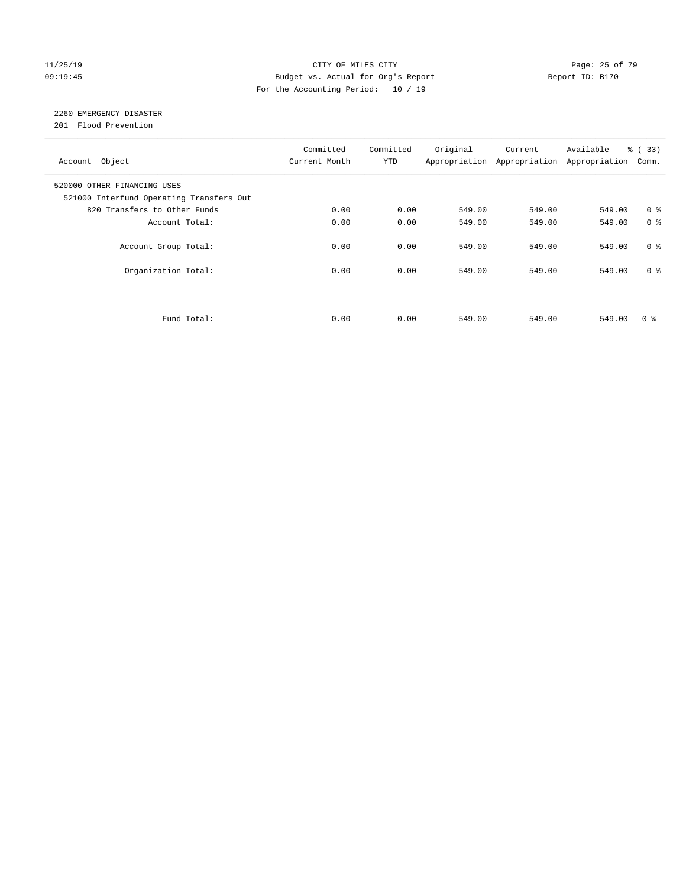#### 11/25/19 Page: 25 of 79 09:19:45 Budget vs. Actual for Org's Report Changer Report ID: B170 For the Accounting Period: 10 / 19

## 2260 EMERGENCY DISASTER

201 Flood Prevention

| Account Object                                                          | Committed<br>Current Month | Committed<br><b>YTD</b> | Original | Current<br>Appropriation Appropriation | Available<br>Appropriation | % (33)<br>Comm. |
|-------------------------------------------------------------------------|----------------------------|-------------------------|----------|----------------------------------------|----------------------------|-----------------|
| 520000 OTHER FINANCING USES<br>521000 Interfund Operating Transfers Out |                            |                         |          |                                        |                            |                 |
| 820 Transfers to Other Funds                                            | 0.00                       | 0.00                    | 549.00   | 549.00                                 | 549.00                     | 0 <sup>8</sup>  |
| Account Total:                                                          | 0.00                       | 0.00                    | 549.00   | 549.00                                 | 549.00                     | 0 <sup>8</sup>  |
| Account Group Total:                                                    | 0.00                       | 0.00                    | 549.00   | 549.00                                 | 549.00                     | 0 <sup>8</sup>  |
| Organization Total:                                                     | 0.00                       | 0.00                    | 549.00   | 549.00                                 | 549.00                     | 0 <sup>8</sup>  |
|                                                                         |                            |                         |          |                                        |                            |                 |
| Fund Total:                                                             | 0.00                       | 0.00                    | 549.00   | 549.00                                 | 549.00                     | 0 %             |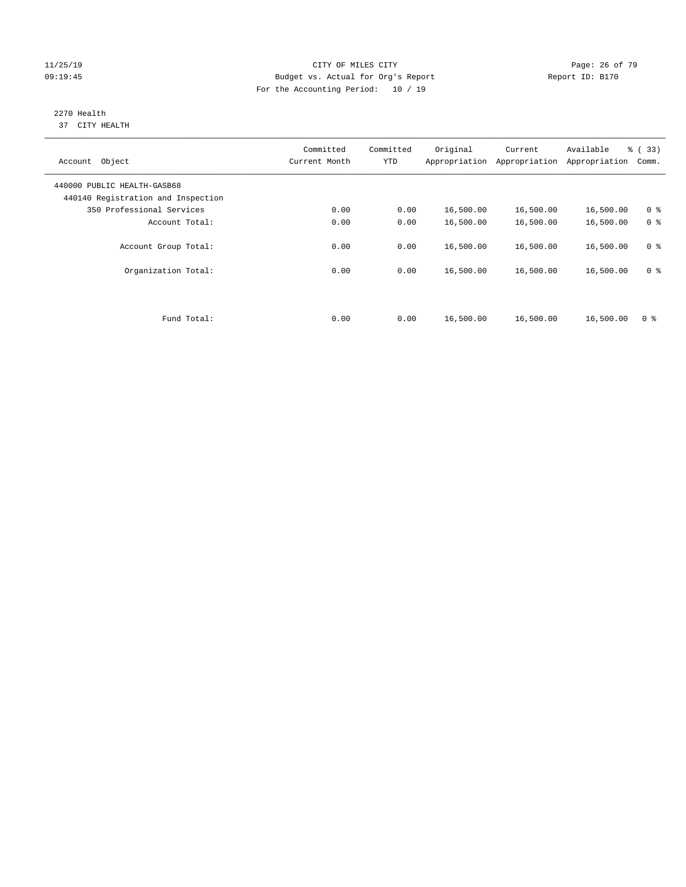#### 11/25/19 Page: 26 of 79 09:19:45 Budget vs. Actual for Org's Report Changer Report ID: B170 For the Accounting Period: 10 / 19

#### 2270 Health 37 CITY HEALTH

| Account Object                                                    | Committed<br>Current Month | Committed<br><b>YTD</b> | Original  | Current<br>Appropriation Appropriation | Available<br>Appropriation | % (33)<br>Comm. |
|-------------------------------------------------------------------|----------------------------|-------------------------|-----------|----------------------------------------|----------------------------|-----------------|
| 440000 PUBLIC HEALTH-GASB68<br>440140 Registration and Inspection |                            |                         |           |                                        |                            |                 |
| 350 Professional Services                                         | 0.00                       | 0.00                    | 16,500.00 | 16,500.00                              | 16,500.00                  | 0 <sup>8</sup>  |
| Account Total:                                                    | 0.00                       | 0.00                    | 16,500.00 | 16,500.00                              | 16,500.00                  | 0 <sup>8</sup>  |
| Account Group Total:                                              | 0.00                       | 0.00                    | 16,500.00 | 16,500.00                              | 16,500.00                  | 0 <sup>8</sup>  |
| Organization Total:                                               | 0.00                       | 0.00                    | 16,500.00 | 16,500.00                              | 16,500.00                  | 0 <sup>8</sup>  |
|                                                                   |                            |                         |           |                                        |                            |                 |
| Fund Total:                                                       | 0.00                       | 0.00                    | 16,500.00 | 16,500.00                              | 16,500.00                  | 0 <sup>8</sup>  |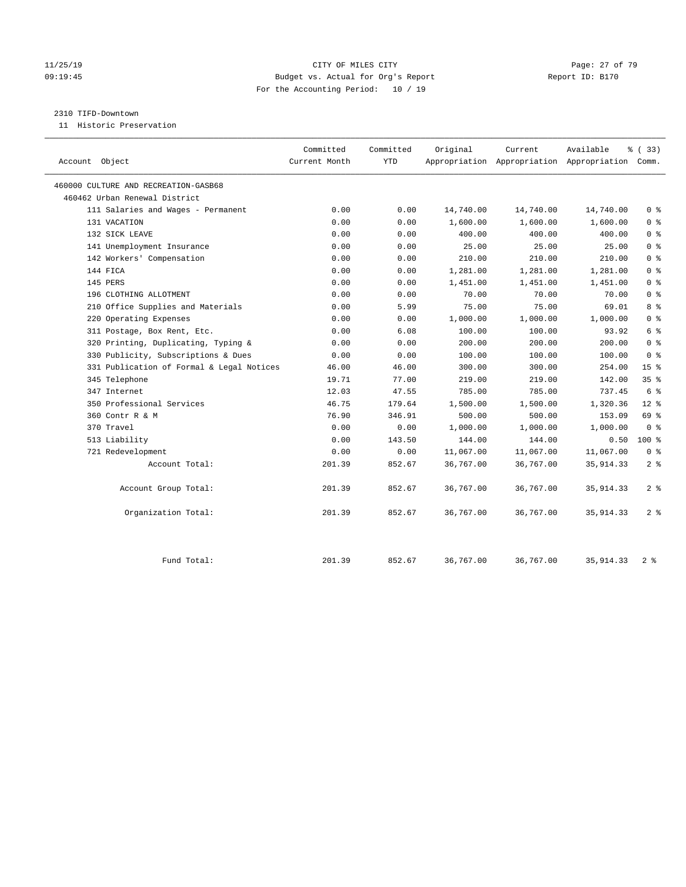#### 11/25/19 Page: 27 of 79 09:19:45 Budget vs. Actual for Org's Report Report ID: B170 For the Accounting Period: 10 / 19

#### 2310 TIFD-Downtown

11 Historic Preservation

| Account Object                            | Committed<br>Current Month | Committed<br>YTD | Original  | Current   | Available<br>Appropriation Appropriation Appropriation Comm. | % (33)          |
|-------------------------------------------|----------------------------|------------------|-----------|-----------|--------------------------------------------------------------|-----------------|
| 460000 CULTURE AND RECREATION-GASB68      |                            |                  |           |           |                                                              |                 |
| 460462 Urban Renewal District             |                            |                  |           |           |                                                              |                 |
| 111 Salaries and Wages - Permanent        | 0.00                       | 0.00             | 14,740.00 | 14,740.00 | 14,740.00                                                    | 0 <sup>8</sup>  |
| 131 VACATION                              | 0.00                       | 0.00             | 1,600.00  | 1,600.00  | 1,600.00                                                     | 0 <sup>8</sup>  |
| 132 SICK LEAVE                            | 0.00                       | 0.00             | 400.00    | 400.00    | 400.00                                                       | 0 <sup>8</sup>  |
| 141 Unemployment Insurance                | 0.00                       | 0.00             | 25.00     | 25.00     | 25.00                                                        | 0 <sup>8</sup>  |
| 142 Workers' Compensation                 | 0.00                       | 0.00             | 210.00    | 210.00    | 210.00                                                       | 0 <sup>8</sup>  |
| 144 FICA                                  | 0.00                       | 0.00             | 1,281.00  | 1,281.00  | 1,281.00                                                     | 0 <sup>8</sup>  |
| 145 PERS                                  | 0.00                       | 0.00             | 1,451.00  | 1,451.00  | 1,451.00                                                     | 0 <sup>8</sup>  |
| 196 CLOTHING ALLOTMENT                    | 0.00                       | 0.00             | 70.00     | 70.00     | 70.00                                                        | 0 <sup>8</sup>  |
| 210 Office Supplies and Materials         | 0.00                       | 5.99             | 75.00     | 75.00     | 69.01                                                        | 8 %             |
| 220 Operating Expenses                    | 0.00                       | 0.00             | 1,000.00  | 1,000.00  | 1,000.00                                                     | 0 <sup>8</sup>  |
| 311 Postage, Box Rent, Etc.               | 0.00                       | 6.08             | 100.00    | 100.00    | 93.92                                                        | 6 %             |
| 320 Printing, Duplicating, Typing &       | 0.00                       | 0.00             | 200.00    | 200.00    | 200.00                                                       | 0 <sup>8</sup>  |
| 330 Publicity, Subscriptions & Dues       | 0.00                       | 0.00             | 100.00    | 100.00    | 100.00                                                       | 0 <sup>8</sup>  |
| 331 Publication of Formal & Legal Notices | 46.00                      | 46.00            | 300.00    | 300.00    | 254.00                                                       | 15 <sup>°</sup> |
| 345 Telephone                             | 19.71                      | 77.00            | 219.00    | 219.00    | 142.00                                                       | 35 <sup>8</sup> |
| 347 Internet                              | 12.03                      | 47.55            | 785.00    | 785.00    | 737.45                                                       | 6 %             |
| 350 Professional Services                 | 46.75                      | 179.64           | 1,500.00  | 1,500.00  | 1,320.36                                                     | $12*$           |
| 360 Contr R & M                           | 76.90                      | 346.91           | 500.00    | 500.00    | 153.09                                                       | 69 %            |
| 370 Travel                                | 0.00                       | 0.00             | 1,000.00  | 1,000.00  | 1,000.00                                                     | 0 <sup>8</sup>  |
| 513 Liability                             | 0.00                       | 143.50           | 144.00    | 144.00    | 0.50                                                         | $100*$          |
| 721 Redevelopment                         | 0.00                       | 0.00             | 11,067.00 | 11,067.00 | 11,067.00                                                    | 0 <sup>8</sup>  |
| Account Total:                            | 201.39                     | 852.67           | 36,767.00 | 36,767.00 | 35, 914.33                                                   | 2 <sup>8</sup>  |
| Account Group Total:                      | 201.39                     | 852.67           | 36,767.00 | 36,767.00 | 35, 914.33                                                   | 2 <sup>8</sup>  |
| Organization Total:                       | 201.39                     | 852.67           | 36,767.00 | 36,767.00 | 35, 914. 33                                                  | 2 <sup>8</sup>  |
| Fund Total:                               | 201.39                     | 852.67           | 36,767.00 | 36,767.00 | 35, 914. 33                                                  | 2 <sup>8</sup>  |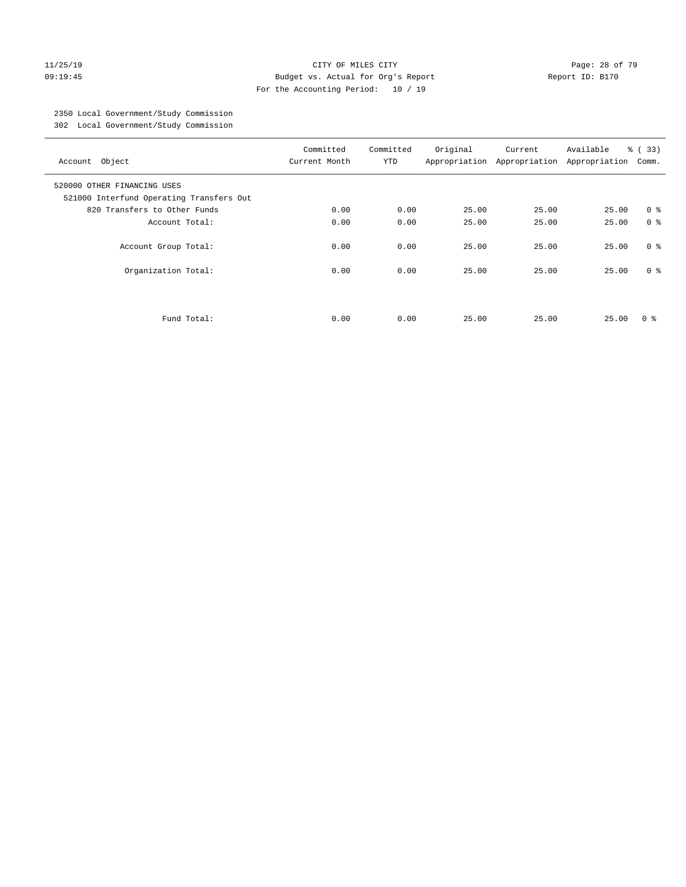#### 11/25/19 Page: 28 of 79 09:19:45 Budget vs. Actual for Org's Report Changer Report ID: B170 For the Accounting Period: 10 / 19

## 2350 Local Government/Study Commission

302 Local Government/Study Commission

| Account Object                                                          | Committed<br>Current Month | Committed<br><b>YTD</b> | Original | Current<br>Appropriation Appropriation | Available<br>Appropriation | % (33)<br>Comm. |
|-------------------------------------------------------------------------|----------------------------|-------------------------|----------|----------------------------------------|----------------------------|-----------------|
| 520000 OTHER FINANCING USES<br>521000 Interfund Operating Transfers Out |                            |                         |          |                                        |                            |                 |
| 820 Transfers to Other Funds                                            | 0.00                       | 0.00                    | 25.00    | 25.00                                  | 25.00                      | 0 <sup>8</sup>  |
| Account Total:                                                          | 0.00                       | 0.00                    | 25.00    | 25.00                                  | 25.00                      | 0 <sup>8</sup>  |
| Account Group Total:                                                    | 0.00                       | 0.00                    | 25.00    | 25.00                                  | 25.00                      | 0 <sup>8</sup>  |
| Organization Total:                                                     | 0.00                       | 0.00                    | 25.00    | 25.00                                  | 25.00                      | 0 <sup>8</sup>  |
| Fund Total:                                                             | 0.00                       | 0.00                    | 25.00    | 25.00                                  | 25.00                      | 0 ៖             |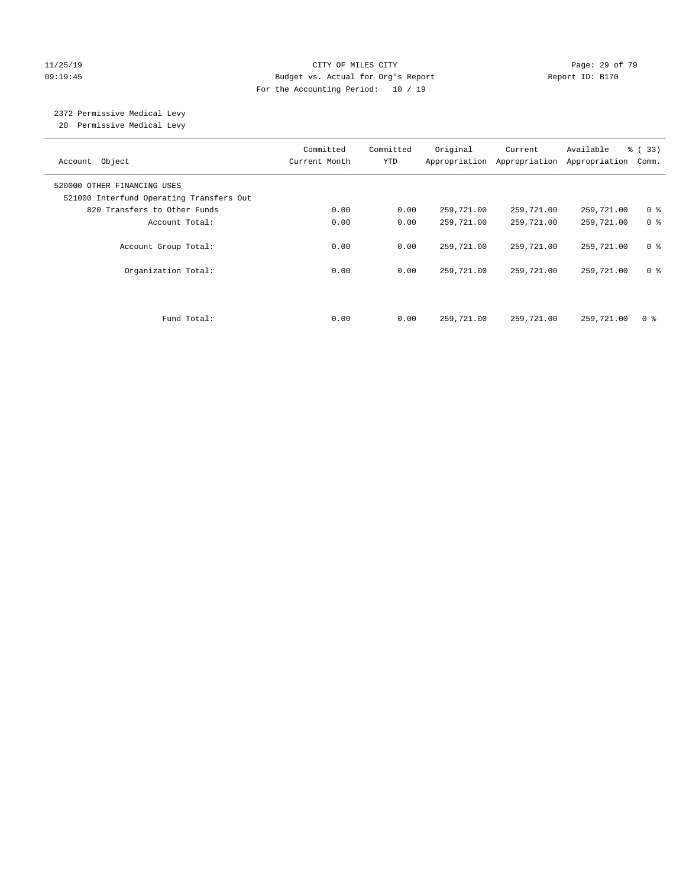#### 11/25/19 Page: 29 of 79 09:19:45 Budget vs. Actual for Org's Report Changer Report ID: B170 For the Accounting Period: 10 / 19

# 2372 Permissive Medical Levy

20 Permissive Medical Levy

| Account Object                                                          | Committed<br>Current Month | Committed<br><b>YTD</b> | Original   | Current<br>Appropriation Appropriation | Available<br>Appropriation | % (33)<br>Comm. |
|-------------------------------------------------------------------------|----------------------------|-------------------------|------------|----------------------------------------|----------------------------|-----------------|
| 520000 OTHER FINANCING USES<br>521000 Interfund Operating Transfers Out |                            |                         |            |                                        |                            |                 |
| 820 Transfers to Other Funds                                            | 0.00                       | 0.00                    | 259,721.00 | 259,721.00                             | 259,721.00                 | 0 <sup>8</sup>  |
| Account Total:                                                          | 0.00                       | 0.00                    | 259,721.00 | 259,721.00                             | 259,721.00                 | 0 <sup>8</sup>  |
| Account Group Total:                                                    | 0.00                       | 0.00                    | 259,721.00 | 259,721.00                             | 259,721.00                 | 0 <sup>8</sup>  |
| Organization Total:                                                     | 0.00                       | 0.00                    | 259,721.00 | 259,721.00                             | 259,721.00                 | 0 <sup>8</sup>  |
|                                                                         |                            |                         |            |                                        |                            |                 |
| Fund Total:                                                             | 0.00                       | 0.00                    | 259,721.00 | 259,721.00                             | 259,721.00                 | 0 %             |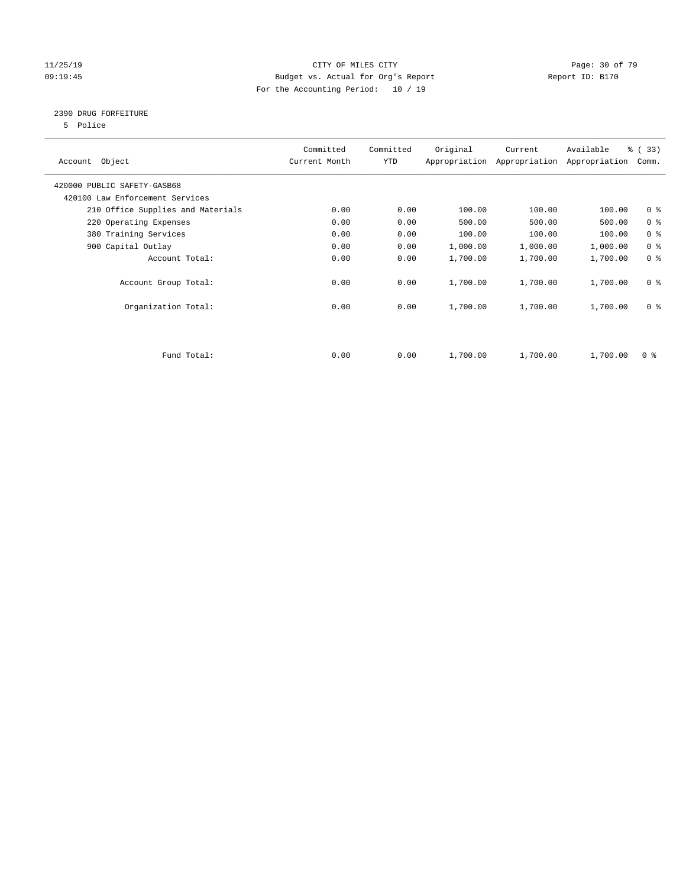#### 11/25/19 Page: 30 of 79 09:19:45 Budget vs. Actual for Org's Report Communication of Report ID: B170 For the Accounting Period: 10 / 19

#### 2390 DRUG FORFEITURE

5 Police

| Account Object                    | Committed<br>Current Month | Committed<br>YTD | Original | Current<br>Appropriation Appropriation | Available<br>Appropriation | % (33)<br>Comm. |
|-----------------------------------|----------------------------|------------------|----------|----------------------------------------|----------------------------|-----------------|
| 420000 PUBLIC SAFETY-GASB68       |                            |                  |          |                                        |                            |                 |
| 420100 Law Enforcement Services   |                            |                  |          |                                        |                            |                 |
| 210 Office Supplies and Materials | 0.00                       | 0.00             | 100.00   | 100.00                                 | 100.00                     | 0 <sub>8</sub>  |
| 220 Operating Expenses            | 0.00                       | 0.00             | 500.00   | 500.00                                 | 500.00                     | 0 <sup>8</sup>  |
| 380 Training Services             | 0.00                       | 0.00             | 100.00   | 100.00                                 | 100.00                     | 0 <sup>8</sup>  |
| 900 Capital Outlay                | 0.00                       | 0.00             | 1,000.00 | 1,000.00                               | 1,000.00                   | 0 <sup>8</sup>  |
| Account Total:                    | 0.00                       | 0.00             | 1,700.00 | 1,700.00                               | 1,700.00                   | 0 <sup>8</sup>  |
| Account Group Total:              | 0.00                       | 0.00             | 1,700.00 | 1,700.00                               | 1,700.00                   | 0 <sup>8</sup>  |
| Organization Total:               | 0.00                       | 0.00             | 1,700.00 | 1,700.00                               | 1,700.00                   | 0 <sup>8</sup>  |
|                                   |                            |                  |          |                                        |                            |                 |
| Fund Total:                       | 0.00                       | 0.00             | 1,700.00 | 1,700.00                               | 1,700.00                   | 0 %             |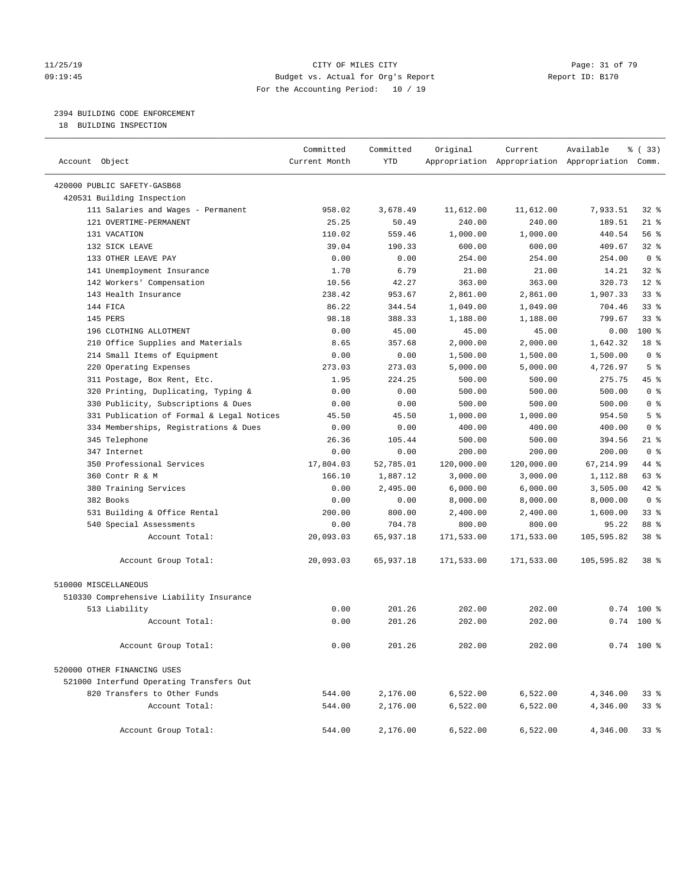#### 11/25/19 Page: 31 of 79 Page: 31 of 79 Page: 31 of 79 Page: 31 of 79 Page: 31 of 79 Page: 31 of 79 Page: 31 of 79 09:19:45 Budget vs. Actual for Org's Report Report ID: B170 For the Accounting Period: 10 / 19

#### 2394 BUILDING CODE ENFORCEMENT

18 BUILDING INSPECTION

| Account Object                            | Committed<br>Current Month | Committed<br><b>YTD</b> | Original   | Current    | Available<br>Appropriation Appropriation Appropriation Comm. | ៖ (33)          |
|-------------------------------------------|----------------------------|-------------------------|------------|------------|--------------------------------------------------------------|-----------------|
|                                           |                            |                         |            |            |                                                              |                 |
| 420000 PUBLIC SAFETY-GASB68               |                            |                         |            |            |                                                              |                 |
| 420531 Building Inspection                |                            |                         |            |            |                                                              |                 |
| 111 Salaries and Wages - Permanent        | 958.02                     | 3,678.49                | 11,612.00  | 11,612.00  | 7,933.51                                                     | $32$ $%$        |
| 121 OVERTIME-PERMANENT                    | 25.25                      | 50.49                   | 240.00     | 240.00     | 189.51                                                       | $21$ %          |
| 131 VACATION                              | 110.02                     | 559.46                  | 1,000.00   | 1,000.00   | 440.54                                                       | 56%             |
| 132 SICK LEAVE                            | 39.04                      | 190.33                  | 600.00     | 600.00     | 409.67                                                       | 328             |
| 133 OTHER LEAVE PAY                       | 0.00                       | 0.00                    | 254.00     | 254.00     | 254.00                                                       | 0 <sup>8</sup>  |
| 141 Unemployment Insurance                | 1.70                       | 6.79                    | 21.00      | 21.00      | 14.21                                                        | 32%             |
| 142 Workers' Compensation                 | 10.56                      | 42.27                   | 363.00     | 363.00     | 320.73                                                       | $12*$           |
| 143 Health Insurance                      | 238.42                     | 953.67                  | 2,861.00   | 2,861.00   | 1,907.33                                                     | 33%             |
| 144 FICA                                  | 86.22                      | 344.54                  | 1,049.00   | 1,049.00   | 704.46                                                       | 338             |
| 145 PERS                                  | 98.18                      | 388.33                  | 1,188.00   | 1,188.00   | 799.67                                                       | 33 <sup>8</sup> |
| 196 CLOTHING ALLOTMENT                    | 0.00                       | 45.00                   | 45.00      | 45.00      | 0.00                                                         | 100 %           |
| 210 Office Supplies and Materials         | 8.65                       | 357.68                  | 2,000.00   | 2,000.00   | 1,642.32                                                     | 18 %            |
| 214 Small Items of Equipment              | 0.00                       | 0.00                    | 1,500.00   | 1,500.00   | 1,500.00                                                     | 0 <sup>8</sup>  |
| 220 Operating Expenses                    | 273.03                     | 273.03                  | 5,000.00   | 5,000.00   | 4,726.97                                                     | 5 <sup>8</sup>  |
| 311 Postage, Box Rent, Etc.               | 1.95                       | 224.25                  | 500.00     | 500.00     | 275.75                                                       | 45 %            |
| 320 Printing, Duplicating, Typing &       | 0.00                       | 0.00                    | 500.00     | 500.00     | 500.00                                                       | 0 <sup>8</sup>  |
| 330 Publicity, Subscriptions & Dues       | 0.00                       | 0.00                    | 500.00     | 500.00     | 500.00                                                       | 0 <sup>8</sup>  |
| 331 Publication of Formal & Legal Notices | 45.50                      | 45.50                   | 1,000.00   | 1,000.00   | 954.50                                                       | 5 <sup>8</sup>  |
| 334 Memberships, Registrations & Dues     | 0.00                       | 0.00                    | 400.00     | 400.00     | 400.00                                                       | 0 <sup>8</sup>  |
| 345 Telephone                             | 26.36                      | 105.44                  | 500.00     | 500.00     | 394.56                                                       | $21$ %          |
| 347 Internet                              | 0.00                       | 0.00                    | 200.00     | 200.00     | 200.00                                                       | 0 <sup>8</sup>  |
| 350 Professional Services                 | 17,804.03                  | 52,785.01               | 120,000.00 | 120,000.00 | 67, 214.99                                                   | 44 %            |
| 360 Contr R & M                           | 166.10                     | 1,887.12                | 3,000.00   | 3,000.00   | 1,112.88                                                     | 63 %            |
| 380 Training Services                     | 0.00                       | 2,495.00                | 6,000.00   | 6,000.00   | 3,505.00                                                     | $42$ $%$        |
| 382 Books                                 | 0.00                       | 0.00                    | 8,000.00   | 8,000.00   | 8,000.00                                                     | 0 <sup>8</sup>  |
| 531 Building & Office Rental              | 200.00                     | 800.00                  | 2,400.00   | 2,400.00   | 1,600.00                                                     | 33%             |
| 540 Special Assessments                   | 0.00                       | 704.78                  | 800.00     | 800.00     | 95.22                                                        | 88 %            |
| Account Total:                            | 20,093.03                  | 65,937.18               | 171,533.00 | 171,533.00 | 105,595.82                                                   | 38 %            |
| Account Group Total:                      | 20,093.03                  | 65,937.18               | 171,533.00 | 171,533.00 | 105,595.82                                                   | 38 <sup>8</sup> |
| 510000 MISCELLANEOUS                      |                            |                         |            |            |                                                              |                 |
| 510330 Comprehensive Liability Insurance  |                            |                         |            |            |                                                              |                 |
| 513 Liability                             | 0.00                       | 201.26                  | 202.00     | 202.00     | 0.74                                                         | $100*$          |
| Account Total:                            | 0.00                       | 201.26                  | 202.00     | 202.00     |                                                              | $0.74$ 100 %    |
|                                           |                            |                         |            |            |                                                              |                 |
| Account Group Total:                      | 0.00                       | 201.26                  | 202.00     | 202.00     |                                                              | $0.74$ 100 %    |
| 520000 OTHER FINANCING USES               |                            |                         |            |            |                                                              |                 |
| 521000 Interfund Operating Transfers Out  |                            |                         |            |            |                                                              |                 |
| 820 Transfers to Other Funds              | 544.00                     | 2,176.00                | 6,522.00   | 6,522.00   | 4,346.00                                                     | 33%             |
| Account Total:                            | 544.00                     | 2,176.00                | 6,522.00   | 6,522.00   | 4,346.00                                                     | 33%             |
|                                           |                            |                         |            |            |                                                              |                 |
| Account Group Total:                      | 544.00                     | 2,176.00                | 6,522.00   | 6,522.00   | 4,346.00                                                     | 33 <sub>8</sub> |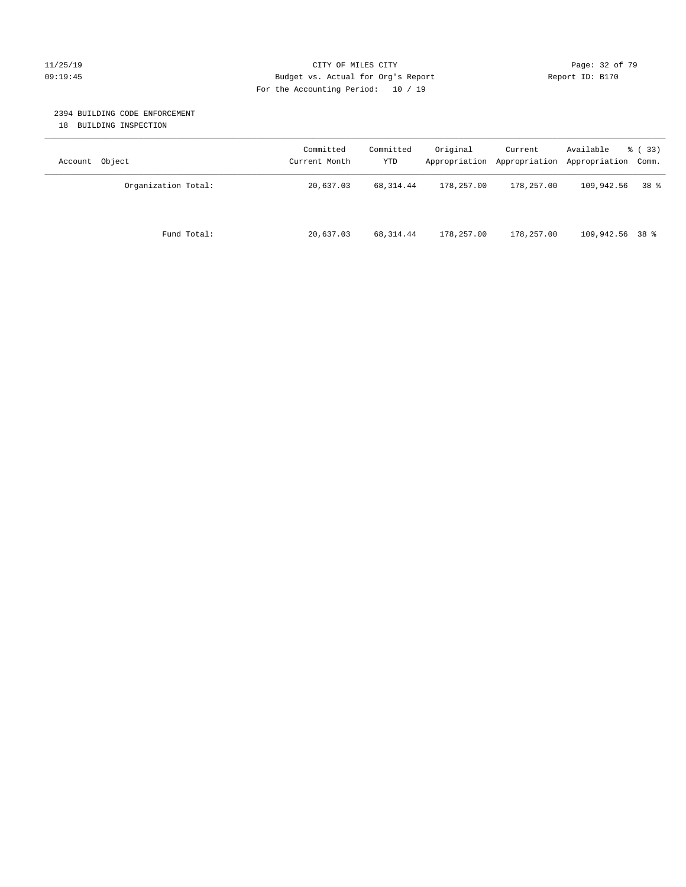#### 11/25/19 Page: 32 of 79 09:19:45 Budget vs. Actual for Org's Report Changer Report ID: B170 For the Accounting Period: 10 / 19

#### 2394 BUILDING CODE ENFORCEMENT

18 BUILDING INSPECTION

| Account Object      | Committed<br>Current Month | Committed<br>YTD | Original   | Current<br>Appropriation Appropriation Appropriation Comm. | Available       | % ( 33 )        |
|---------------------|----------------------------|------------------|------------|------------------------------------------------------------|-----------------|-----------------|
| Organization Total: | 20,637.03                  | 68,314.44        | 178,257.00 | 178,257.00                                                 | 109,942.56      | 38 <sup>8</sup> |
| Fund Total:         | 20,637.03                  | 68,314.44        | 178,257.00 | 178,257.00                                                 | 109,942.56 38 % |                 |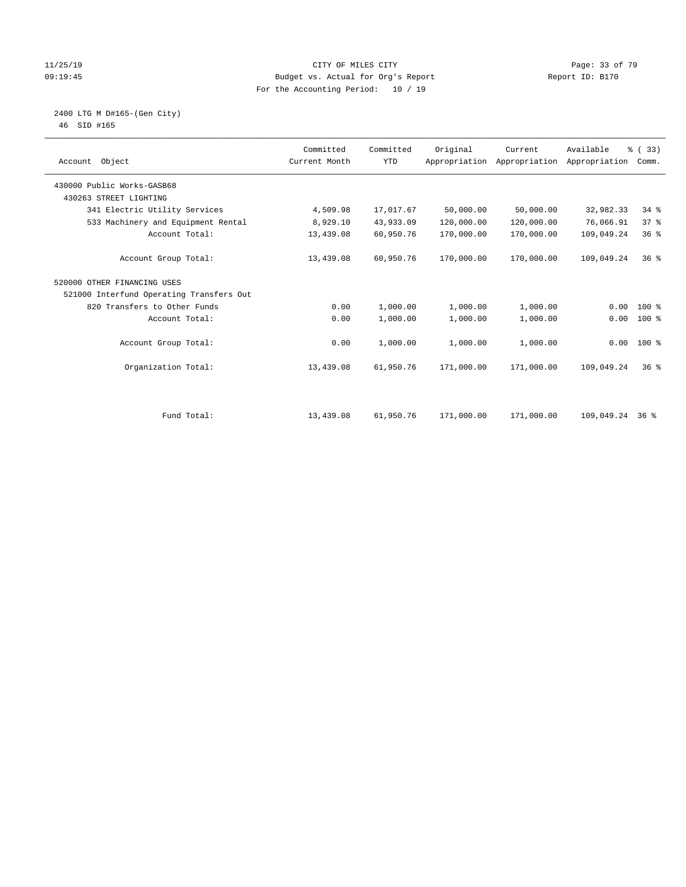#### 11/25/19 Page: 33 of 79 09:19:45 Budget vs. Actual for Org's Report Changer Report ID: B170 For the Accounting Period: 10 / 19

 2400 LTG M D#165-(Gen City) 46 SID #165

| Account Object                           | Committed<br>Current Month | Committed<br><b>YTD</b> | Original   | Current<br>Appropriation Appropriation | Available<br>Appropriation | % (33)<br>Comm. |  |
|------------------------------------------|----------------------------|-------------------------|------------|----------------------------------------|----------------------------|-----------------|--|
| 430000 Public Works-GASB68               |                            |                         |            |                                        |                            |                 |  |
| 430263 STREET LIGHTING                   |                            |                         |            |                                        |                            |                 |  |
| 341 Electric Utility Services            | 4,509.98                   | 17,017.67               | 50,000.00  | 50,000.00                              | 32,982.33                  | 34.8            |  |
| 533 Machinery and Equipment Rental       | 8,929.10                   | 43,933.09               | 120,000.00 | 120,000.00                             | 76,066.91                  | 37%             |  |
| Account Total:                           | 13,439.08                  | 60,950.76               | 170,000.00 | 170,000.00                             | 109,049.24                 | 36%             |  |
| Account Group Total:                     | 13,439.08                  | 60,950.76               | 170,000.00 | 170,000.00                             | 109,049.24                 | 36 <sup>8</sup> |  |
| 520000 OTHER FINANCING USES              |                            |                         |            |                                        |                            |                 |  |
| 521000 Interfund Operating Transfers Out |                            |                         |            |                                        |                            |                 |  |
| 820 Transfers to Other Funds             | 0.00                       | 1,000.00                | 1,000.00   | 1,000.00                               | 0.00                       | 100 %           |  |
| Account Total:                           | 0.00                       | 1,000.00                | 1,000.00   | 1,000.00                               | 0.00                       | $100*$          |  |
| Account Group Total:                     | 0.00                       | 1,000.00                | 1,000.00   | 1,000.00                               | 0.00                       | 100 %           |  |
| Organization Total:                      | 13,439.08                  | 61,950.76               | 171,000.00 | 171,000.00                             | 109,049.24                 | $36*$           |  |
| Fund Total:                              | 13,439.08                  | 61,950.76               | 171,000.00 | 171,000.00                             | 109,049.24                 | 36 %            |  |
|                                          |                            |                         |            |                                        |                            |                 |  |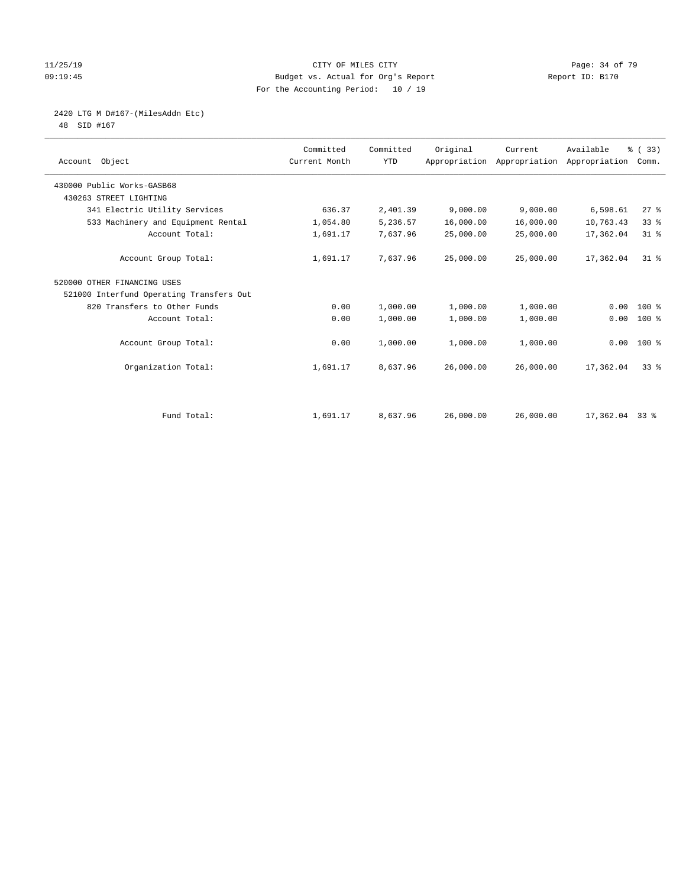#### 11/25/19 Page: 34 of 79 09:19:45 Budget vs. Actual for Org's Report Report ID: B170 For the Accounting Period: 10 / 19

# 2420 LTG M D#167-(MilesAddn Etc)

48 SID #167

| Account Object                           | Committed<br>Current Month | Committed<br><b>YTD</b> | Original  | Current   | Available<br>Appropriation Appropriation Appropriation | % (33)<br>Comm. |
|------------------------------------------|----------------------------|-------------------------|-----------|-----------|--------------------------------------------------------|-----------------|
| 430000 Public Works-GASB68               |                            |                         |           |           |                                                        |                 |
| 430263 STREET LIGHTING                   |                            |                         |           |           |                                                        |                 |
| 341 Electric Utility Services            | 636.37                     | 2,401.39                | 9,000.00  | 9,000.00  | 6,598.61                                               | $27$ $%$        |
| 533 Machinery and Equipment Rental       | 1,054.80                   | 5,236.57                | 16,000.00 | 16,000.00 | 10,763.43                                              | 33%             |
| Account Total:                           | 1,691.17                   | 7,637.96                | 25,000.00 | 25,000.00 | 17,362.04                                              | $31$ %          |
| Account Group Total:                     | 1,691.17                   | 7,637.96                | 25,000.00 | 25,000.00 | 17,362.04                                              | $31*$           |
| 520000 OTHER FINANCING USES              |                            |                         |           |           |                                                        |                 |
| 521000 Interfund Operating Transfers Out |                            |                         |           |           |                                                        |                 |
| 820 Transfers to Other Funds             | 0.00                       | 1,000.00                | 1,000.00  | 1,000.00  | 0.00                                                   | 100 %           |
| Account Total:                           | 0.00                       | 1,000.00                | 1,000.00  | 1,000.00  | 0.00                                                   | $100$ %         |
| Account Group Total:                     | 0.00                       | 1,000.00                | 1,000.00  | 1,000.00  |                                                        | $0.00 100$ %    |
| Organization Total:                      | 1,691.17                   | 8,637.96                | 26,000.00 | 26,000.00 | 17,362.04                                              | 338             |
|                                          |                            |                         |           |           |                                                        |                 |
| Fund Total:                              | 1,691.17                   | 8,637.96                | 26,000.00 | 26,000.00 | $17,362.04$ 33 %                                       |                 |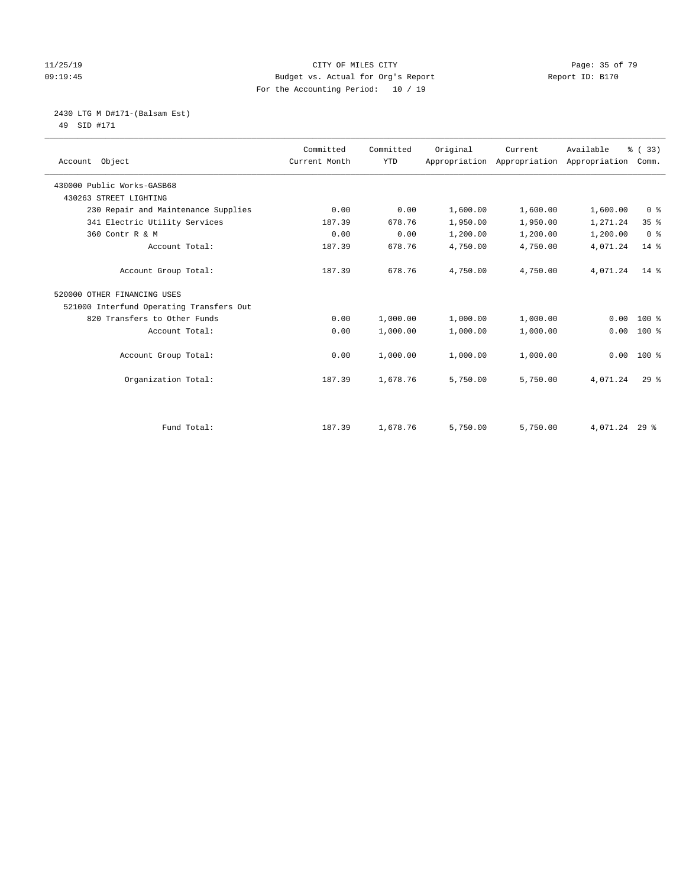#### 11/25/19 Page: 35 of 79 09:19:45 Budget vs. Actual for Org's Report Changer Report ID: B170 For the Accounting Period: 10 / 19

# 2430 LTG M D#171-(Balsam Est)

49 SID #171

| Account Object                           | Committed<br>Current Month | Committed<br><b>YTD</b> | Original | Current<br>Appropriation Appropriation Appropriation | Available     | % (33)<br>Comm. |
|------------------------------------------|----------------------------|-------------------------|----------|------------------------------------------------------|---------------|-----------------|
|                                          |                            |                         |          |                                                      |               |                 |
| 430000 Public Works-GASB68               |                            |                         |          |                                                      |               |                 |
| 430263 STREET LIGHTING                   |                            |                         |          |                                                      |               |                 |
| 230 Repair and Maintenance Supplies      | 0.00                       | 0.00                    | 1,600.00 | 1,600.00                                             | 1,600.00      | 0 <sup>8</sup>  |
| 341 Electric Utility Services            | 187.39                     | 678.76                  | 1,950.00 | 1,950.00                                             | 1,271.24      | 35%             |
| 360 Contr R & M                          | 0.00                       | 0.00                    | 1,200.00 | 1,200.00                                             | 1,200.00      | 0 <sup>8</sup>  |
| Account Total:                           | 187.39                     | 678.76                  | 4,750.00 | 4,750.00                                             | 4,071.24      | 14 %            |
| Account Group Total:                     | 187.39                     | 678.76                  | 4,750.00 | 4,750.00                                             | 4,071.24      | $14*$           |
| 520000 OTHER FINANCING USES              |                            |                         |          |                                                      |               |                 |
| 521000 Interfund Operating Transfers Out |                            |                         |          |                                                      |               |                 |
| 820 Transfers to Other Funds             | 0.00                       | 1,000.00                | 1,000.00 | 1,000.00                                             | 0.00          | $100$ %         |
| Account Total:                           | 0.00                       | 1,000.00                | 1,000.00 | 1,000.00                                             | 0.00          | $100*$          |
| Account Group Total:                     | 0.00                       | 1,000.00                | 1,000.00 | 1,000.00                                             | 0.00          | 100 %           |
| Organization Total:                      | 187.39                     | 1,678.76                | 5,750.00 | 5,750.00                                             | 4,071.24      | $29*$           |
|                                          |                            |                         |          |                                                      |               |                 |
| Fund Total:                              | 187.39                     | 1,678.76                | 5,750.00 | 5,750.00                                             | 4,071.24 29 % |                 |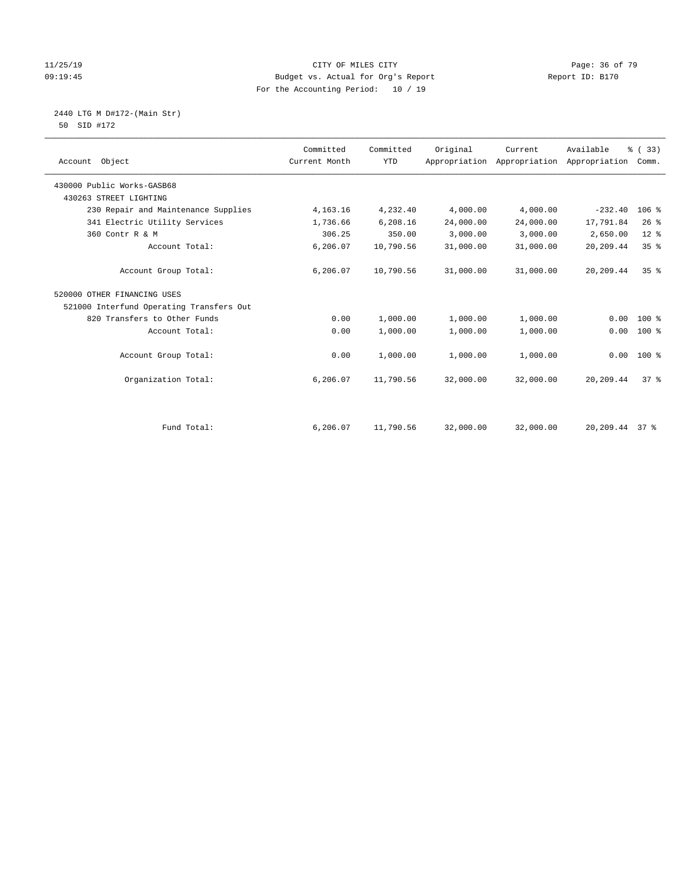#### 11/25/19 Page: 36 of 79 09:19:45 Budget vs. Actual for Org's Report Report ID: B170 For the Accounting Period: 10 / 19

 2440 LTG M D#172-(Main Str) 50 SID #172

| Account Object                           | Committed<br>Current Month | Committed<br>YTD | Original  | Current<br>Appropriation Appropriation Appropriation | Available      | % (33)<br>Comm. |  |
|------------------------------------------|----------------------------|------------------|-----------|------------------------------------------------------|----------------|-----------------|--|
| 430000 Public Works-GASB68               |                            |                  |           |                                                      |                |                 |  |
| 430263 STREET LIGHTING                   |                            |                  |           |                                                      |                |                 |  |
| 230 Repair and Maintenance Supplies      | 4, 163. 16                 | 4,232.40         | 4,000.00  | 4,000.00                                             | $-232.40$      | $106$ %         |  |
| 341 Electric Utility Services            | 1,736.66                   | 6,208.16         | 24,000.00 | 24,000.00                                            | 17,791.84      | 26%             |  |
| 360 Contr R & M                          | 306.25                     | 350.00           | 3,000.00  | 3,000.00                                             | 2,650.00       | $12*$           |  |
| Account Total:                           | 6,206.07                   | 10,790.56        | 31,000.00 | 31,000.00                                            | 20,209.44      | 35%             |  |
| Account Group Total:                     | 6,206.07                   | 10,790.56        | 31,000.00 | 31,000.00                                            | 20,209.44      | 35 <sup>8</sup> |  |
| 520000 OTHER FINANCING USES              |                            |                  |           |                                                      |                |                 |  |
| 521000 Interfund Operating Transfers Out |                            |                  |           |                                                      |                |                 |  |
| 820 Transfers to Other Funds             | 0.00                       | 1,000.00         | 1,000.00  | 1,000.00                                             | 0.00           | $100*$          |  |
| Account Total:                           | 0.00                       | 1,000.00         | 1,000.00  | 1,000.00                                             | 0.00           | $100*$          |  |
| Account Group Total:                     | 0.00                       | 1,000.00         | 1,000.00  | 1,000.00                                             |                | $0.00$ 100 %    |  |
| Organization Total:                      | 6,206.07                   | 11,790.56        | 32,000.00 | 32,000.00                                            | 20,209.44      | 378             |  |
| Fund Total:                              | 6,206.07                   | 11,790.56        | 32,000.00 | 32,000.00                                            | 20,209.44 37 % |                 |  |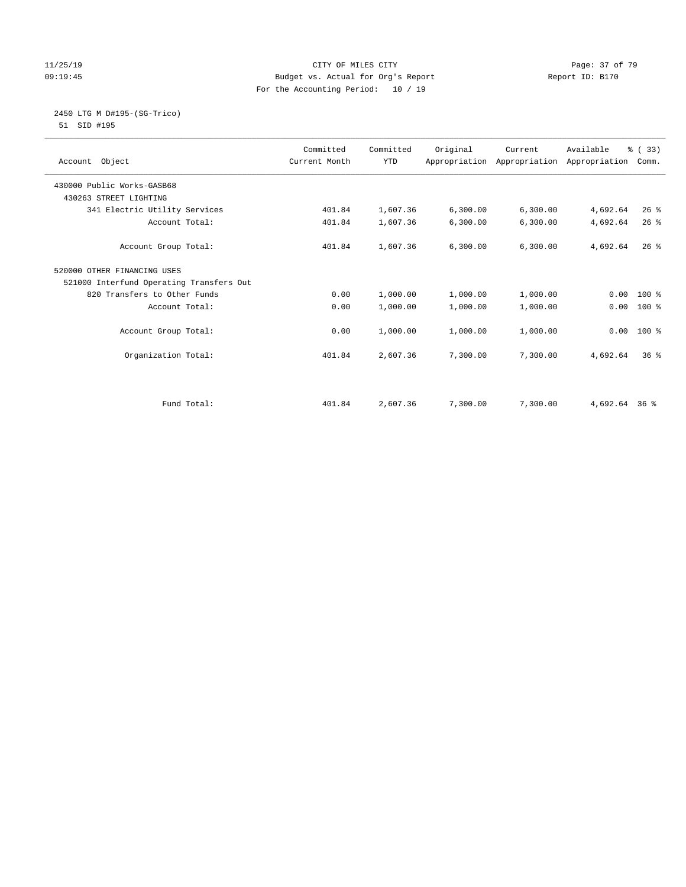#### 11/25/19 Page: 37 of 79 09:19:45 Budget vs. Actual for Org's Report Report ID: B170 For the Accounting Period: 10 / 19

 2450 LTG M D#195-(SG-Trico) 51 SID #195

| Account Object                           | Committed<br>Current Month | Committed<br><b>YTD</b> | Original | Current<br>Appropriation Appropriation Appropriation | Available     | % (33)<br>Comm. |  |
|------------------------------------------|----------------------------|-------------------------|----------|------------------------------------------------------|---------------|-----------------|--|
| 430000 Public Works-GASB68               |                            |                         |          |                                                      |               |                 |  |
| 430263 STREET LIGHTING                   |                            |                         |          |                                                      |               |                 |  |
| 341 Electric Utility Services            | 401.84                     | 1,607.36                | 6,300.00 | 6,300.00                                             | 4,692.64      | 26%             |  |
| Account Total:                           | 401.84                     | 1,607.36                | 6,300.00 | 6, 300.00                                            | 4,692.64      | $26$ $%$        |  |
| Account Group Total:                     | 401.84                     | 1,607.36                | 6,300.00 | 6,300.00                                             | 4,692.64      | $26$ %          |  |
| 520000 OTHER FINANCING USES              |                            |                         |          |                                                      |               |                 |  |
| 521000 Interfund Operating Transfers Out |                            |                         |          |                                                      |               |                 |  |
| 820 Transfers to Other Funds             | 0.00                       | 1,000.00                | 1,000.00 | 1,000.00                                             |               | $0.00$ 100 %    |  |
| Account Total:                           | 0.00                       | 1,000.00                | 1,000.00 | 1,000.00                                             | 0.00          | $100*$          |  |
| Account Group Total:                     | 0.00                       | 1,000.00                | 1,000.00 | 1,000.00                                             | 0.00          | $100*$          |  |
| Organization Total:                      | 401.84                     | 2,607.36                | 7,300.00 | 7,300.00                                             | 4,692.64      | 36 <sup>8</sup> |  |
| Fund Total:                              | 401.84                     | 2,607.36                | 7,300.00 | 7,300.00                                             | 4,692.64 36 % |                 |  |
|                                          |                            |                         |          |                                                      |               |                 |  |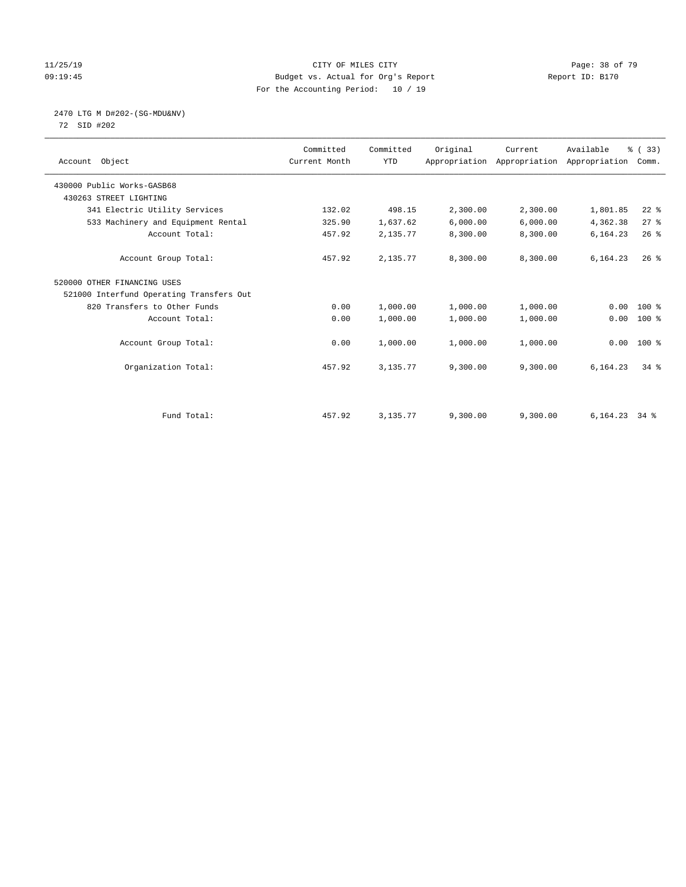#### 11/25/19 Page: 38 of 79 09:19:45 Budget vs. Actual for Org's Report Report ID: B170 For the Accounting Period: 10 / 19

# 2470 LTG M D#202-(SG-MDU&NV)

72 SID #202

| Account Object                           | Committed<br>Current Month | Committed<br><b>YTD</b> | Original | Current  | Available<br>Appropriation Appropriation Appropriation | % (33)<br>Comm. |  |
|------------------------------------------|----------------------------|-------------------------|----------|----------|--------------------------------------------------------|-----------------|--|
| 430000 Public Works-GASB68               |                            |                         |          |          |                                                        |                 |  |
| 430263 STREET LIGHTING                   |                            |                         |          |          |                                                        |                 |  |
| 341 Electric Utility Services            | 132.02                     | 498.15                  | 2,300.00 | 2,300.00 | 1,801.85                                               | $22$ $%$        |  |
| 533 Machinery and Equipment Rental       | 325.90                     | 1,637.62                | 6,000.00 | 6,000.00 | 4,362.38                                               | 27%             |  |
| Account Total:                           | 457.92                     | 2,135.77                | 8,300.00 | 8,300.00 | 6,164.23                                               | 26%             |  |
| Account Group Total:                     | 457.92                     | 2,135.77                | 8,300.00 | 8,300.00 | 6,164.23                                               | $26$ %          |  |
| 520000 OTHER FINANCING USES              |                            |                         |          |          |                                                        |                 |  |
| 521000 Interfund Operating Transfers Out |                            |                         |          |          |                                                        |                 |  |
| 820 Transfers to Other Funds             | 0.00                       | 1,000.00                | 1,000.00 | 1,000.00 | 0.00                                                   | $100*$          |  |
| Account Total:                           | 0.00                       | 1,000.00                | 1,000.00 | 1,000.00 | 0.00                                                   | $100$ %         |  |
| Account Group Total:                     | 0.00                       | 1,000.00                | 1,000.00 | 1,000.00 |                                                        | $0.00 100$ %    |  |
| Organization Total:                      | 457.92                     | 3,135.77                | 9,300.00 | 9,300.00 | 6,164.23                                               | $34$ $%$        |  |
|                                          |                            |                         |          |          |                                                        |                 |  |
| Fund Total:                              | 457.92                     | 3,135.77                | 9,300.00 | 9,300.00 | 6,164.23                                               | 34 %            |  |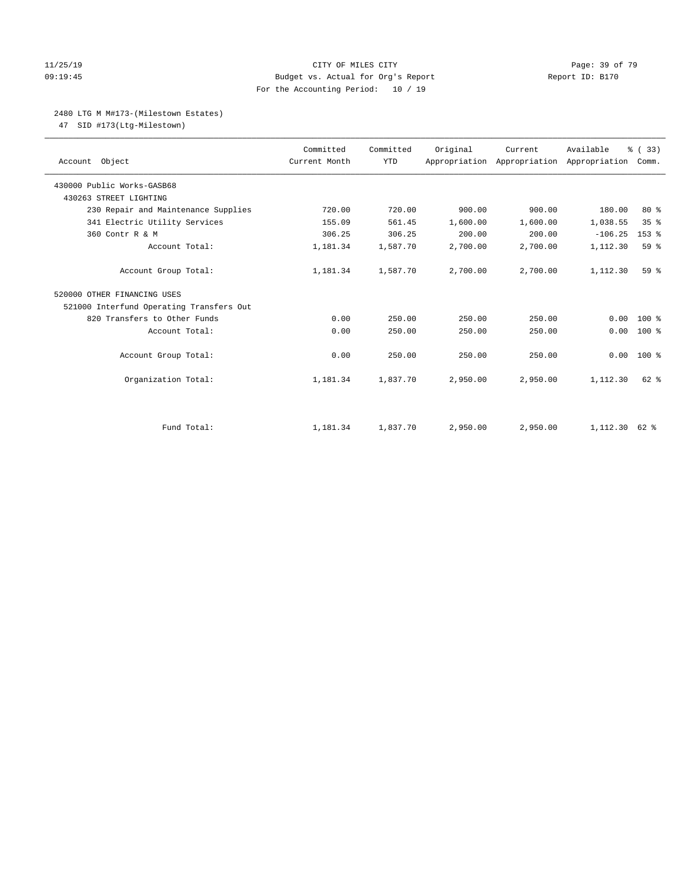#### 11/25/19 Page: 39 of 79 09:19:45 Budget vs. Actual for Org's Report Report ID: B170 For the Accounting Period: 10 / 19

#### 2480 LTG M M#173-(Milestown Estates)

47 SID #173(Ltg-Milestown)

| Account Object                           | Committed<br>Current Month | Committed<br><b>YTD</b> | Original | Current<br>Appropriation Appropriation Appropriation | Available | % (33)<br>Comm. |
|------------------------------------------|----------------------------|-------------------------|----------|------------------------------------------------------|-----------|-----------------|
| 430000 Public Works-GASB68               |                            |                         |          |                                                      |           |                 |
| 430263 STREET LIGHTING                   |                            |                         |          |                                                      |           |                 |
| 230 Repair and Maintenance Supplies      | 720.00                     | 720.00                  | 900.00   | 900.00                                               | 180.00    | 80%             |
| 341 Electric Utility Services            | 155.09                     | 561.45                  | 1,600.00 | 1,600.00                                             | 1,038.55  | 35%             |
| 360 Contr R & M                          | 306.25                     | 306.25                  | 200.00   | 200.00                                               | $-106.25$ | $153$ $%$       |
| Account Total:                           | 1,181.34                   | 1,587.70                | 2,700.00 | 2,700.00                                             | 1,112.30  | 59 %            |
| Account Group Total:                     | 1,181.34                   | 1,587.70                | 2,700.00 | 2,700.00                                             | 1,112.30  | 59 <sup>8</sup> |
| 520000 OTHER FINANCING USES              |                            |                         |          |                                                      |           |                 |
| 521000 Interfund Operating Transfers Out |                            |                         |          |                                                      |           |                 |
| 820 Transfers to Other Funds             | 0.00                       | 250.00                  | 250.00   | 250.00                                               | 0.00      | $100*$          |
| Account Total:                           | 0.00                       | 250.00                  | 250.00   | 250.00                                               | 0.00      | $100*$          |
| Account Group Total:                     | 0.00                       | 250.00                  | 250.00   | 250.00                                               | 0.00      | $100*$          |
| Organization Total:                      | 1,181.34                   | 1,837.70                | 2,950.00 | 2,950.00                                             | 1,112.30  | $62$ $%$        |
|                                          |                            |                         |          |                                                      |           |                 |
| Fund Total:                              | 1,181.34                   | 1,837.70                | 2,950.00 | 2,950.00                                             | 1,112.30  | 62 %            |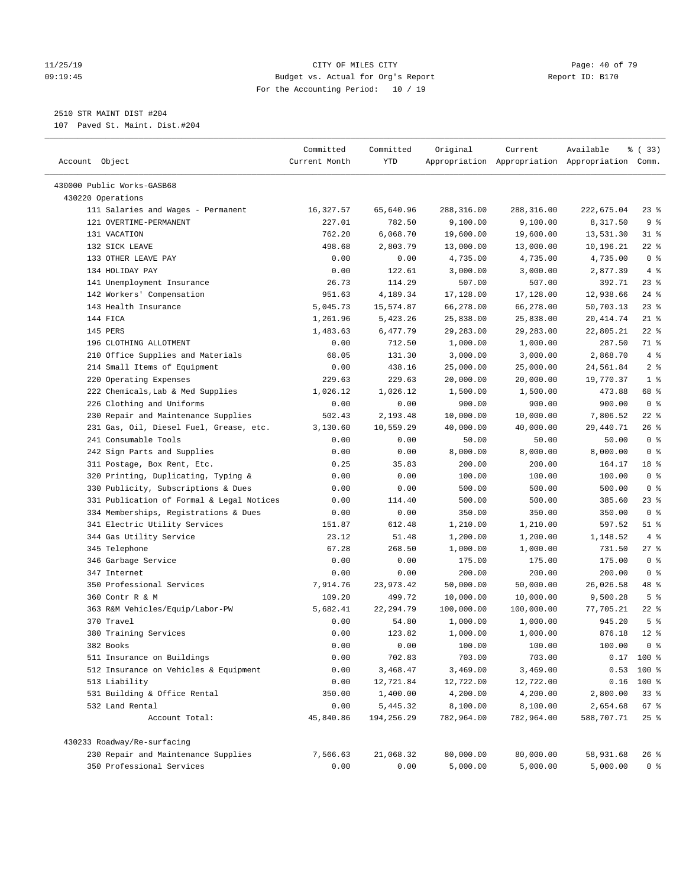#### 11/25/19 Page: 40 of 79 09:19:45 Budget vs. Actual for Org's Report Report ID: B170 For the Accounting Period: 10 / 19

————————————————————————————————————————————————————————————————————————————————————————————————————————————————————————————————————

# 2510 STR MAINT DIST #204

107 Paved St. Maint. Dist.#204

|                                                                                | Committed     | Committed  | Original   | Current    | Available                                       | % (33)         |
|--------------------------------------------------------------------------------|---------------|------------|------------|------------|-------------------------------------------------|----------------|
| Account Object                                                                 | Current Month | YTD        |            |            | Appropriation Appropriation Appropriation Comm. |                |
| 430000 Public Works-GASB68                                                     |               |            |            |            |                                                 |                |
| 430220 Operations                                                              |               |            |            |            |                                                 |                |
| 111 Salaries and Wages - Permanent                                             | 16,327.57     | 65,640.96  | 288,316.00 | 288,316.00 | 222,675.04                                      | $23$ %         |
| 121 OVERTIME-PERMANENT                                                         | 227.01        | 782.50     | 9,100.00   | 9,100.00   | 8,317.50                                        | 9%             |
| 131 VACATION                                                                   | 762.20        | 6,068.70   | 19,600.00  | 19,600.00  | 13,531.30                                       | 31 %           |
| 132 SICK LEAVE                                                                 | 498.68        | 2,803.79   | 13,000.00  | 13,000.00  | 10,196.21                                       | $22$ %         |
| 133 OTHER LEAVE PAY                                                            | 0.00          | 0.00       | 4,735.00   | 4,735.00   | 4,735.00                                        | 0 <sup>8</sup> |
| 134 HOLIDAY PAY                                                                | 0.00          | 122.61     | 3,000.00   | 3,000.00   | 2,877.39                                        | 4%             |
| 141 Unemployment Insurance                                                     | 26.73         | 114.29     | 507.00     | 507.00     | 392.71                                          | $23$ %         |
| 142 Workers' Compensation                                                      | 951.63        | 4,189.34   | 17,128.00  | 17,128.00  | 12,938.66                                       | $24$ %         |
| 143 Health Insurance                                                           | 5,045.73      | 15,574.87  | 66,278.00  | 66,278.00  | 50,703.13                                       | $23$ $%$       |
| 144 FICA                                                                       | 1,261.96      | 5,423.26   | 25,838.00  | 25,838.00  | 20, 414.74                                      | $21$ %         |
| 145 PERS                                                                       | 1,483.63      | 6,477.79   | 29,283.00  | 29,283.00  | 22,805.21                                       | $22$ %         |
| 196 CLOTHING ALLOTMENT                                                         | 0.00          | 712.50     | 1,000.00   | 1,000.00   | 287.50                                          | 71 %           |
| 210 Office Supplies and Materials                                              | 68.05         | 131.30     | 3,000.00   | 3,000.00   | 2,868.70                                        | 4%             |
| 214 Small Items of Equipment                                                   | 0.00          | 438.16     | 25,000.00  | 25,000.00  | 24,561.84                                       | 2 <sup>8</sup> |
| 220 Operating Expenses                                                         | 229.63        | 229.63     | 20,000.00  | 20,000.00  | 19,770.37                                       | 1 <sup>8</sup> |
|                                                                                | 1,026.12      | 1,026.12   | 1,500.00   | 1,500.00   | 473.88                                          | 68 %           |
| 222 Chemicals, Lab & Med Supplies<br>226 Clothing and Uniforms                 | 0.00          | 0.00       | 900.00     | 900.00     | 900.00                                          | 0 <sup>8</sup> |
|                                                                                |               |            |            |            |                                                 | $22$ %         |
| 230 Repair and Maintenance Supplies<br>231 Gas, Oil, Diesel Fuel, Grease, etc. | 502.43        | 2,193.48   | 10,000.00  | 10,000.00  | 7,806.52                                        | 26 %           |
| 241 Consumable Tools                                                           | 3,130.60      | 10,559.29  | 40,000.00  | 40,000.00  | 29,440.71                                       | 0 <sup>8</sup> |
|                                                                                | 0.00          | 0.00       | 50.00      | 50.00      | 50.00                                           |                |
| 242 Sign Parts and Supplies                                                    | 0.00          | 0.00       | 8,000.00   | 8,000.00   | 8,000.00                                        | 0 <sup>8</sup> |
| 311 Postage, Box Rent, Etc.                                                    | 0.25          | 35.83      | 200.00     | 200.00     | 164.17                                          | 18 %           |
| 320 Printing, Duplicating, Typing &                                            | 0.00          | 0.00       | 100.00     | 100.00     | 100.00                                          | 0 <sup>8</sup> |
| 330 Publicity, Subscriptions & Dues                                            | 0.00          | 0.00       | 500.00     | 500.00     | 500.00                                          | 0 <sup>8</sup> |
| 331 Publication of Formal & Legal Notices                                      | 0.00          | 114.40     | 500.00     | 500.00     | 385.60                                          | $23$ %         |
| 334 Memberships, Registrations & Dues                                          | 0.00          | 0.00       | 350.00     | 350.00     | 350.00                                          | 0 <sup>8</sup> |
| 341 Electric Utility Services                                                  | 151.87        | 612.48     | 1,210.00   | 1,210.00   | 597.52                                          | $51$ %         |
| 344 Gas Utility Service                                                        | 23.12         | 51.48      | 1,200.00   | 1,200.00   | 1,148.52                                        | 4%             |
| 345 Telephone                                                                  | 67.28         | 268.50     | 1,000.00   | 1,000.00   | 731.50                                          | $27$ %         |
| 346 Garbage Service                                                            | 0.00          | 0.00       | 175.00     | 175.00     | 175.00                                          | 0 <sup>8</sup> |
| 347 Internet                                                                   | 0.00          | 0.00       | 200.00     | 200.00     | 200.00                                          | 0 <sup>8</sup> |
| 350 Professional Services                                                      | 7,914.76      | 23, 973.42 | 50,000.00  | 50,000.00  | 26,026.58                                       | 48 %           |
| 360 Contr R & M                                                                | 109.20        | 499.72     | 10,000.00  | 10,000.00  | 9,500.28                                        | 5 <sup>8</sup> |
| 363 R&M Vehicles/Equip/Labor-PW                                                | 5,682.41      | 22, 294.79 | 100,000.00 | 100,000.00 | 77,705.21                                       | $22$ %         |
| 370 Travel                                                                     | 0.00          | 54.80      | 1,000.00   | 1,000.00   | 945.20                                          | 5 <sup>°</sup> |
| 380 Training Services                                                          | 0.00          | 123.82     | 1,000.00   | 1,000.00   | 876.18                                          | $12*$          |
| 382 Books                                                                      | 0.00          | 0.00       | 100.00     | 100.00     | 100.00                                          | 0 <sup>8</sup> |
| 511 Insurance on Buildings                                                     | 0.00          | 702.83     | 703.00     | 703.00     |                                                 | $0.17$ 100 %   |
| 512 Insurance on Vehicles & Equipment                                          | 0.00          | 3,468.47   | 3,469.00   | 3,469.00   | 0.53                                            | 100 %          |
| 513 Liability                                                                  | 0.00          | 12,721.84  | 12,722.00  | 12,722.00  | 0.16                                            | 100 %          |
| 531 Building & Office Rental                                                   | 350.00        | 1,400.00   | 4,200.00   | 4,200.00   | 2,800.00                                        | 33%            |
| 532 Land Rental                                                                | 0.00          | 5,445.32   | 8,100.00   | 8,100.00   | 2,654.68                                        | 67 %           |
| Account Total:                                                                 | 45,840.86     | 194,256.29 | 782,964.00 | 782,964.00 | 588,707.71                                      | $25$ $%$       |
| 430233 Roadway/Re-surfacing                                                    |               |            |            |            |                                                 |                |
| 230 Repair and Maintenance Supplies                                            | 7,566.63      | 21,068.32  | 80,000.00  | 80,000.00  | 58,931.68                                       | $26$ %         |
| 350 Professional Services                                                      | 0.00          | 0.00       | 5,000.00   | 5,000.00   | 5,000.00                                        | 0 <sup>8</sup> |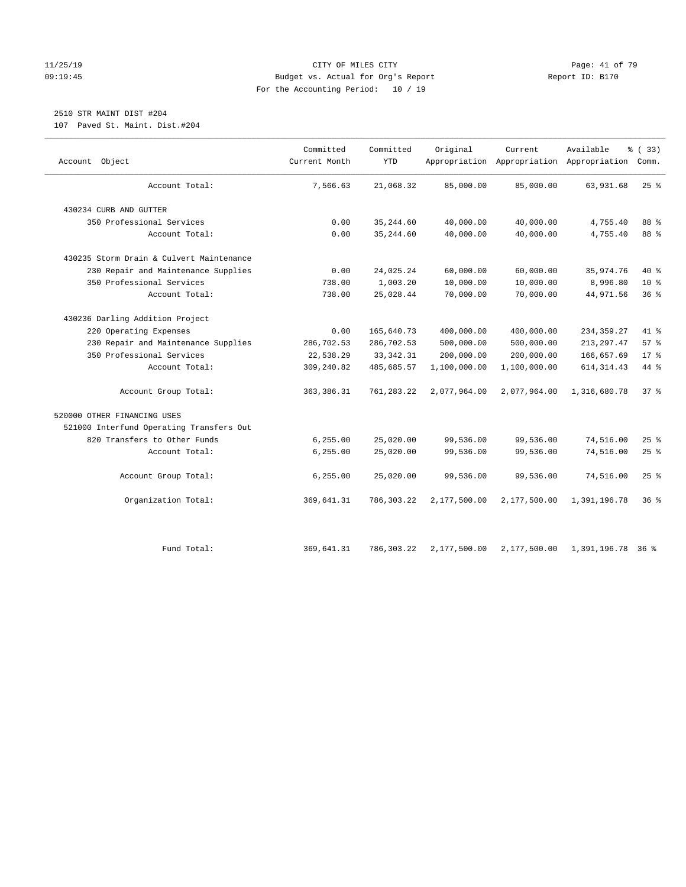#### 11/25/19 Page: 41 of 79 09:19:45 Budget vs. Actual for Org's Report Report ID: B170 For the Accounting Period: 10 / 19

# 2510 STR MAINT DIST #204

107 Paved St. Maint. Dist.#204

| Object<br>Account                        | Committed<br>Current Month | Committed<br><b>YTD</b> | Original     | Current      | Available<br>Appropriation Appropriation Appropriation | % (33)<br>Comm. |
|------------------------------------------|----------------------------|-------------------------|--------------|--------------|--------------------------------------------------------|-----------------|
| Account Total:                           | 7,566.63                   | 21,068.32               | 85,000.00    | 85,000.00    | 63,931.68                                              | $25$ %          |
| 430234 CURB AND GUTTER                   |                            |                         |              |              |                                                        |                 |
| 350 Professional Services                | 0.00                       | 35, 244.60              | 40,000.00    | 40,000.00    | 4,755.40                                               | 88 %            |
| Account Total:                           | 0.00                       | 35, 244.60              | 40,000.00    | 40,000.00    | 4,755.40                                               | 88 %            |
| 430235 Storm Drain & Culvert Maintenance |                            |                         |              |              |                                                        |                 |
| 230 Repair and Maintenance Supplies      | 0.00                       | 24,025.24               | 60,000.00    | 60,000.00    | 35,974.76                                              | 40 %            |
| 350 Professional Services                | 738.00                     | 1,003.20                | 10,000.00    | 10,000.00    | 8,996.80                                               | 10 <sup>°</sup> |
| Account Total:                           | 738.00                     | 25,028.44               | 70,000.00    | 70,000.00    | 44,971.56                                              | 36%             |
| 430236 Darling Addition Project          |                            |                         |              |              |                                                        |                 |
| 220 Operating Expenses                   | 0.00                       | 165,640.73              | 400,000.00   | 400,000.00   | 234, 359.27                                            | 41 %            |
| 230 Repair and Maintenance Supplies      | 286,702.53                 | 286,702.53              | 500,000.00   | 500,000.00   | 213, 297.47                                            | 57%             |
| 350 Professional Services                | 22,538.29                  | 33, 342. 31             | 200,000.00   | 200,000.00   | 166,657.69                                             | $17*$           |
| Account Total:                           | 309,240.82                 | 485,685.57              | 1,100,000.00 | 1,100,000.00 | 614, 314.43                                            | 44 %            |
| Account Group Total:                     | 363, 386.31                | 761, 283.22             | 2,077,964.00 | 2,077,964.00 | 1,316,680.78                                           | 37%             |
| 520000 OTHER FINANCING USES              |                            |                         |              |              |                                                        |                 |
| 521000 Interfund Operating Transfers Out |                            |                         |              |              |                                                        |                 |
| 820 Transfers to Other Funds             | 6, 255.00                  | 25,020.00               | 99,536.00    | 99,536.00    | 74,516.00                                              | 25%             |
| Account Total:                           | 6, 255.00                  | 25,020.00               | 99,536.00    | 99,536.00    | 74,516.00                                              | 25%             |
| Account Group Total:                     | 6, 255.00                  | 25,020.00               | 99,536.00    | 99,536.00    | 74,516.00                                              | $25$ %          |
| Organization Total:                      | 369,641.31                 | 786,303.22              | 2,177,500.00 | 2,177,500.00 | 1,391,196.78                                           | 36%             |
| Fund Total:                              | 369,641.31                 | 786,303.22              | 2,177,500.00 | 2,177,500.00 | 1,391,196.78                                           | 368             |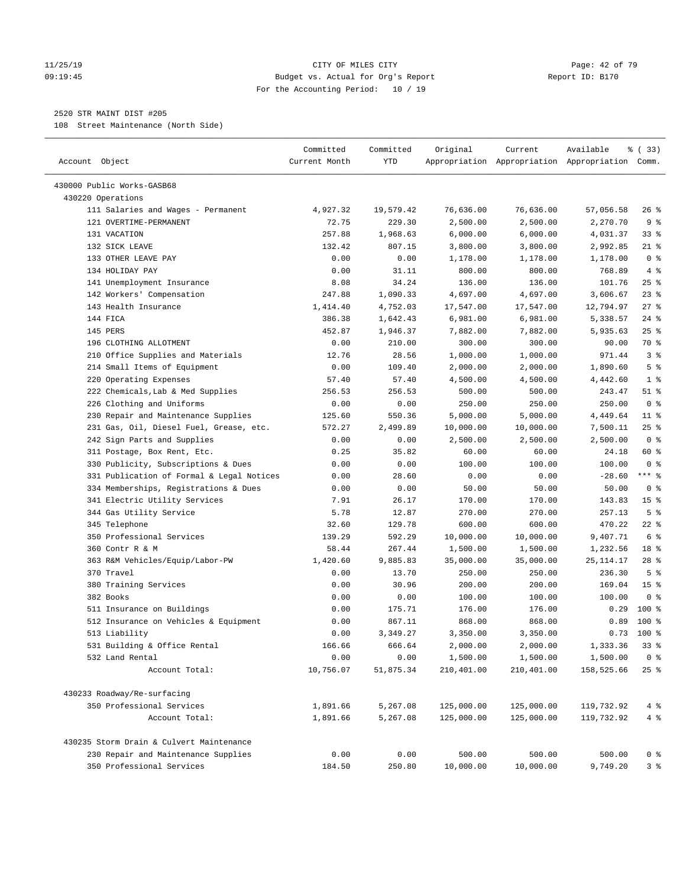#### 11/25/19 Page: 42 of 79 09:19:45 Budget vs. Actual for Org's Report Report ID: B170 For the Accounting Period: 10 / 19

————————————————————————————————————————————————————————————————————————————————————————————————————————————————————————————————————

#### 2520 STR MAINT DIST #205

108 Street Maintenance (North Side)

|                                                                        | Committed      | Committed           | Original               | Current               | Available                                       | % (33)                            |
|------------------------------------------------------------------------|----------------|---------------------|------------------------|-----------------------|-------------------------------------------------|-----------------------------------|
| Account Object                                                         | Current Month  | <b>YTD</b>          |                        |                       | Appropriation Appropriation Appropriation Comm. |                                   |
|                                                                        |                |                     |                        |                       |                                                 |                                   |
| 430000 Public Works-GASB68<br>430220 Operations                        |                |                     |                        |                       |                                                 |                                   |
| 111 Salaries and Wages - Permanent                                     | 4,927.32       |                     | 76,636.00              | 76,636.00             |                                                 | $26$ %                            |
| 121 OVERTIME-PERMANENT                                                 | 72.75          | 19,579.42<br>229.30 | 2,500.00               | 2,500.00              | 57,056.58<br>2,270.70                           | 9 <sup>°</sup>                    |
| 131 VACATION                                                           | 257.88         | 1,968.63            | 6,000.00               | 6,000.00              | 4,031.37                                        | 33%                               |
| 132 SICK LEAVE                                                         | 132.42         | 807.15              | 3,800.00               | 3,800.00              | 2,992.85                                        | $21$ %                            |
| 133 OTHER LEAVE PAY                                                    | 0.00           | 0.00                | 1,178.00               | 1,178.00              | 1,178.00                                        | 0 <sup>8</sup>                    |
| 134 HOLIDAY PAY                                                        | 0.00           | 31.11               | 800.00                 | 800.00                | 768.89                                          | 4%                                |
| 141 Unemployment Insurance                                             | 8.08           | 34.24               | 136.00                 | 136.00                | 101.76                                          | $25$ %                            |
| 142 Workers' Compensation                                              | 247.88         | 1,090.33            | 4,697.00               | 4,697.00              | 3,606.67                                        | $23$ $%$                          |
| 143 Health Insurance                                                   | 1,414.40       | 4,752.03            | 17,547.00              | 17,547.00             | 12,794.97                                       | 27%                               |
| 144 FICA                                                               | 386.38         | 1,642.43            | 6,981.00               | 6,981.00              | 5,338.57                                        | $24$ %                            |
| 145 PERS                                                               | 452.87         | 1,946.37            | 7,882.00               | 7,882.00              | 5,935.63                                        | $25$ %                            |
| 196 CLOTHING ALLOTMENT                                                 | 0.00           | 210.00              | 300.00                 | 300.00                | 90.00                                           | 70 %                              |
| 210 Office Supplies and Materials                                      | 12.76          | 28.56               | 1,000.00               | 1,000.00              | 971.44                                          | 3%                                |
| 214 Small Items of Equipment                                           | 0.00           | 109.40              | 2,000.00               | 2,000.00              | 1,890.60                                        | 5 <sup>°</sup>                    |
| 220 Operating Expenses                                                 | 57.40          | 57.40               | 4,500.00               | 4,500.00              | 4,442.60                                        | 1 <sup>°</sup>                    |
| 222 Chemicals, Lab & Med Supplies                                      | 256.53         | 256.53              | 500.00                 | 500.00                | 243.47                                          | $51$ %                            |
| 226 Clothing and Uniforms                                              | 0.00           | 0.00                | 250.00                 | 250.00                | 250.00                                          | 0 <sup>8</sup>                    |
| 230 Repair and Maintenance Supplies                                    | 125.60         | 550.36              | 5,000.00               | 5,000.00              | 4,449.64                                        | $11$ %                            |
| 231 Gas, Oil, Diesel Fuel, Grease, etc.                                | 572.27         | 2,499.89            | 10,000.00              | 10,000.00             | 7,500.11                                        | 25%                               |
| 242 Sign Parts and Supplies                                            | 0.00           | 0.00                | 2,500.00               | 2,500.00              | 2,500.00                                        | 0 <sup>8</sup>                    |
| 311 Postage, Box Rent, Etc.                                            | 0.25           | 35.82               | 60.00                  | 60.00                 | 24.18                                           | 60 %                              |
| 330 Publicity, Subscriptions & Dues                                    | 0.00           | 0.00                | 100.00                 | 100.00                | 100.00                                          | 0 <sup>8</sup>                    |
| 331 Publication of Formal & Legal Notices                              | 0.00           | 28.60               | 0.00                   | 0.00                  | $-28.60$                                        | $***$ 8                           |
|                                                                        |                | 0.00                | 50.00                  |                       | 50.00                                           | 0 <sup>8</sup>                    |
| 334 Memberships, Registrations & Dues<br>341 Electric Utility Services | 0.00           | 26.17               | 170.00                 | 50.00<br>170.00       | 143.83                                          | 15 <sup>°</sup>                   |
|                                                                        | 7.91           |                     |                        |                       |                                                 | 5 <sup>°</sup>                    |
| 344 Gas Utility Service<br>345 Telephone                               | 5.78<br>32.60  | 12.87<br>129.78     | 270.00<br>600.00       | 270.00<br>600.00      | 257.13<br>470.22                                | $22$ %                            |
| 350 Professional Services                                              | 139.29         | 592.29              | 10,000.00              | 10,000.00             | 9,407.71                                        | 6 %                               |
| 360 Contr R & M                                                        | 58.44          |                     |                        |                       |                                                 | 18 %                              |
|                                                                        | 1,420.60       | 267.44<br>9,885.83  | 1,500.00<br>35,000.00  | 1,500.00<br>35,000.00 | 1,232.56                                        | $28$ %                            |
| 363 R&M Vehicles/Equip/Labor-PW<br>370 Travel                          |                |                     |                        |                       | 25, 114. 17                                     |                                   |
| 380 Training Services                                                  | 0.00<br>0.00   | 13.70<br>30.96      | 250.00<br>200.00       | 250.00<br>200.00      | 236.30<br>169.04                                | 5 <sup>8</sup><br>15 <sup>°</sup> |
| 382 Books                                                              | 0.00           | 0.00                | 100.00                 | 100.00                | 100.00                                          | 0 <sup>8</sup>                    |
| 511 Insurance on Buildings                                             |                | 175.71              |                        |                       | 0.29                                            | $100$ %                           |
|                                                                        | 0.00           |                     | 176.00<br>868.00       | 176.00                |                                                 | $100*$                            |
| 512 Insurance on Vehicles & Equipment<br>513 Liability                 | 0.00           | 867.11<br>3,349.27  |                        | 868.00                | 0.89                                            | $0.73$ 100 %                      |
| 531 Building & Office Rental                                           | 0.00<br>166.66 | 666.64              | 3,350.00<br>2,000.00   | 3,350.00<br>2,000.00  | 1,333.36                                        | 33%                               |
| 532 Land Rental                                                        | 0.00           | 0.00                |                        | 1,500.00              |                                                 | $0$ %                             |
| Account Total:                                                         | 10,756.07      | 51,875.34           | 1,500.00<br>210,401.00 | 210,401.00            | 1,500.00<br>158,525.66                          | 25%                               |
|                                                                        |                |                     |                        |                       |                                                 |                                   |
| 430233 Roadway/Re-surfacing                                            |                |                     |                        |                       |                                                 |                                   |
| 350 Professional Services                                              | 1,891.66       | 5,267.08            | 125,000.00             | 125,000.00            | 119,732.92                                      | 4%                                |
| Account Total:                                                         | 1,891.66       | 5,267.08            | 125,000.00             | 125,000.00            | 119,732.92                                      | 4%                                |
| 430235 Storm Drain & Culvert Maintenance                               |                |                     |                        |                       |                                                 |                                   |
| 230 Repair and Maintenance Supplies                                    | 0.00           | 0.00                | 500.00                 | 500.00                | 500.00                                          | $0$ %                             |
| 350 Professional Services                                              | 184.50         | 250.80              | 10,000.00              | 10,000.00             | 9,749.20                                        | 3%                                |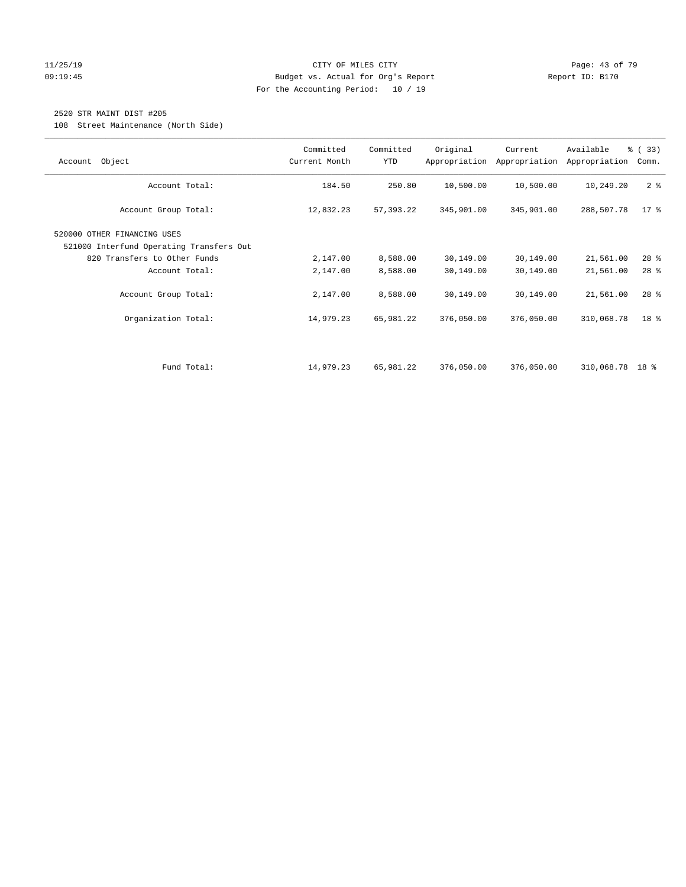#### 11/25/19 Page: 43 of 79 09:19:45 Budget vs. Actual for Org's Report Report ID: B170 For the Accounting Period: 10 / 19

### 2520 STR MAINT DIST #205

108 Street Maintenance (North Side)

| Object<br>Account                                                       | Committed<br>Current Month | Committed<br><b>YTD</b> | Original   | Current<br>Appropriation Appropriation | Available<br>Appropriation | % (33)<br>Comm. |
|-------------------------------------------------------------------------|----------------------------|-------------------------|------------|----------------------------------------|----------------------------|-----------------|
| Account Total:                                                          | 184.50                     | 250.80                  | 10,500.00  | 10,500.00                              | 10,249.20                  | 2 <sup>8</sup>  |
| Account Group Total:                                                    | 12,832.23                  | 57,393.22               | 345,901.00 | 345,901.00                             | 288,507.78                 | $17*$           |
| 520000 OTHER FINANCING USES<br>521000 Interfund Operating Transfers Out |                            |                         |            |                                        |                            |                 |
| 820 Transfers to Other Funds                                            | 2,147.00                   | 8,588.00                | 30,149.00  | 30,149.00                              | 21,561.00                  | $28$ %          |
| Account Total:                                                          | 2,147.00                   | 8,588.00                | 30,149.00  | 30,149.00                              | 21,561.00                  | $28$ %          |
| Account Group Total:                                                    | 2,147.00                   | 8,588.00                | 30,149.00  | 30,149.00                              | 21,561.00                  | $28$ %          |
| Organization Total:                                                     | 14,979.23                  | 65,981.22               | 376,050.00 | 376,050.00                             | 310,068.78                 | 18 %            |
|                                                                         |                            |                         |            |                                        |                            |                 |
| Fund Total:                                                             | 14,979.23                  | 65,981.22               | 376,050.00 | 376,050.00                             | 310,068.78 18 %            |                 |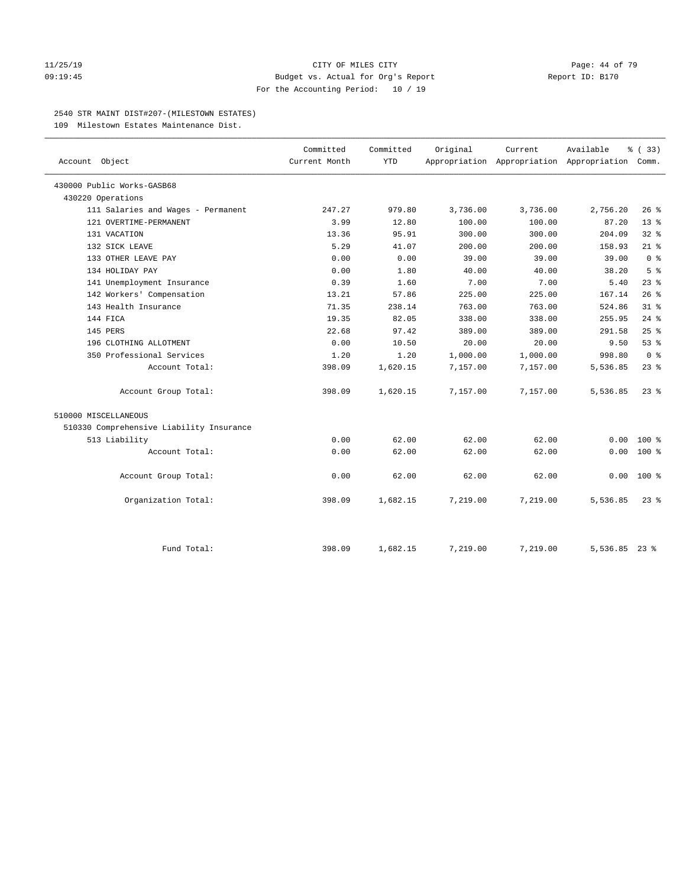#### 11/25/19 Page: 44 of 79 09:19:45 Budget vs. Actual for Org's Report Report ID: B170 For the Accounting Period: 10 / 19

#### 2540 STR MAINT DIST#207-(MILESTOWN ESTATES)

109 Milestown Estates Maintenance Dist.

| Account Object                           | Committed<br>Current Month | Committed<br><b>YTD</b> | Original | Current<br>Appropriation Appropriation Appropriation Comm. | Available     | % (33)          |
|------------------------------------------|----------------------------|-------------------------|----------|------------------------------------------------------------|---------------|-----------------|
| 430000 Public Works-GASB68               |                            |                         |          |                                                            |               |                 |
| 430220 Operations                        |                            |                         |          |                                                            |               |                 |
| 111 Salaries and Wages - Permanent       | 247.27                     | 979.80                  | 3,736.00 | 3,736.00                                                   | 2,756.20      | $26$ %          |
| 121 OVERTIME-PERMANENT                   | 3.99                       | 12.80                   | 100.00   | 100.00                                                     | 87.20         | 13 <sup>8</sup> |
| 131 VACATION                             | 13.36                      | 95.91                   | 300.00   | 300.00                                                     | 204.09        | $32$ $%$        |
| 132 SICK LEAVE                           | 5.29                       | 41.07                   | 200.00   | 200.00                                                     | 158.93        | $21$ %          |
| 133 OTHER LEAVE PAY                      | 0.00                       | 0.00                    | 39.00    | 39.00                                                      | 39.00         | 0 <sup>8</sup>  |
| 134 HOLIDAY PAY                          | 0.00                       | 1.80                    | 40.00    | 40.00                                                      | 38.20         | 5 <sup>8</sup>  |
| 141 Unemployment Insurance               | 0.39                       | 1.60                    | 7.00     | 7.00                                                       | 5.40          | 23%             |
| 142 Workers' Compensation                | 13.21                      | 57.86                   | 225.00   | 225.00                                                     | 167.14        | 26%             |
| 143 Health Insurance                     | 71.35                      | 238.14                  | 763.00   | 763.00                                                     | 524.86        | 31.8            |
| 144 FICA                                 | 19.35                      | 82.05                   | 338.00   | 338.00                                                     | 255.95        | $24$ %          |
| 145 PERS                                 | 22.68                      | 97.42                   | 389.00   | 389.00                                                     | 291.58        | 25%             |
| 196 CLOTHING ALLOTMENT                   | 0.00                       | 10.50                   | 20.00    | 20.00                                                      | 9.50          | 53%             |
| 350 Professional Services                | 1.20                       | 1.20                    | 1,000.00 | 1,000.00                                                   | 998.80        | 0 <sup>8</sup>  |
| Account Total:                           | 398.09                     | 1,620.15                | 7,157.00 | 7,157.00                                                   | 5,536.85      | 23%             |
| Account Group Total:                     | 398.09                     | 1,620.15                | 7,157.00 | 7,157.00                                                   | 5,536.85      | $23$ $%$        |
| 510000 MISCELLANEOUS                     |                            |                         |          |                                                            |               |                 |
| 510330 Comprehensive Liability Insurance |                            |                         |          |                                                            |               |                 |
| 513 Liability                            | 0.00                       | 62.00                   | 62.00    | 62.00                                                      | 0.00          | $100*$          |
| Account Total:                           | 0.00                       | 62.00                   | 62.00    | 62.00                                                      | 0.00          | $100*$          |
| Account Group Total:                     | 0.00                       | 62.00                   | 62.00    | 62.00                                                      | 0.00          | $100*$          |
| Organization Total:                      | 398.09                     | 1,682.15                | 7,219.00 | 7,219.00                                                   | 5,536.85      | $23$ $%$        |
| Fund Total:                              | 398.09                     | 1,682.15                | 7,219.00 | 7,219.00                                                   | 5,536.85 23 % |                 |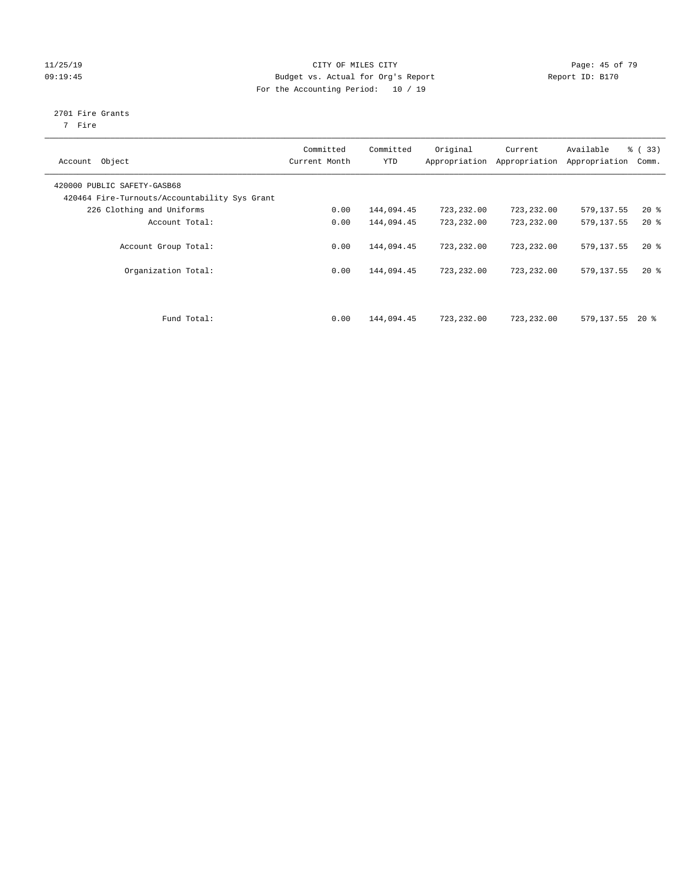#### 11/25/19 Page: 45 of 79 09:19:45 Budget vs. Actual for Org's Report Communication of Report ID: B170 For the Accounting Period: 10 / 19

# 2701 Fire Grants

7 Fire

| Object<br>Account                                                            | Committed<br>Current Month | Committed<br><b>YTD</b> | Original<br>Appropriation | Current<br>Appropriation | Available<br>Appropriation | % (33)<br>Comm. |
|------------------------------------------------------------------------------|----------------------------|-------------------------|---------------------------|--------------------------|----------------------------|-----------------|
| 420000 PUBLIC SAFETY-GASB68<br>420464 Fire-Turnouts/Accountability Sys Grant |                            |                         |                           |                          |                            |                 |
| 226 Clothing and Uniforms                                                    | 0.00                       | 144,094.45              | 723,232.00                | 723,232.00               | 579,137.55                 | $20*$           |
| Account Total:                                                               | 0.00                       | 144,094.45              | 723,232.00                | 723,232.00               | 579,137.55                 | $20*$           |
| Account Group Total:                                                         | 0.00                       | 144,094.45              | 723, 232, 00              | 723,232.00               | 579,137.55                 | $20*$           |
| Organization Total:                                                          | 0.00                       | 144,094.45              | 723,232.00                | 723,232.00               | 579,137.55                 | $20*$           |
| Fund Total:                                                                  | 0.00                       | 144,094.45              | 723,232.00                | 723,232.00               | 579,137.55                 | $20*$           |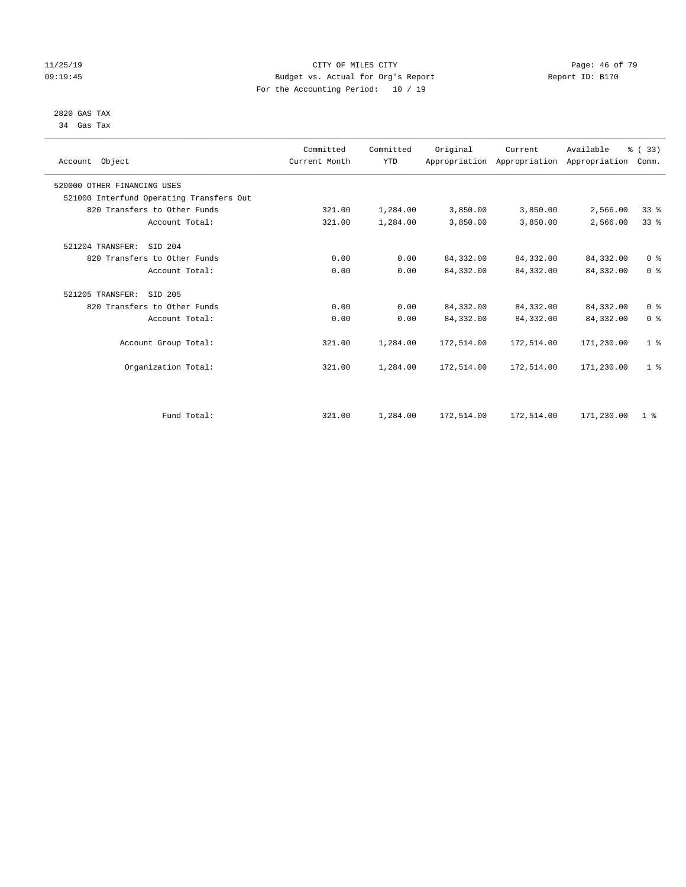#### 11/25/19 Page: 46 of 79 09:19:45 Budget vs. Actual for Org's Report Communication of Report ID: B170 For the Accounting Period: 10 / 19

#### 2820 GAS TAX 34 Gas Tax

| Account Object                           | Committed<br>Current Month | Committed<br><b>YTD</b> | Original   | Current<br>Appropriation Appropriation Appropriation | Available  | % (33)<br>Comm. |
|------------------------------------------|----------------------------|-------------------------|------------|------------------------------------------------------|------------|-----------------|
| 520000 OTHER FINANCING USES              |                            |                         |            |                                                      |            |                 |
| 521000 Interfund Operating Transfers Out |                            |                         |            |                                                      |            |                 |
| 820 Transfers to Other Funds             | 321.00                     | 1,284.00                | 3,850.00   | 3,850.00                                             | 2,566.00   | 33%             |
| Account Total:                           | 321.00                     | 1,284.00                | 3,850.00   | 3,850.00                                             | 2,566.00   | $33*$           |
| 521204 TRANSFER:<br>SID 204              |                            |                         |            |                                                      |            |                 |
| 820 Transfers to Other Funds             | 0.00                       | 0.00                    | 84, 332.00 | 84, 332.00                                           | 84,332.00  | 0 <sup>8</sup>  |
| Account Total:                           | 0.00                       | 0.00                    | 84, 332.00 | 84,332.00                                            | 84,332.00  | 0 <sup>8</sup>  |
| 521205 TRANSFER:<br>SID 205              |                            |                         |            |                                                      |            |                 |
| 820 Transfers to Other Funds             | 0.00                       | 0.00                    | 84, 332.00 | 84,332.00                                            | 84,332.00  | 0 <sup>8</sup>  |
| Account Total:                           | 0.00                       | 0.00                    | 84, 332.00 | 84,332.00                                            | 84,332.00  | 0 <sup>8</sup>  |
| Account Group Total:                     | 321.00                     | 1,284.00                | 172,514.00 | 172,514.00                                           | 171,230.00 | 1 <sup>8</sup>  |
| Organization Total:                      | 321.00                     | 1,284.00                | 172,514.00 | 172,514.00                                           | 171,230.00 | 1 <sup>8</sup>  |
|                                          |                            |                         |            |                                                      |            |                 |
| Fund Total:                              | 321.00                     | 1,284.00                | 172,514.00 | 172,514.00                                           | 171,230.00 | 1 <sup>8</sup>  |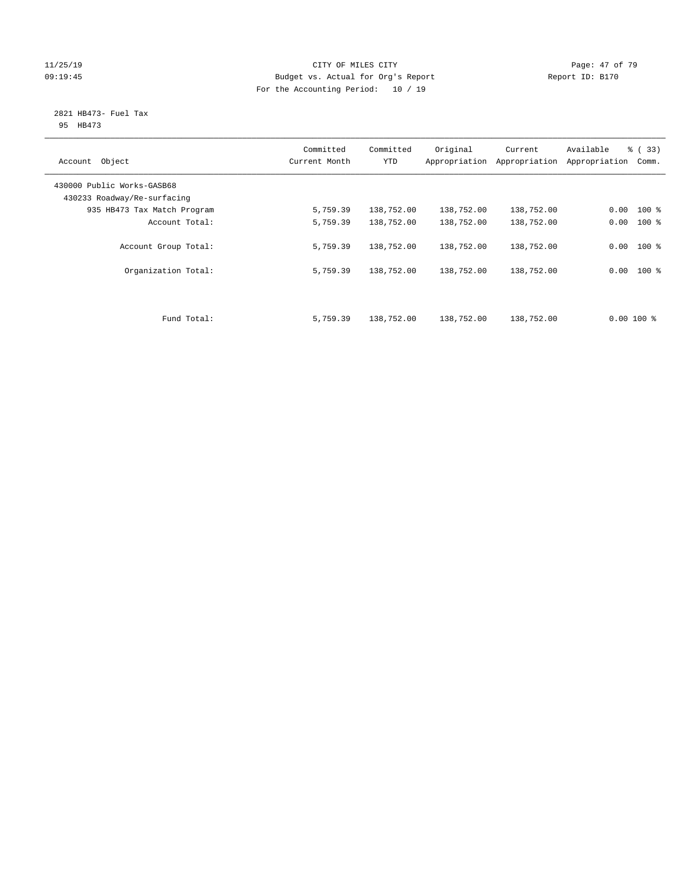#### 11/25/19 Page: 47 of 79 09:19:45 Budget vs. Actual for Org's Report Communication of Report ID: B170 For the Accounting Period: 10 / 19

#### 2821 HB473- Fuel Tax 95 HB473

| Account Object                                            | Committed<br>Current Month | Committed<br><b>YTD</b> | Original<br>Appropriation | Current<br>Appropriation | Available<br>Appropriation | % (33)<br>Comm. |
|-----------------------------------------------------------|----------------------------|-------------------------|---------------------------|--------------------------|----------------------------|-----------------|
| 430000 Public Works-GASB68<br>430233 Roadway/Re-surfacing |                            |                         |                           |                          |                            |                 |
| 935 HB473 Tax Match Program                               | 5,759.39                   | 138,752.00              | 138,752.00                | 138,752.00               | 0.00                       | $100$ %         |
| Account Total:                                            | 5,759.39                   | 138,752.00              | 138,752.00                | 138,752.00               | 0.00                       | $100*$          |
| Account Group Total:                                      | 5,759.39                   | 138,752.00              | 138,752.00                | 138,752.00               |                            | $0.00$ 100 %    |
| Organization Total:                                       | 5,759.39                   | 138,752.00              | 138,752.00                | 138,752.00               | 0.00                       | $100$ %         |
|                                                           |                            |                         |                           |                          |                            |                 |
| Fund Total:                                               | 5,759.39                   | 138,752.00              | 138,752.00                | 138,752.00               | $0.00$ 100 %               |                 |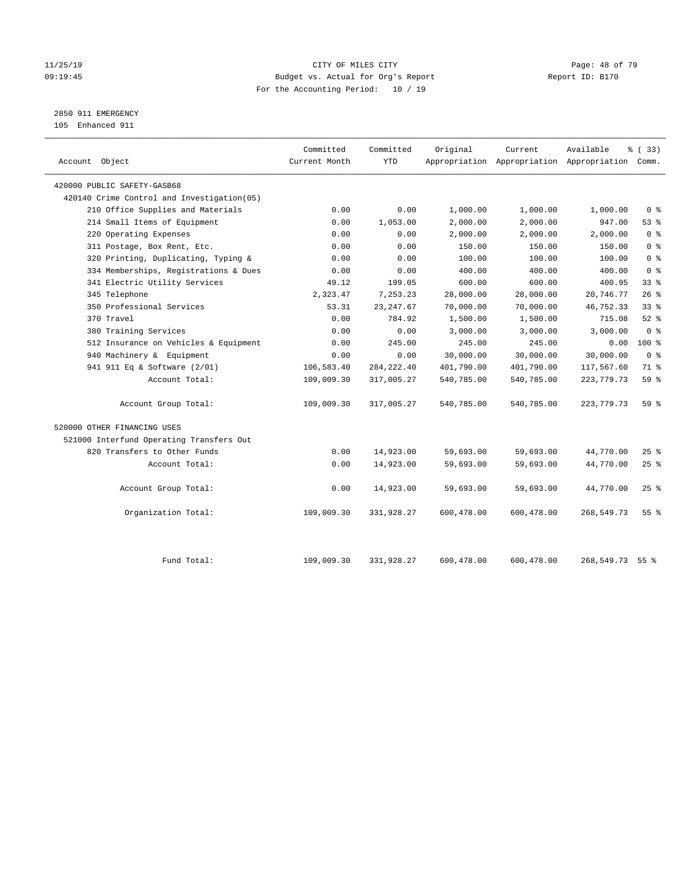#### 11/25/19 Page: 48 of 79 09:19:45 Budget vs. Actual for Org's Report Communication of Report ID: B170 For the Accounting Period: 10 / 19

2850 911 EMERGENCY

105 Enhanced 911

| Account Object                              | Committed<br>Current Month | Committed<br><b>YTD</b> | Original   | Current    | Available<br>Appropriation Appropriation Appropriation Comm. | 8 (33)          |
|---------------------------------------------|----------------------------|-------------------------|------------|------------|--------------------------------------------------------------|-----------------|
| 420000 PUBLIC SAFETY-GASB68                 |                            |                         |            |            |                                                              |                 |
| 420140 Crime Control and Investigation (05) |                            |                         |            |            |                                                              |                 |
| 210 Office Supplies and Materials           | 0.00                       | 0.00                    | 1,000.00   | 1,000.00   | 1,000.00                                                     | 0 <sup>8</sup>  |
| 214 Small Items of Equipment                | 0.00                       | 1,053.00                | 2,000.00   | 2,000.00   | 947.00                                                       | 53%             |
| 220 Operating Expenses                      | 0.00                       | 0.00                    | 2,000.00   | 2,000.00   | 2,000.00                                                     | 0 <sup>8</sup>  |
| 311 Postage, Box Rent, Etc.                 | 0.00                       | 0.00                    | 150.00     | 150.00     | 150.00                                                       | 0 <sup>8</sup>  |
| 320 Printing, Duplicating, Typing &         | 0.00                       | 0.00                    | 100.00     | 100.00     | 100.00                                                       | 0 <sup>°</sup>  |
| 334 Memberships, Registrations & Dues       | 0.00                       | 0.00                    | 400.00     | 400.00     | 400.00                                                       | 0 <sup>8</sup>  |
| 341 Electric Utility Services               | 49.12                      | 199.05                  | 600.00     | 600.00     | 400.95                                                       | 33 <sup>8</sup> |
| 345 Telephone                               | 2,323.47                   | 7,253.23                | 28,000.00  | 28,000.00  | 20,746.77                                                    | 26%             |
| 350 Professional Services                   | 53.31                      | 23, 247.67              | 70,000.00  | 70,000.00  | 46,752.33                                                    | 33 <sup>8</sup> |
| 370 Travel                                  | 0.00                       | 784.92                  | 1,500.00   | 1,500.00   | 715.08                                                       | $52$ $%$        |
| 380 Training Services                       | 0.00                       | 0.00                    | 3,000.00   | 3,000.00   | 3,000.00                                                     | 0 <sup>8</sup>  |
| 512 Insurance on Vehicles & Equipment       | 0.00                       | 245.00                  | 245.00     | 245.00     | 0.00                                                         | $100*$          |
| 940 Machinery & Equipment                   | 0.00                       | 0.00                    | 30,000.00  | 30,000.00  | 30,000.00                                                    | 0 <sup>8</sup>  |
| 941 911 Eq & Software (2/01)                | 106,583.40                 | 284, 222.40             | 401,790.00 | 401,790.00 | 117,567.60                                                   | 71 %            |
| Account Total:                              | 109,009.30                 | 317,005.27              | 540,785.00 | 540,785.00 | 223, 779. 73                                                 | 59 <sub>8</sub> |
| Account Group Total:                        | 109,009.30                 | 317,005.27              | 540,785.00 | 540,785.00 | 223, 779. 73                                                 | 59%             |
| 520000 OTHER FINANCING USES                 |                            |                         |            |            |                                                              |                 |
| 521000 Interfund Operating Transfers Out    |                            |                         |            |            |                                                              |                 |
| 820 Transfers to Other Funds                | 0.00                       | 14,923.00               | 59,693.00  | 59,693.00  | 44,770.00                                                    | 25%             |
| Account Total:                              | 0.00                       | 14,923.00               | 59,693.00  | 59,693.00  | 44,770.00                                                    | 25%             |
| Account Group Total:                        | 0.00                       | 14,923.00               | 59,693.00  | 59,693.00  | 44,770.00                                                    | 25%             |
| Organization Total:                         | 109,009.30                 | 331,928.27              | 600,478.00 | 600,478.00 | 268,549.73                                                   | 55%             |
| Fund Total:                                 | 109,009.30                 | 331,928.27              | 600,478.00 | 600,478.00 | 268,549.73 55 %                                              |                 |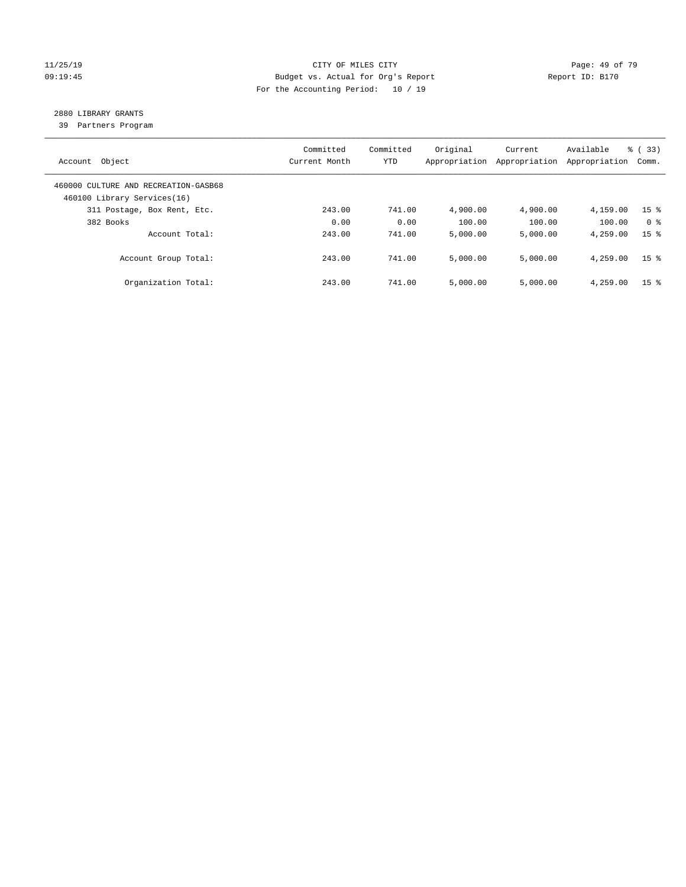#### 11/25/19 Page: 49 of 79 09:19:45 Budget vs. Actual for Org's Report Changer Report ID: B170 For the Accounting Period: 10 / 19

## 2880 LIBRARY GRANTS

39 Partners Program

| Account Object                                                      | Committed<br>Current Month | Committed<br><b>YTD</b> | Original<br>Appropriation | Current<br>Appropriation | Available<br>Appropriation | % (33)<br>Comm. |
|---------------------------------------------------------------------|----------------------------|-------------------------|---------------------------|--------------------------|----------------------------|-----------------|
| 460000 CULTURE AND RECREATION-GASB68<br>460100 Library Services(16) |                            |                         |                           |                          |                            |                 |
| 311 Postage, Box Rent, Etc.                                         | 243.00                     | 741.00                  | 4,900.00                  | 4,900.00                 | 4,159.00                   | 15 <sup>8</sup> |
| 382 Books                                                           | 0.00                       | 0.00                    | 100.00                    | 100.00                   | 100.00                     | 0 <sup>8</sup>  |
| Account Total:                                                      | 243.00                     | 741.00                  | 5,000.00                  | 5,000.00                 | 4,259.00                   | 15 <sup>8</sup> |
| Account Group Total:                                                | 243.00                     | 741.00                  | 5,000.00                  | 5,000.00                 | 4,259.00                   | 15 <sup>8</sup> |
| Organization Total:                                                 | 243.00                     | 741.00                  | 5.000.00                  | 5,000.00                 | 4,259.00                   | 15 <sup>8</sup> |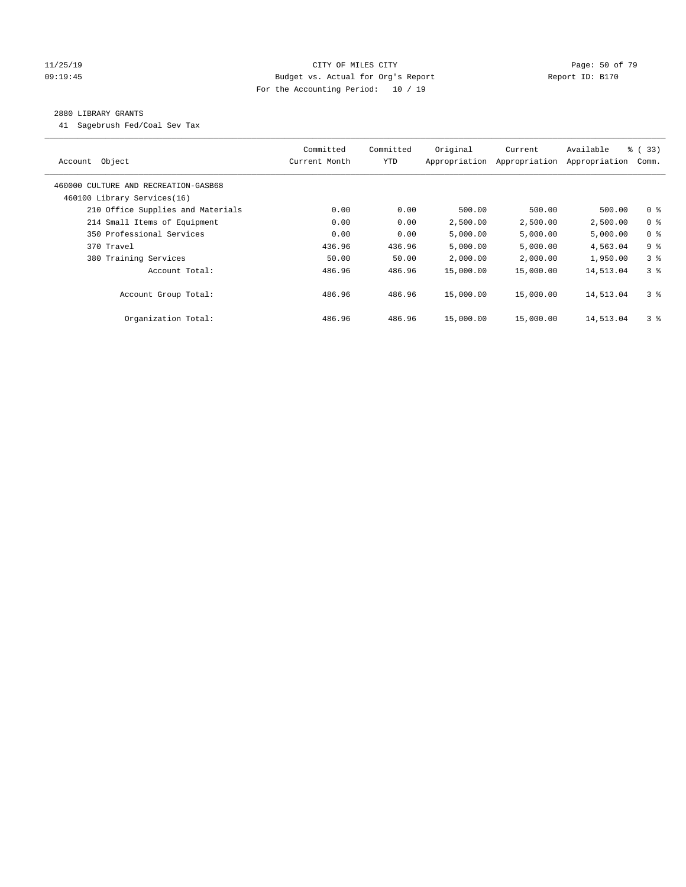#### 11/25/19 Page: 50 of 79 09:19:45 Budget vs. Actual for Org's Report Changer Report ID: B170 For the Accounting Period: 10 / 19

#### 2880 LIBRARY GRANTS

41 Sagebrush Fed/Coal Sev Tax

| Object<br>Account                    | Committed<br>Current Month | Committed<br><b>YTD</b> | Original<br>Appropriation | Current<br>Appropriation | Available<br>Appropriation | % (33)<br>Comm. |
|--------------------------------------|----------------------------|-------------------------|---------------------------|--------------------------|----------------------------|-----------------|
| 460000 CULTURE AND RECREATION-GASB68 |                            |                         |                           |                          |                            |                 |
| 460100 Library Services(16)          |                            |                         |                           |                          |                            |                 |
| 210 Office Supplies and Materials    | 0.00                       | 0.00                    | 500.00                    | 500.00                   | 500.00                     | 0 <sup>8</sup>  |
| 214 Small Items of Equipment         | 0.00                       | 0.00                    | 2,500.00                  | 2,500.00                 | 2,500.00                   | 0 <sup>8</sup>  |
| 350 Professional Services            | 0.00                       | 0.00                    | 5,000.00                  | 5,000.00                 | 5,000.00                   | 0 <sup>8</sup>  |
| 370 Travel                           | 436.96                     | 436.96                  | 5,000.00                  | 5,000.00                 | 4,563.04                   | 9 <sup>8</sup>  |
| 380 Training Services                | 50.00                      | 50.00                   | 2,000.00                  | 2,000.00                 | 1,950.00                   | 3 <sup>8</sup>  |
| Account Total:                       | 486.96                     | 486.96                  | 15,000.00                 | 15,000.00                | 14,513.04                  | 3 <sup>8</sup>  |
| Account Group Total:                 | 486.96                     | 486.96                  | 15,000.00                 | 15,000.00                | 14,513.04                  | 3 <sup>8</sup>  |
| Organization Total:                  | 486.96                     | 486.96                  | 15,000.00                 | 15,000.00                | 14,513.04                  | 3 <sup>8</sup>  |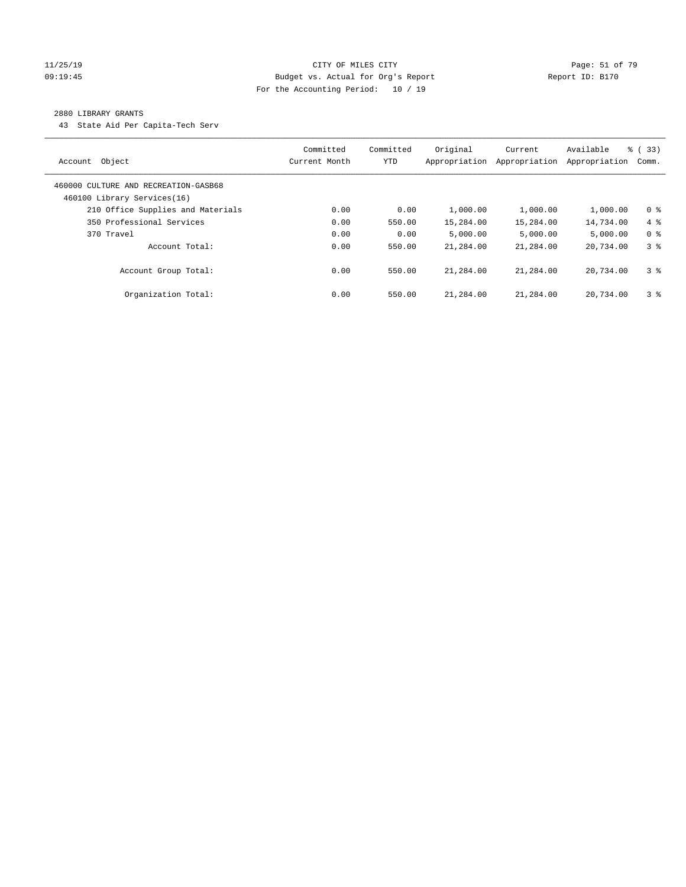#### 11/25/19 Page: 51 of 79 Page: 51 of 79 Page: 51 of 79 Page: 51 of 79 Page: 51 of 79 Page: 51 of 79 Page: 51 of 79 09:19:45 Budget vs. Actual for Org's Report Changer Report ID: B170 For the Accounting Period: 10 / 19

#### 2880 LIBRARY GRANTS

43 State Aid Per Capita-Tech Serv

| Object<br>Account                                                   | Committed<br>Current Month | Committed<br><b>YTD</b> | Original<br>Appropriation | Current<br>Appropriation | Available<br>Appropriation | % (33)<br>Comm. |
|---------------------------------------------------------------------|----------------------------|-------------------------|---------------------------|--------------------------|----------------------------|-----------------|
| 460000 CULTURE AND RECREATION-GASB68<br>460100 Library Services(16) |                            |                         |                           |                          |                            |                 |
| 210 Office Supplies and Materials                                   | 0.00                       | 0.00                    | 1,000.00                  | 1,000.00                 | 1,000.00                   | 0 <sup>8</sup>  |
| 350 Professional Services                                           | 0.00                       | 550.00                  | 15,284.00                 | 15,284.00                | 14,734.00                  | $4\degree$      |
| 370 Travel                                                          | 0.00                       | 0.00                    | 5.000.00                  | 5,000.00                 | 5.000.00                   | 0 <sup>8</sup>  |
| Account Total:                                                      | 0.00                       | 550.00                  | 21,284.00                 | 21,284.00                | 20,734.00                  | 3 <sup>8</sup>  |
| Account Group Total:                                                | 0.00                       | 550.00                  | 21,284.00                 | 21,284.00                | 20,734.00                  | 3 <sup>8</sup>  |
| Organization Total:                                                 | 0.00                       | 550.00                  | 21,284.00                 | 21,284.00                | 20,734.00                  | 3 <sup>8</sup>  |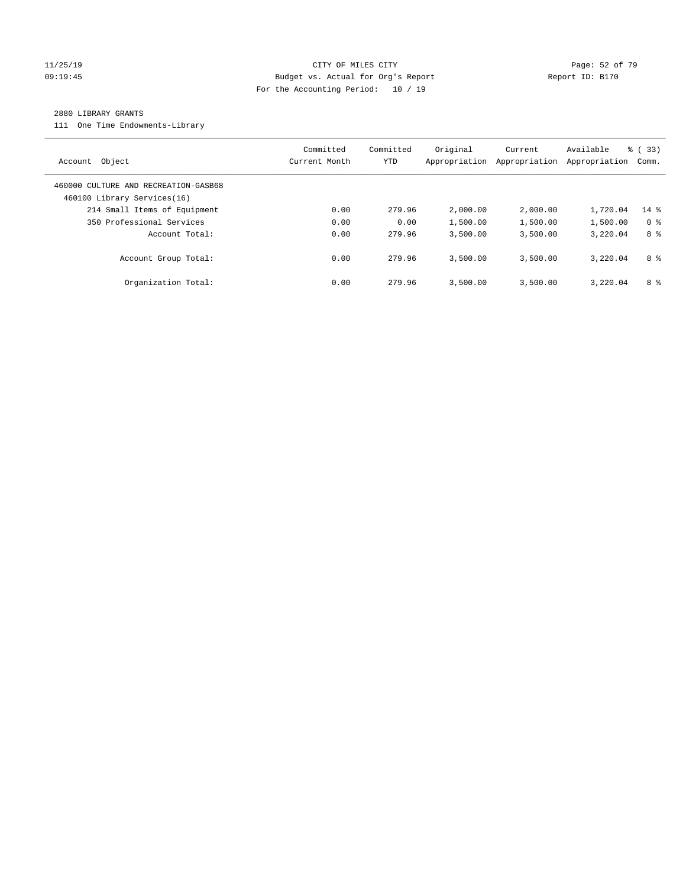#### 11/25/19 Page: 52 of 79 09:19:45 Budget vs. Actual for Org's Report Changer Report ID: B170 For the Accounting Period: 10 / 19

#### 2880 LIBRARY GRANTS

111 One Time Endowments-Library

| Object<br>Account                                                   | Committed<br>Current Month | Committed<br>YTD | Original<br>Appropriation | Current<br>Appropriation | Available<br>Appropriation | % (33)<br>Comm. |
|---------------------------------------------------------------------|----------------------------|------------------|---------------------------|--------------------------|----------------------------|-----------------|
| 460000 CULTURE AND RECREATION-GASB68<br>460100 Library Services(16) |                            |                  |                           |                          |                            |                 |
| 214 Small Items of Equipment                                        | 0.00                       | 279.96           | 2,000.00                  | 2,000.00                 | 1,720.04                   | $14$ %          |
| 350 Professional Services                                           | 0.00                       | 0.00             | 1,500.00                  | 1,500.00                 | 1,500.00                   | 0 <sup>8</sup>  |
| Account Total:                                                      | 0.00                       | 279.96           | 3,500.00                  | 3,500.00                 | 3,220.04                   | 8 %             |
| Account Group Total:                                                | 0.00                       | 279.96           | 3,500.00                  | 3,500.00                 | 3,220.04                   | 8 %             |
| Organization Total:                                                 | 0.00                       | 279.96           | 3,500.00                  | 3.500.00                 | 3,220.04                   | 8 %             |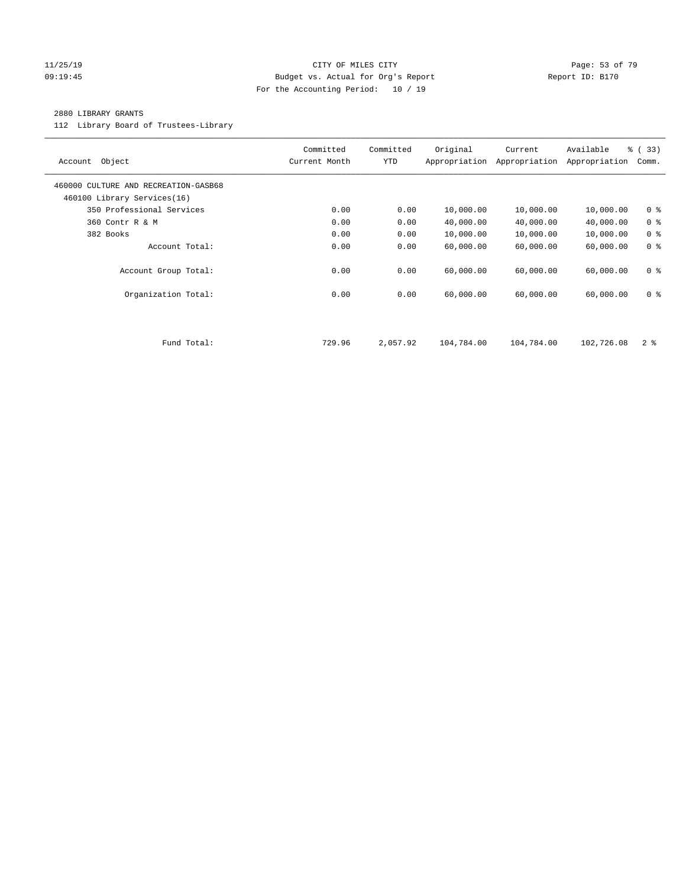#### 11/25/19 Page: 53 of 79 09:19:45 Budget vs. Actual for Org's Report Communication of Report ID: B170 For the Accounting Period: 10 / 19

#### 2880 LIBRARY GRANTS

112 Library Board of Trustees-Library

| Object<br>Account                                                   | Committed<br>Current Month | Committed<br><b>YTD</b> | Original<br>Appropriation | Current<br>Appropriation | Available<br>Appropriation | % (33)<br>Comm. |
|---------------------------------------------------------------------|----------------------------|-------------------------|---------------------------|--------------------------|----------------------------|-----------------|
| 460000 CULTURE AND RECREATION-GASB68<br>460100 Library Services(16) |                            |                         |                           |                          |                            |                 |
| 350 Professional Services                                           | 0.00                       | 0.00                    | 10,000.00                 | 10,000.00                | 10,000.00                  | 0 <sup>8</sup>  |
| 360 Contr R & M                                                     | 0.00                       | 0.00                    | 40,000.00                 | 40,000.00                | 40,000.00                  | 0 <sup>8</sup>  |
| 382 Books                                                           | 0.00                       | 0.00                    | 10,000.00                 | 10,000.00                | 10,000.00                  | 0 <sup>8</sup>  |
| Account Total:                                                      | 0.00                       | 0.00                    | 60,000.00                 | 60,000.00                | 60,000.00                  | 0 <sup>8</sup>  |
| Account Group Total:                                                | 0.00                       | 0.00                    | 60,000.00                 | 60,000.00                | 60,000.00                  | 0 <sup>8</sup>  |
| Organization Total:                                                 | 0.00                       | 0.00                    | 60,000.00                 | 60,000.00                | 60,000.00                  | 0 <sup>8</sup>  |
|                                                                     |                            |                         |                           |                          |                            |                 |
| Fund Total:                                                         | 729.96                     | 2,057.92                | 104,784.00                | 104,784.00               | 102,726.08                 | 2 <sup>8</sup>  |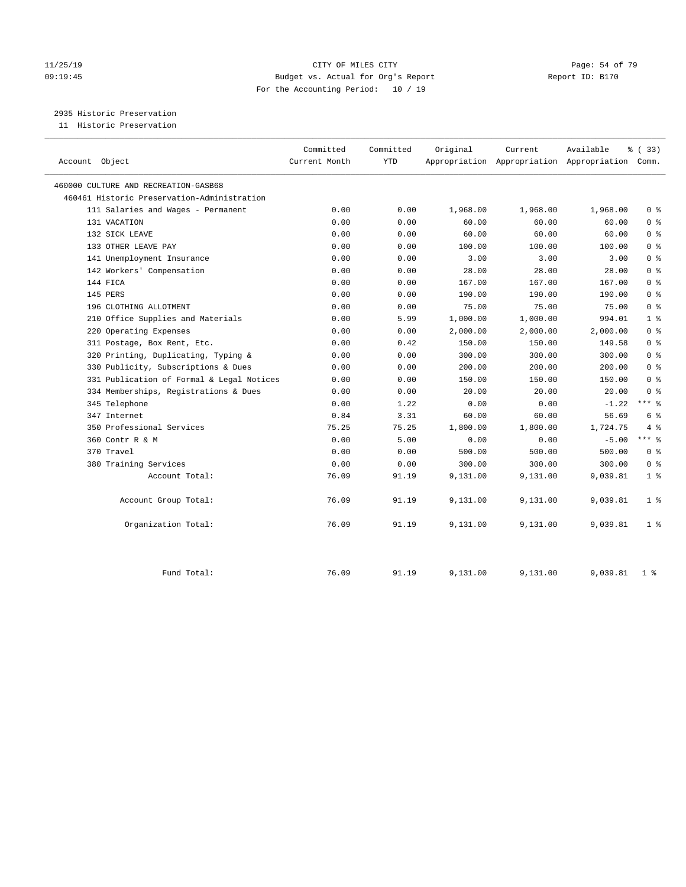#### 11/25/19 Page: 54 of 79 09:19:45 Budget vs. Actual for Org's Report Report ID: B170 For the Accounting Period: 10 / 19

2935 Historic Preservation

11 Historic Preservation

| Account Object                              | Committed<br>Current Month | Committed<br><b>YTD</b> | Original | Current  | Available<br>Appropriation Appropriation Appropriation Comm. | ៖ (33)         |
|---------------------------------------------|----------------------------|-------------------------|----------|----------|--------------------------------------------------------------|----------------|
| 460000 CULTURE AND RECREATION-GASB68        |                            |                         |          |          |                                                              |                |
| 460461 Historic Preservation-Administration |                            |                         |          |          |                                                              |                |
| 111 Salaries and Wages - Permanent          | 0.00                       | 0.00                    | 1,968.00 | 1,968.00 | 1,968.00                                                     | 0 <sup>8</sup> |
| 131 VACATION                                | 0.00                       | 0.00                    | 60.00    | 60.00    | 60.00                                                        | 0 <sup>8</sup> |
| 132 SICK LEAVE                              | 0.00                       | 0.00                    | 60.00    | 60.00    | 60.00                                                        | 0 <sup>8</sup> |
| 133 OTHER LEAVE PAY                         | 0.00                       | 0.00                    | 100.00   | 100.00   | 100.00                                                       | 0 <sup>8</sup> |
| 141 Unemployment Insurance                  | 0.00                       | 0.00                    | 3.00     | 3.00     | 3.00                                                         | 0 <sup>8</sup> |
| 142 Workers' Compensation                   | 0.00                       | 0.00                    | 28.00    | 28.00    | 28.00                                                        | 0 <sup>8</sup> |
| 144 FICA                                    | 0.00                       | 0.00                    | 167.00   | 167.00   | 167.00                                                       | 0 <sup>8</sup> |
| 145 PERS                                    | 0.00                       | 0.00                    | 190.00   | 190.00   | 190.00                                                       | 0 <sup>8</sup> |
| 196 CLOTHING ALLOTMENT                      | 0.00                       | 0.00                    | 75.00    | 75.00    | 75.00                                                        | 0 <sup>8</sup> |
| 210 Office Supplies and Materials           | 0.00                       | 5.99                    | 1,000.00 | 1,000.00 | 994.01                                                       | 1 <sup>8</sup> |
| 220 Operating Expenses                      | 0.00                       | 0.00                    | 2,000.00 | 2,000.00 | 2,000.00                                                     | 0 <sup>8</sup> |
| 311 Postage, Box Rent, Etc.                 | 0.00                       | 0.42                    | 150.00   | 150.00   | 149.58                                                       | 0 <sup>8</sup> |
| 320 Printing, Duplicating, Typing &         | 0.00                       | 0.00                    | 300.00   | 300.00   | 300.00                                                       | 0 <sup>8</sup> |
| 330 Publicity, Subscriptions & Dues         | 0.00                       | 0.00                    | 200.00   | 200.00   | 200.00                                                       | 0 <sup>8</sup> |
| 331 Publication of Formal & Legal Notices   | 0.00                       | 0.00                    | 150.00   | 150.00   | 150.00                                                       | 0 <sup>8</sup> |
| 334 Memberships, Registrations & Dues       | 0.00                       | 0.00                    | 20.00    | 20.00    | 20.00                                                        | 0 <sup>8</sup> |
| 345 Telephone                               | 0.00                       | 1.22                    | 0.00     | 0.00     | $-1.22$                                                      | $***$ $-$      |
| 347 Internet                                | 0.84                       | 3.31                    | 60.00    | 60.00    | 56.69                                                        | 6 %            |
| 350 Professional Services                   | 75.25                      | 75.25                   | 1,800.00 | 1,800.00 | 1,724.75                                                     | 4%             |
| 360 Contr R & M                             | 0.00                       | 5.00                    | 0.00     | 0.00     | $-5.00$                                                      | $***$ $%$      |
| 370 Travel                                  | 0.00                       | 0.00                    | 500.00   | 500.00   | 500.00                                                       | 0 <sup>8</sup> |
| 380 Training Services                       | 0.00                       | 0.00                    | 300.00   | 300.00   | 300.00                                                       | 0 <sup>8</sup> |
| Account Total:                              | 76.09                      | 91.19                   | 9,131.00 | 9,131.00 | 9,039.81                                                     | 1 <sup>°</sup> |
| Account Group Total:                        | 76.09                      | 91.19                   | 9,131.00 | 9,131.00 | 9,039.81                                                     | 1 <sup>°</sup> |
| Organization Total:                         | 76.09                      | 91.19                   | 9,131.00 | 9,131.00 | 9,039.81                                                     | 1 <sup>°</sup> |
| Fund Total:                                 | 76.09                      | 91.19                   | 9,131.00 | 9,131.00 | 9,039.81                                                     | 1 <sup>8</sup> |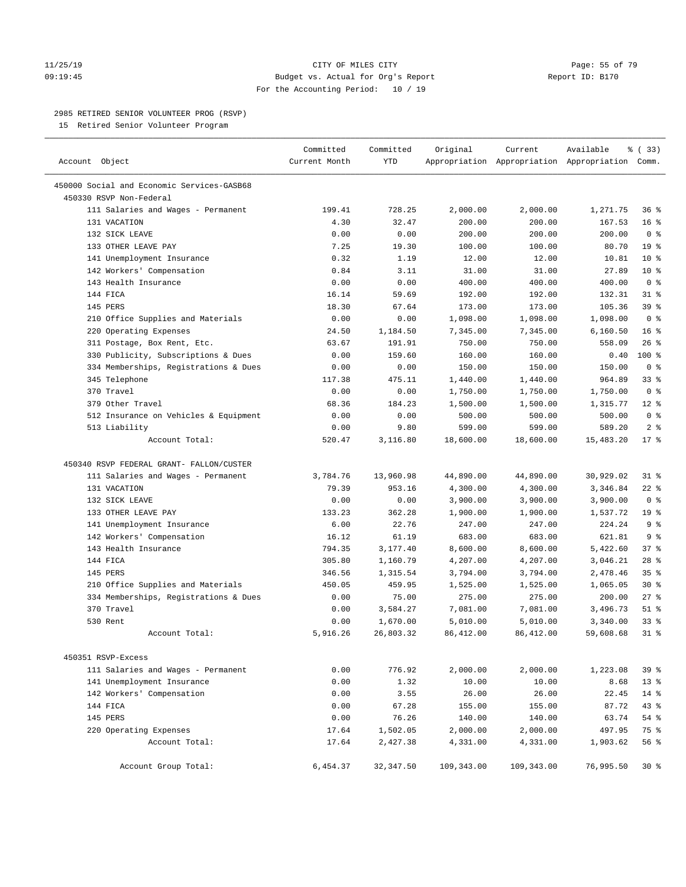#### 11/25/19 Page: 55 of 79 09:19:45 Budget vs. Actual for Org's Report Report ID: B170 For the Accounting Period: 10 / 19

————————————————————————————————————————————————————————————————————————————————————————————————————————————————————————————————————

#### 2985 RETIRED SENIOR VOLUNTEER PROG (RSVP)

15 Retired Senior Volunteer Program

|                                                         | Committed      | Committed           | Original           | Current            | Available                                       | % (33)          |
|---------------------------------------------------------|----------------|---------------------|--------------------|--------------------|-------------------------------------------------|-----------------|
| Account Object                                          | Current Month  | <b>YTD</b>          |                    |                    | Appropriation Appropriation Appropriation Comm. |                 |
| 450000 Social and Economic Services-GASB68              |                |                     |                    |                    |                                                 |                 |
| 450330 RSVP Non-Federal                                 |                |                     |                    |                    |                                                 |                 |
| 111 Salaries and Wages - Permanent                      | 199.41         | 728.25              | 2,000.00           | 2,000.00           | 1,271.75                                        | 36%             |
| 131 VACATION                                            | 4.30           | 32.47               | 200.00             | 200.00             | 167.53                                          | 16 <sup>8</sup> |
| 132 SICK LEAVE                                          | 0.00           | 0.00                | 200.00             | 200.00             | 200.00                                          | 0 <sup>8</sup>  |
| 133 OTHER LEAVE PAY                                     | 7.25           | 19.30               | 100.00             | 100.00             | 80.70                                           | 19 <sup>°</sup> |
| 141 Unemployment Insurance                              | 0.32           | 1.19                | 12.00              | 12.00              | 10.81                                           | $10*$           |
| 142 Workers' Compensation                               | 0.84           | 3.11                | 31.00              | 31.00              | 27.89                                           | $10*$           |
| 143 Health Insurance                                    | 0.00           | 0.00                | 400.00             | 400.00             | 400.00                                          | 0 <sup>8</sup>  |
| 144 FICA                                                | 16.14          | 59.69               | 192.00             | 192.00             | 132.31                                          | $31$ %          |
| 145 PERS                                                | 18.30          | 67.64               | 173.00             | 173.00             | 105.36                                          | 39 %            |
| 210 Office Supplies and Materials                       | 0.00           | 0.00                | 1,098.00           | 1,098.00           | 1,098.00                                        | 0 <sup>8</sup>  |
| 220 Operating Expenses                                  | 24.50          | 1,184.50            | 7,345.00           | 7,345.00           | 6,160.50                                        | 16 <sup>°</sup> |
| 311 Postage, Box Rent, Etc.                             | 63.67          | 191.91              | 750.00             | 750.00             | 558.09                                          | 26%             |
| 330 Publicity, Subscriptions & Dues                     | 0.00           | 159.60              | 160.00             | 160.00             | 0.40                                            | 100 %           |
| 334 Memberships, Registrations & Dues                   | 0.00           | 0.00                | 150.00             | 150.00             | 150.00                                          | 0 <sup>8</sup>  |
| 345 Telephone                                           | 117.38         | 475.11              | 1,440.00           | 1,440.00           | 964.89                                          | 33%             |
| 370 Travel                                              | 0.00           | 0.00                | 1,750.00           | 1,750.00           | 1,750.00                                        | 0 <sup>8</sup>  |
| 379 Other Travel                                        | 68.36          | 184.23              | 1,500.00           | 1,500.00           | 1,315.77                                        | $12*$           |
| 512 Insurance on Vehicles & Equipment                   | 0.00           | 0.00                | 500.00             | 500.00             | 500.00                                          | 0 <sup>8</sup>  |
| 513 Liability                                           | 0.00           | 9.80                | 599.00             | 599.00             | 589.20                                          | 2 <sub>8</sub>  |
| Account Total:                                          | 520.47         | 3,116.80            | 18,600.00          | 18,600.00          | 15,483.20                                       | 17.8            |
| 450340 RSVP FEDERAL GRANT- FALLON/CUSTER                |                |                     |                    |                    |                                                 |                 |
|                                                         | 3,784.76       |                     |                    |                    |                                                 | $31$ %          |
| 111 Salaries and Wages - Permanent                      | 79.39          | 13,960.98<br>953.16 | 44,890.00          | 44,890.00          | 30,929.02                                       | 22 %            |
| 131 VACATION<br>132 SICK LEAVE                          | 0.00           |                     | 4,300.00           | 4,300.00           | 3,346.84                                        | 0 <sup>8</sup>  |
| 133 OTHER LEAVE PAY                                     |                | 0.00<br>362.28      | 3,900.00           | 3,900.00           | 3,900.00                                        | 19 <sup>°</sup> |
|                                                         | 133.23<br>6.00 | 22.76               | 1,900.00<br>247.00 | 1,900.00<br>247.00 | 1,537.72<br>224.24                              | 9 <sup>°</sup>  |
| 141 Unemployment Insurance<br>142 Workers' Compensation | 16.12          | 61.19               | 683.00             | 683.00             | 621.81                                          | 9 <sup>°</sup>  |
| 143 Health Insurance                                    | 794.35         | 3,177.40            | 8,600.00           | 8,600.00           | 5,422.60                                        | 37%             |
| 144 FICA                                                | 305.80         | 1,160.79            | 4,207.00           | 4,207.00           | 3,046.21                                        | $28$ %          |
| 145 PERS                                                | 346.56         | 1,315.54            | 3,794.00           | 3,794.00           | 2,478.46                                        | 35%             |
| 210 Office Supplies and Materials                       | 450.05         | 459.95              | 1,525.00           | 1,525.00           | 1,065.05                                        | $30*$           |
| 334 Memberships, Registrations & Dues                   | 0.00           | 75.00               | 275.00             | 275.00             | 200.00                                          | $27$ %          |
| 370 Travel                                              | 0.00           | 3,584.27            | 7,081.00           | 7,081.00           | 3,496.73                                        | $51$ %          |
| 530 Rent                                                | 0.00           | 1,670.00            | 5,010.00           | 5,010.00           | 3,340.00                                        | $33$ $%$        |
| Account Total:                                          | 5,916.26       | 26,803.32           | 86, 412.00         | 86, 412.00         | 59,608.68                                       | $31$ %          |
|                                                         |                |                     |                    |                    |                                                 |                 |
| 450351 RSVP-Excess                                      |                |                     |                    |                    |                                                 |                 |
| 111 Salaries and Wages - Permanent                      | 0.00           | 776.92              | 2,000.00           | 2,000.00           | 1,223.08                                        | 39%             |
| 141 Unemployment Insurance                              | 0.00           | 1.32                | 10.00              | 10.00              | 8.68                                            | $13*$           |
| 142 Workers' Compensation                               | 0.00           | 3.55                | 26.00              | 26.00              | 22.45                                           | $14$ %          |
| 144 FICA                                                | 0.00           | 67.28               | 155.00             | 155.00             | 87.72                                           | 43 %            |
| 145 PERS                                                | 0.00           | 76.26               | 140.00             | 140.00             | 63.74                                           | $54$ %          |
| 220 Operating Expenses                                  | 17.64          | 1,502.05            | 2,000.00           | 2,000.00           | 497.95                                          | 75 %            |
| Account Total:                                          | 17.64          | 2,427.38            | 4,331.00           | 4,331.00           | 1,903.62                                        | 56 %            |
| Account Group Total:                                    | 6,454.37       | 32, 347.50          | 109,343.00         | 109,343.00         | 76,995.50                                       | $30*$           |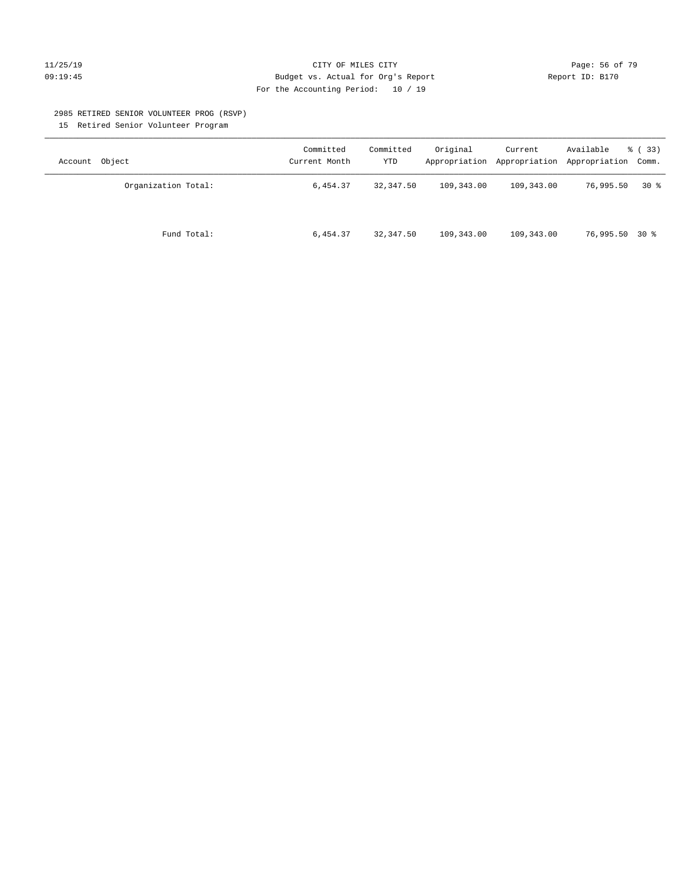#### 11/25/19 Page: 56 of 79 09:19:45 Budget vs. Actual for Org's Report Communication of Report ID: B170 For the Accounting Period: 10 / 19

#### 2985 RETIRED SENIOR VOLUNTEER PROG (RSVP)

15 Retired Senior Volunteer Program

| Account Object      | Committed<br>Current Month | Committed<br><b>YTD</b> | Original   | Current    | Available<br>Appropriation Appropriation Appropriation Comm. | % ( 33 ) |
|---------------------|----------------------------|-------------------------|------------|------------|--------------------------------------------------------------|----------|
| Organization Total: | 6,454.37                   | 32,347.50               | 109,343.00 | 109,343.00 | 76,995.50                                                    | $30*$    |
| Fund Total:         | 6,454.37                   | 32,347.50               | 109,343.00 | 109,343.00 | 76,995.50 30 %                                               |          |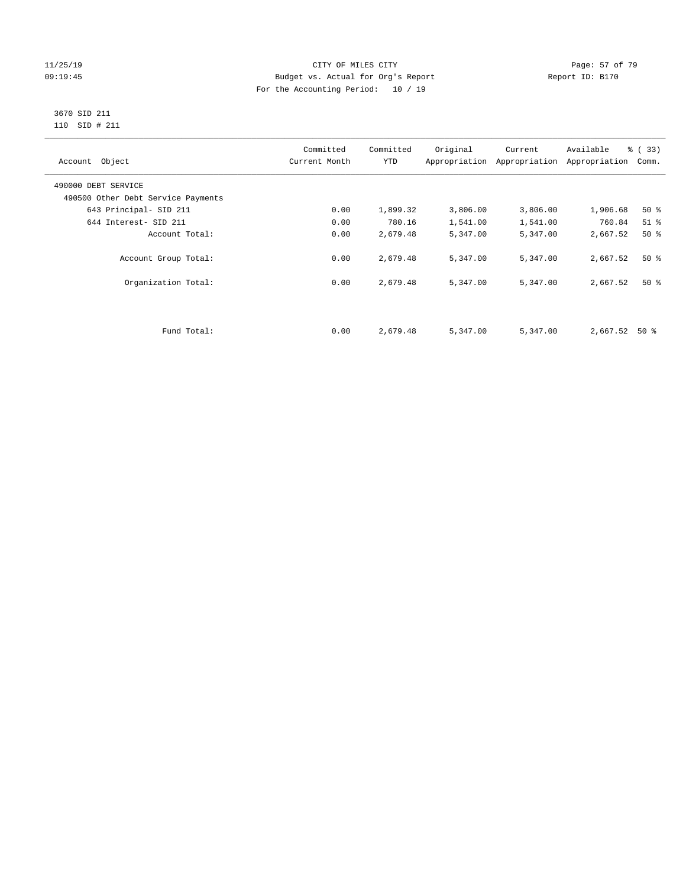#### 11/25/19 Page: 57 of 79 09:19:45 Budget vs. Actual for Org's Report Communication of Report ID: B170 For the Accounting Period: 10 / 19

#### 3670 SID 211 110 SID # 211

| Account Object                     | Committed<br>Current Month | Committed<br><b>YTD</b> | Original | Current<br>Appropriation Appropriation | Available<br>Appropriation | % (33)<br>Comm. |
|------------------------------------|----------------------------|-------------------------|----------|----------------------------------------|----------------------------|-----------------|
| 490000 DEBT SERVICE                |                            |                         |          |                                        |                            |                 |
| 490500 Other Debt Service Payments |                            |                         |          |                                        |                            |                 |
| 643 Principal- SID 211             | 0.00                       | 1,899.32                | 3,806.00 | 3,806.00                               | 1,906.68                   | $50*$           |
| 644 Interest- SID 211              | 0.00                       | 780.16                  | 1,541.00 | 1,541.00                               | 760.84                     | $51$ %          |
| Account Total:                     | 0.00                       | 2,679.48                | 5,347.00 | 5,347.00                               | 2,667.52                   | 50%             |
| Account Group Total:               | 0.00                       | 2,679.48                | 5,347.00 | 5,347.00                               | 2,667.52                   | $50*$           |
| Organization Total:                | 0.00                       | 2,679.48                | 5,347.00 | 5,347.00                               | 2,667.52                   | 50%             |
|                                    |                            |                         |          |                                        |                            |                 |
| Fund Total:                        | 0.00                       | 2,679.48                | 5,347.00 | 5,347.00                               | 2,667.52                   | 50 %            |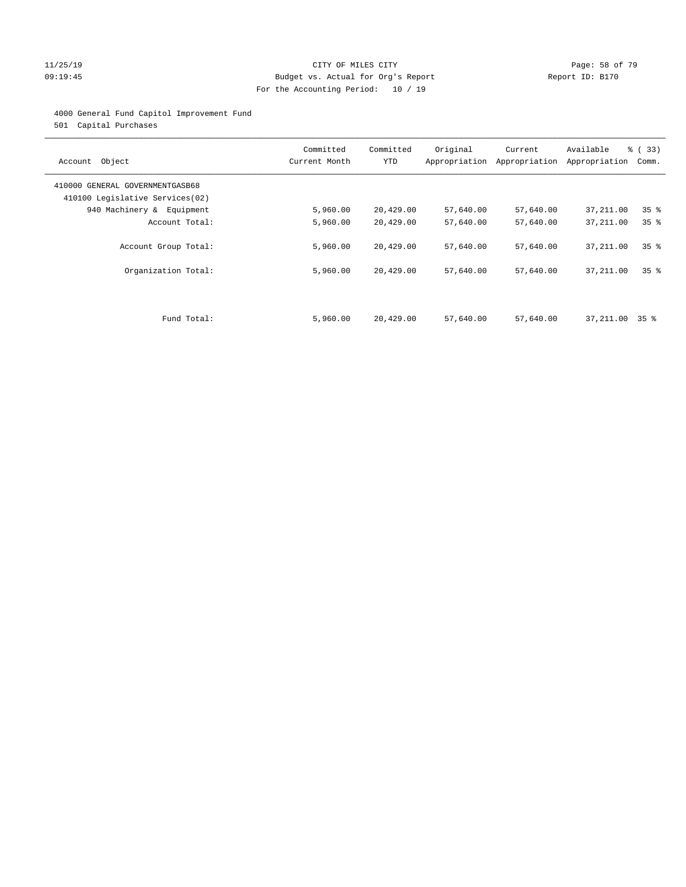#### 11/25/19 Page: 58 of 79 09:19:45 Budget vs. Actual for Org's Report Communication of Report ID: B170 For the Accounting Period: 10 / 19

#### 4000 General Fund Capitol Improvement Fund

501 Capital Purchases

| Account Object                                                     | Committed<br>Current Month | Committed<br><b>YTD</b> | Original  | Current<br>Appropriation Appropriation | Available<br>Appropriation | % (33)<br>Comm. |
|--------------------------------------------------------------------|----------------------------|-------------------------|-----------|----------------------------------------|----------------------------|-----------------|
| 410000 GENERAL GOVERNMENTGASB68<br>410100 Legislative Services(02) |                            |                         |           |                                        |                            |                 |
| 940 Machinery & Equipment                                          | 5,960.00                   | 20,429.00               | 57,640.00 | 57,640.00                              | 37,211.00                  | 35%             |
| Account Total:                                                     | 5,960.00                   | 20,429.00               | 57,640.00 | 57,640.00                              | 37, 211.00                 | 35 <sup>8</sup> |
| Account Group Total:                                               | 5,960.00                   | 20,429.00               | 57,640.00 | 57,640.00                              | 37,211.00                  | 35 <sup>8</sup> |
| Organization Total:                                                | 5,960.00                   | 20,429.00               | 57,640.00 | 57,640.00                              | 37,211.00                  | 35 <sup>8</sup> |
|                                                                    |                            |                         |           |                                        |                            |                 |
| Fund Total:                                                        | 5,960.00                   | 20,429.00               | 57,640.00 | 57,640.00                              | 37,211.00 35 %             |                 |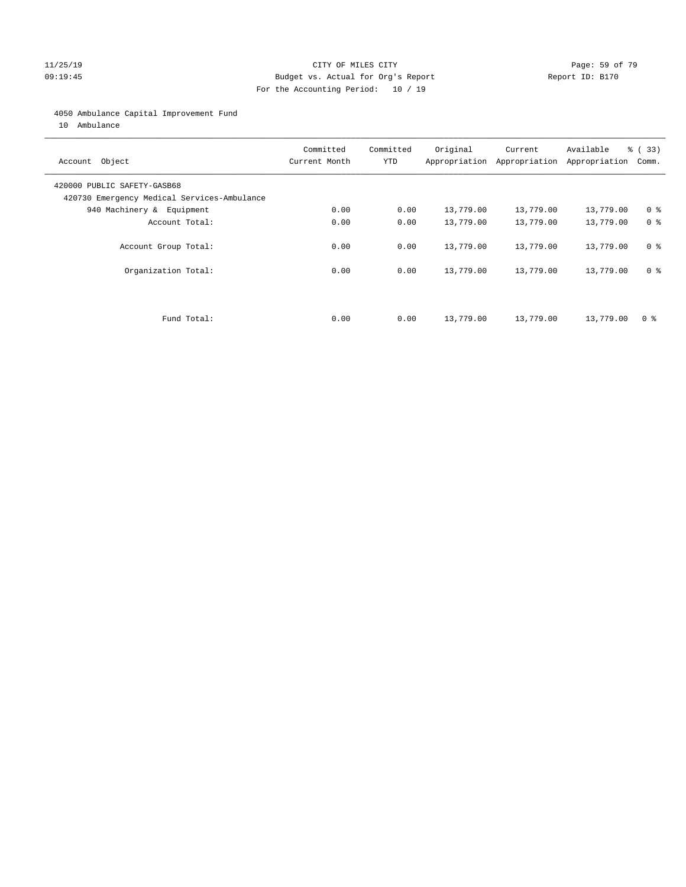#### 11/25/19 Page: 59 of 79 09:19:45 Budget vs. Actual for Org's Report Communication of Report ID: B170 For the Accounting Period: 10 / 19

#### 4050 Ambulance Capital Improvement Fund

10 Ambulance

| Account Object                                                             | Committed<br>Current Month | Committed<br><b>YTD</b> | Original  | Current<br>Appropriation Appropriation | Available<br>Appropriation | % (33)<br>Comm. |
|----------------------------------------------------------------------------|----------------------------|-------------------------|-----------|----------------------------------------|----------------------------|-----------------|
| 420000 PUBLIC SAFETY-GASB68<br>420730 Emergency Medical Services-Ambulance |                            |                         |           |                                        |                            |                 |
| 940 Machinery & Equipment                                                  | 0.00                       | 0.00                    | 13,779.00 | 13,779.00                              | 13,779.00                  | 0 <sup>8</sup>  |
| Account Total:                                                             | 0.00                       | 0.00                    | 13,779.00 | 13,779.00                              | 13,779.00                  | 0 <sup>8</sup>  |
| Account Group Total:                                                       | 0.00                       | 0.00                    | 13,779.00 | 13,779.00                              | 13,779.00                  | 0 <sup>8</sup>  |
| Organization Total:                                                        | 0.00                       | 0.00                    | 13,779.00 | 13,779.00                              | 13,779.00                  | 0 <sup>8</sup>  |
|                                                                            |                            |                         |           |                                        |                            |                 |
| Fund Total:                                                                | 0.00                       | 0.00                    | 13,779.00 | 13,779.00                              | 13,779.00                  | 0 %             |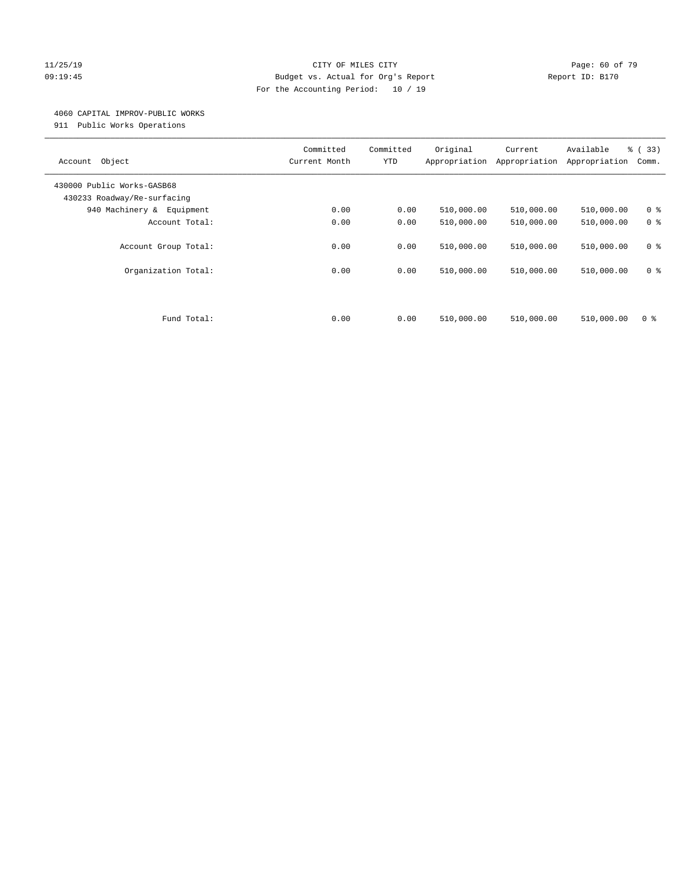#### 11/25/19 Page: 60 of 79 09:19:45 Budget vs. Actual for Org's Report Communication of Report ID: B170 For the Accounting Period: 10 / 19

#### 4060 CAPITAL IMPROV-PUBLIC WORKS

911 Public Works Operations

| Object<br>Account                                         | Committed<br>Current Month | Committed<br><b>YTD</b> | Original<br>Appropriation | Current<br>Appropriation | Available<br>Appropriation | % (33)<br>Comm.                  |
|-----------------------------------------------------------|----------------------------|-------------------------|---------------------------|--------------------------|----------------------------|----------------------------------|
| 430000 Public Works-GASB68<br>430233 Roadway/Re-surfacing |                            |                         |                           |                          |                            |                                  |
| 940 Machinery & Equipment                                 | 0.00                       | 0.00                    | 510,000.00                | 510,000.00               | 510,000.00                 | 0 <sup>8</sup>                   |
| Account Total:                                            | 0.00                       | 0.00                    | 510,000.00                | 510,000.00               | 510,000.00                 | 0 <sup>8</sup>                   |
| Account Group Total:<br>Organization Total:               | 0.00<br>0.00               | 0.00<br>0.00            | 510,000.00<br>510,000.00  | 510,000.00<br>510,000.00 | 510,000.00<br>510,000.00   | 0 <sup>8</sup><br>0 <sup>8</sup> |
| Fund Total:                                               | 0.00                       | 0.00                    | 510,000.00                | 510,000.00               | 510,000.00                 | 0 %                              |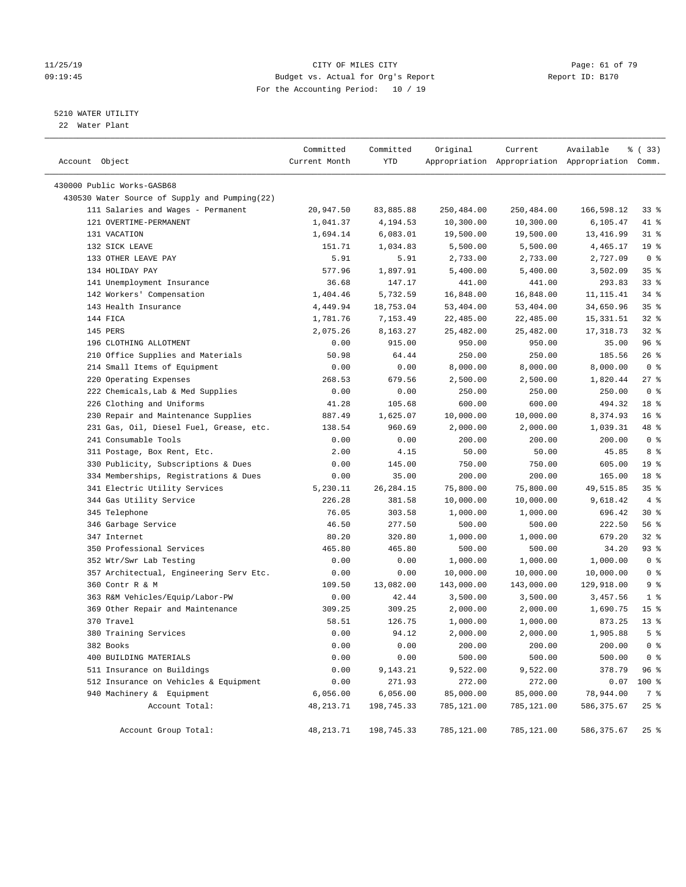#### 11/25/19 Page: 61 of 79 CITY OF MILES CITY CHANGES OF THE PAGE: 61 of 79 09:19:45 Budget vs. Actual for Org's Report Report ID: B170 For the Accounting Period: 10 / 19

————————————————————————————————————————————————————————————————————————————————————————————————————————————————————————————————————

#### 5210 WATER UTILITY

22 Water Plant

|                                               | Committed     | Committed   | Original   | Current    | Available                                       | १ (33)             |
|-----------------------------------------------|---------------|-------------|------------|------------|-------------------------------------------------|--------------------|
| Account Object                                | Current Month | YTD         |            |            | Appropriation Appropriation Appropriation Comm. |                    |
| 430000 Public Works-GASB68                    |               |             |            |            |                                                 |                    |
| 430530 Water Source of Supply and Pumping(22) |               |             |            |            |                                                 |                    |
| 111 Salaries and Wages - Permanent            | 20,947.50     | 83,885.88   | 250,484.00 | 250,484.00 | 166,598.12                                      | 338                |
| 121 OVERTIME-PERMANENT                        | 1,041.37      | 4,194.53    | 10,300.00  | 10,300.00  | 6,105.47                                        | 41 %               |
| 131 VACATION                                  | 1,694.14      | 6,083.01    | 19,500.00  | 19,500.00  | 13,416.99                                       | 31 %               |
| 132 SICK LEAVE                                | 151.71        | 1,034.83    | 5,500.00   | 5,500.00   | 4,465.17                                        | 19 <sup>°</sup>    |
| 133 OTHER LEAVE PAY                           | 5.91          | 5.91        | 2,733.00   | 2,733.00   | 2,727.09                                        | 0 <sup>8</sup>     |
| 134 HOLIDAY PAY                               | 577.96        | 1,897.91    | 5,400.00   | 5,400.00   | 3,502.09                                        | 35%                |
| 141 Unemployment Insurance                    | 36.68         | 147.17      | 441.00     | 441.00     | 293.83                                          | 33%                |
| 142 Workers' Compensation                     | 1,404.46      | 5,732.59    | 16,848.00  | 16,848.00  | 11, 115. 41                                     | $34$ $%$           |
| 143 Health Insurance                          | 4,449.94      | 18,753.04   | 53,404.00  | 53,404.00  | 34,650.96                                       | 35%                |
| 144 FICA                                      | 1,781.76      | 7,153.49    | 22,485.00  | 22,485.00  | 15, 331.51                                      | $32$ $%$           |
| 145 PERS                                      | 2,075.26      | 8,163.27    | 25,482.00  | 25,482.00  | 17,318.73                                       | $32$ $%$           |
| 196 CLOTHING ALLOTMENT                        | 0.00          | 915.00      | 950.00     | 950.00     | 35.00                                           | 96%                |
| 210 Office Supplies and Materials             | 50.98         | 64.44       | 250.00     | 250.00     | 185.56                                          | $26$ %             |
| 214 Small Items of Equipment                  | 0.00          | 0.00        | 8,000.00   | 8,000.00   | 8,000.00                                        | 0 <sup>8</sup>     |
| 220 Operating Expenses                        | 268.53        | 679.56      | 2,500.00   | 2,500.00   | 1,820.44                                        | $27$ %             |
| 222 Chemicals, Lab & Med Supplies             | 0.00          | 0.00        | 250.00     | 250.00     | 250.00                                          | 0 <sup>8</sup>     |
| 226 Clothing and Uniforms                     | 41.28         | 105.68      | 600.00     | 600.00     | 494.32                                          | 18 %               |
| 230 Repair and Maintenance Supplies           | 887.49        | 1,625.07    | 10,000.00  | 10,000.00  | 8,374.93                                        | 16 <sup>°</sup>    |
| 231 Gas, Oil, Diesel Fuel, Grease, etc.       | 138.54        | 960.69      | 2,000.00   | 2,000.00   | 1,039.31                                        | 48 %               |
| 241 Consumable Tools                          | 0.00          | 0.00        | 200.00     | 200.00     | 200.00                                          | 0 <sup>8</sup>     |
| 311 Postage, Box Rent, Etc.                   | 2.00          | 4.15        | 50.00      | 50.00      | 45.85                                           | 8 %                |
| 330 Publicity, Subscriptions & Dues           | 0.00          | 145.00      | 750.00     | 750.00     | 605.00                                          | 19 <sup>°</sup>    |
| 334 Memberships, Registrations & Dues         | 0.00          | 35.00       | 200.00     | 200.00     | 165.00                                          | 18 %               |
| 341 Electric Utility Services                 | 5,230.11      | 26, 284. 15 | 75,800.00  | 75,800.00  | 49,515.85                                       | 35%                |
| 344 Gas Utility Service                       | 226.28        | 381.58      | 10,000.00  | 10,000.00  | 9,618.42                                        | 4%                 |
| 345 Telephone                                 | 76.05         | 303.58      | 1,000.00   | 1,000.00   | 696.42                                          | $30*$              |
| 346 Garbage Service                           | 46.50         | 277.50      | 500.00     | 500.00     | 222.50                                          | 56 %               |
| 347 Internet                                  | 80.20         | 320.80      | 1,000.00   | 1,000.00   | 679.20                                          | $32$ $%$           |
| 350 Professional Services                     | 465.80        | 465.80      | 500.00     | 500.00     | 34.20                                           | 93 %               |
| 352 Wtr/Swr Lab Testing                       | 0.00          | 0.00        | 1,000.00   | 1,000.00   | 1,000.00                                        | 0 <sup>8</sup>     |
| 357 Architectual, Engineering Serv Etc.       | 0.00          | 0.00        | 10,000.00  | 10,000.00  | 10,000.00                                       | 0 <sup>8</sup>     |
| 360 Contr R & M                               | 109.50        | 13,082.00   | 143,000.00 | 143,000.00 | 129,918.00                                      | 9%                 |
| 363 R&M Vehicles/Equip/Labor-PW               | 0.00          | 42.44       | 3,500.00   | 3,500.00   | 3,457.56                                        | $1$ %              |
| 369 Other Repair and Maintenance              | 309.25        | 309.25      | 2,000.00   | 2,000.00   | 1,690.75                                        | 15 <sup>8</sup>    |
| 370 Travel                                    | 58.51         | 126.75      | 1,000.00   | 1,000.00   | 873.25                                          | $13*$              |
| 380 Training Services                         | 0.00          | 94.12       | 2,000.00   | 2,000.00   | 1,905.88                                        | 5 <sup>°</sup>     |
| 382 Books                                     | 0.00          | 0.00        | 200.00     | 200.00     | 200.00                                          | 0 <sup>8</sup>     |
| 400 BUILDING MATERIALS                        | 0.00          | 0.00        | 500.00     | 500.00     | 500.00                                          | 0 <sup>8</sup>     |
| 511 Insurance on Buildings                    | 0.00          | 9,143.21    | 9,522.00   | 9,522.00   | 378.79                                          | 96%                |
| 512 Insurance on Vehicles & Equipment         | 0.00          | 271.93      | 272.00     | 272.00     | 0.07                                            | 100 %              |
| 940 Machinery & Equipment                     | 6,056.00      | 6,056.00    | 85,000.00  | 85,000.00  | 78,944.00                                       | 7 %                |
| Account Total:                                | 48, 213. 71   | 198,745.33  | 785,121.00 | 785,121.00 | 586, 375.67                                     | $25$ %             |
| Account Group Total:                          | 48, 213. 71   | 198,745.33  | 785,121.00 | 785,121.00 | 586,375.67                                      | $25$ $\frac{6}{5}$ |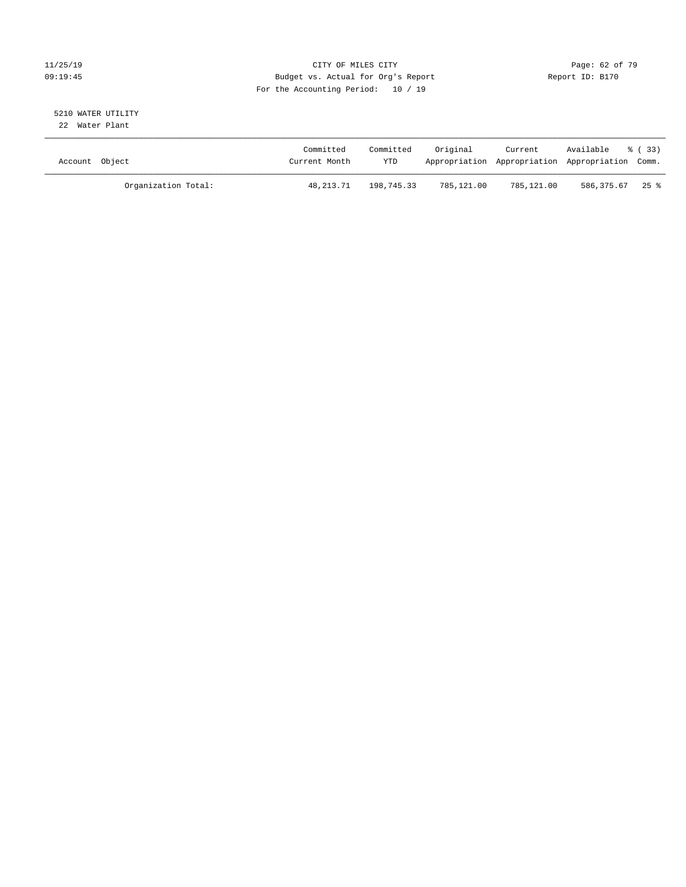#### 11/25/19 Page: 62 of 79 09:19:45 Budget vs. Actual for Org's Report Communication of Report ID: B170 For the Accounting Period: 10 / 19

#### 5210 WATER UTILITY 22 Water Plant

| Account Object |                     | Committed<br>Current Month | Committed<br><b>YTD</b> | Original   | Current    | Available<br>Appropriation Appropriation Appropriation Comm. | - 8 (33) |
|----------------|---------------------|----------------------------|-------------------------|------------|------------|--------------------------------------------------------------|----------|
|                | Organization Total: | 48,213.71                  | 198,745.33              | 785,121.00 | 785,121.00 | 586.375.67 25 %                                              |          |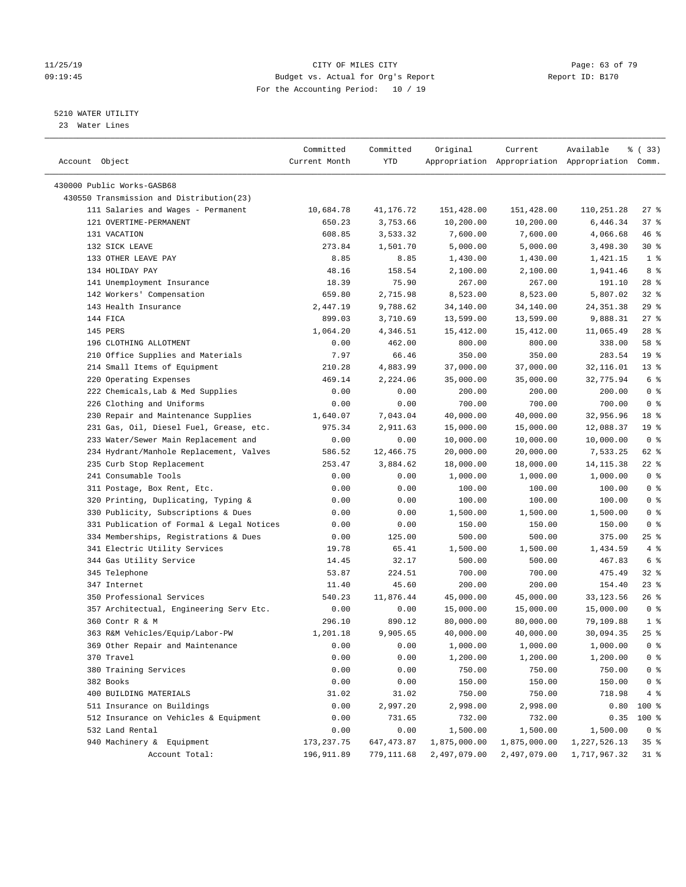#### 11/25/19 Page: 63 of 79 09:19:45 Budget vs. Actual for Org's Report Changer Report ID: B170 For the Accounting Period: 10 / 19

————————————————————————————————————————————————————————————————————————————————————————————————————————————————————————————————————

#### 5210 WATER UTILITY

23 Water Lines

|                                           | Committed     | Committed  | Original     | Current      | Available                                       | १८ ( <b>33</b> ) |
|-------------------------------------------|---------------|------------|--------------|--------------|-------------------------------------------------|------------------|
| Account Object                            | Current Month | YTD        |              |              | Appropriation Appropriation Appropriation Comm. |                  |
|                                           |               |            |              |              |                                                 |                  |
| 430000 Public Works-GASB68                |               |            |              |              |                                                 |                  |
| 430550 Transmission and Distribution(23)  |               |            |              |              |                                                 |                  |
| 111 Salaries and Wages - Permanent        | 10,684.78     | 41,176.72  | 151,428.00   | 151,428.00   | 110,251.28                                      | $27$ %           |
| 121 OVERTIME-PERMANENT                    | 650.23        | 3,753.66   | 10,200.00    | 10,200.00    | 6,446.34                                        | 37%              |
| 131 VACATION                              | 608.85        | 3,533.32   | 7,600.00     | 7,600.00     | 4,066.68                                        | 46 %             |
| 132 SICK LEAVE                            | 273.84        | 1,501.70   | 5,000.00     | 5,000.00     | 3,498.30                                        | $30*$            |
| 133 OTHER LEAVE PAY                       | 8.85          | 8.85       | 1,430.00     | 1,430.00     | 1,421.15                                        | 1 <sup>8</sup>   |
| 134 HOLIDAY PAY                           | 48.16         | 158.54     | 2,100.00     | 2,100.00     | 1,941.46                                        | 8 %              |
| 141 Unemployment Insurance                | 18.39         | 75.90      | 267.00       | 267.00       | 191.10                                          | $28$ %           |
| 142 Workers' Compensation                 | 659.80        | 2,715.98   | 8,523.00     | 8,523.00     | 5,807.02                                        | $32$ $%$         |
| 143 Health Insurance                      | 2,447.19      | 9,788.62   | 34,140.00    | 34,140.00    | 24, 351.38                                      | $29$ %           |
| 144 FICA                                  | 899.03        | 3,710.69   | 13,599.00    | 13,599.00    | 9,888.31                                        | $27$ %           |
| 145 PERS                                  | 1,064.20      | 4,346.51   | 15,412.00    | 15,412.00    | 11,065.49                                       | $28$ %           |
| 196 CLOTHING ALLOTMENT                    | 0.00          | 462.00     | 800.00       | 800.00       | 338.00                                          | 58 %             |
| 210 Office Supplies and Materials         | 7.97          | 66.46      | 350.00       | 350.00       | 283.54                                          | 19 <sup>°</sup>  |
| 214 Small Items of Equipment              | 210.28        | 4,883.99   | 37,000.00    | 37,000.00    | 32,116.01                                       | $13*$            |
| 220 Operating Expenses                    | 469.14        | 2,224.06   | 35,000.00    | 35,000.00    | 32,775.94                                       | 6 <sup>°</sup>   |
| 222 Chemicals, Lab & Med Supplies         | 0.00          | 0.00       | 200.00       | 200.00       | 200.00                                          | 0 <sup>8</sup>   |
| 226 Clothing and Uniforms                 | 0.00          | 0.00       | 700.00       | 700.00       | 700.00                                          | 0 <sup>8</sup>   |
| 230 Repair and Maintenance Supplies       | 1,640.07      | 7,043.04   | 40,000.00    | 40,000.00    | 32,956.96                                       | 18 %             |
| 231 Gas, Oil, Diesel Fuel, Grease, etc.   | 975.34        | 2,911.63   | 15,000.00    | 15,000.00    | 12,088.37                                       | 19 <sup>°</sup>  |
| 233 Water/Sewer Main Replacement and      | 0.00          | 0.00       | 10,000.00    | 10,000.00    | 10,000.00                                       | 0 <sup>8</sup>   |
| 234 Hydrant/Manhole Replacement, Valves   | 586.52        | 12,466.75  | 20,000.00    | 20,000.00    | 7,533.25                                        | 62 %             |
| 235 Curb Stop Replacement                 | 253.47        | 3,884.62   | 18,000.00    | 18,000.00    | 14, 115.38                                      | $22$ %           |
| 241 Consumable Tools                      | 0.00          | 0.00       | 1,000.00     | 1,000.00     | 1,000.00                                        | 0 <sup>8</sup>   |
| 311 Postage, Box Rent, Etc.               | 0.00          | 0.00       | 100.00       | 100.00       | 100.00                                          | 0 <sup>8</sup>   |
| 320 Printing, Duplicating, Typing &       | 0.00          | 0.00       | 100.00       | 100.00       | 100.00                                          | 0 <sup>8</sup>   |
| 330 Publicity, Subscriptions & Dues       | 0.00          | 0.00       | 1,500.00     | 1,500.00     | 1,500.00                                        | 0 <sup>8</sup>   |
| 331 Publication of Formal & Legal Notices | 0.00          | 0.00       | 150.00       | 150.00       | 150.00                                          | 0 <sup>8</sup>   |
| 334 Memberships, Registrations & Dues     | 0.00          | 125.00     | 500.00       | 500.00       | 375.00                                          | $25$ %           |
| 341 Electric Utility Services             | 19.78         | 65.41      | 1,500.00     | 1,500.00     | 1,434.59                                        | 4%               |
| 344 Gas Utility Service                   | 14.45         | 32.17      | 500.00       | 500.00       | 467.83                                          | 6 <sup>°</sup>   |
| 345 Telephone                             | 53.87         | 224.51     | 700.00       | 700.00       | 475.49                                          | $32$ $%$         |
| 347 Internet                              | 11.40         | 45.60      | 200.00       | 200.00       | 154.40                                          | $23$ %           |
| 350 Professional Services                 | 540.23        | 11,876.44  | 45,000.00    | 45,000.00    | 33, 123.56                                      | $26$ %           |
| 357 Architectual, Engineering Serv Etc.   | 0.00          | 0.00       | 15,000.00    | 15,000.00    | 15,000.00                                       | 0 <sup>8</sup>   |
| 360 Contr R & M                           | 296.10        | 890.12     | 80,000.00    | 80,000.00    | 79,109.88                                       | 1 <sup>8</sup>   |
| 363 R&M Vehicles/Equip/Labor-PW           | 1,201.18      | 9,905.65   | 40,000.00    | 40,000.00    | 30,094.35                                       | $25$ %           |
| 369 Other Repair and Maintenance          | 0.00          | 0.00       | 1,000.00     | 1,000.00     | 1,000.00                                        | 0 <sup>8</sup>   |
| 370 Travel                                | 0.00          | 0.00       | 1,200.00     | 1,200.00     | 1,200.00                                        | $0$ %            |
| 380 Training Services                     | 0.00          | 0.00       | 750.00       | 750.00       | 750.00                                          | 0 <sup>8</sup>   |
| 382 Books                                 | 0.00          | 0.00       | 150.00       | 150.00       | 150.00                                          | 0 <sup>8</sup>   |
| 400 BUILDING MATERIALS                    | 31.02         | 31.02      | 750.00       | 750.00       | 718.98                                          | 4%               |
| 511 Insurance on Buildings                | 0.00          | 2,997.20   | 2,998.00     | 2,998.00     | 0.80                                            | 100 %            |
| 512 Insurance on Vehicles & Equipment     | 0.00          | 731.65     | 732.00       | 732.00       | 0.35                                            | 100 %            |
| 532 Land Rental                           | 0.00          | 0.00       | 1,500.00     | 1,500.00     | 1,500.00                                        | 0 <sup>8</sup>   |
| 940 Machinery & Equipment                 | 173, 237.75   | 647,473.87 | 1,875,000.00 | 1,875,000.00 | 1,227,526.13                                    | 35 <sup>8</sup>  |
| Account Total:                            | 196,911.89    | 779,111.68 | 2,497,079.00 | 2,497,079.00 | 1,717,967.32                                    | $31$ %           |
|                                           |               |            |              |              |                                                 |                  |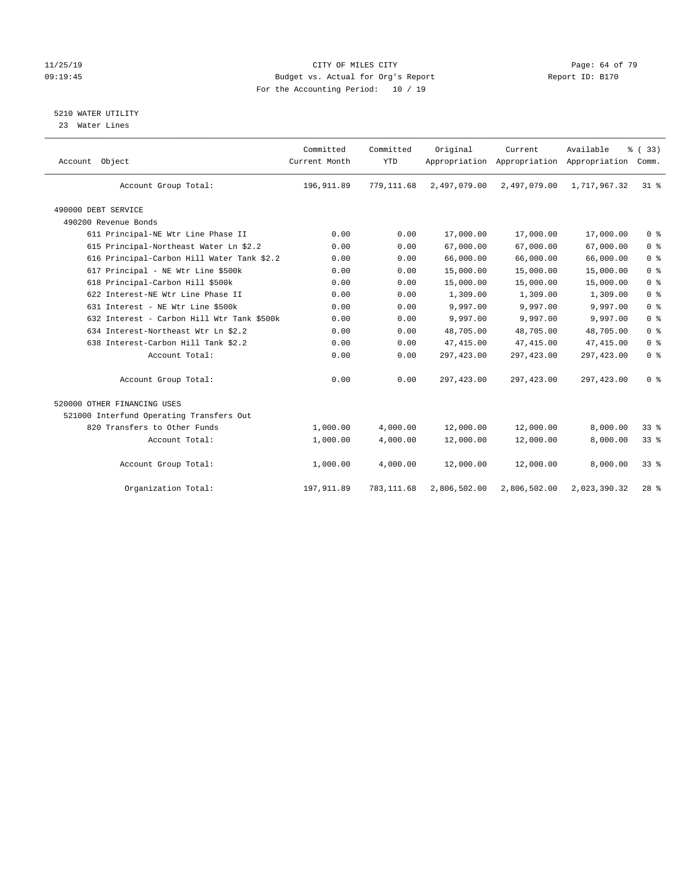#### 11/25/19 Page: 64 of 79 09:19:45 Budget vs. Actual for Org's Report Report ID: B170 For the Accounting Period: 10 / 19

#### 5210 WATER UTILITY

23 Water Lines

| Account Object                             | Committed<br>Current Month | Committed<br><b>YTD</b> | Original     | Current<br>Appropriation Appropriation Appropriation | Available    | % (33)<br>Comm. |
|--------------------------------------------|----------------------------|-------------------------|--------------|------------------------------------------------------|--------------|-----------------|
| Account Group Total:                       | 196, 911.89                | 779,111.68              | 2,497,079.00 | 2,497,079.00                                         | 1,717,967.32 | $31$ %          |
| 490000 DEBT SERVICE                        |                            |                         |              |                                                      |              |                 |
| 490200 Revenue Bonds                       |                            |                         |              |                                                      |              |                 |
| 611 Principal-NE Wtr Line Phase II         | 0.00                       | 0.00                    | 17,000.00    | 17,000.00                                            | 17,000.00    | 0 <sup>8</sup>  |
| 615 Principal-Northeast Water Ln \$2.2     | 0.00                       | 0.00                    | 67,000.00    | 67,000.00                                            | 67,000.00    | 0 <sup>8</sup>  |
| 616 Principal-Carbon Hill Water Tank \$2.2 | 0.00                       | 0.00                    | 66,000.00    | 66,000.00                                            | 66,000.00    | 0 <sup>8</sup>  |
| 617 Principal - NE Wtr Line \$500k         | 0.00                       | 0.00                    | 15,000.00    | 15,000.00                                            | 15,000.00    | 0 <sup>8</sup>  |
| 618 Principal-Carbon Hill \$500k           | 0.00                       | 0.00                    | 15,000.00    | 15,000.00                                            | 15,000.00    | 0 <sup>8</sup>  |
| 622 Interest-NE Wtr Line Phase II          | 0.00                       | 0.00                    | 1,309.00     | 1,309.00                                             | 1,309.00     | 0 <sup>8</sup>  |
| 631 Interest - NE Wtr Line \$500k          | 0.00                       | 0.00                    | 9,997.00     | 9,997.00                                             | 9,997.00     | 0 <sup>8</sup>  |
| 632 Interest - Carbon Hill Wtr Tank \$500k | 0.00                       | 0.00                    | 9,997.00     | 9,997.00                                             | 9,997.00     | 0 <sup>8</sup>  |
| 634 Interest-Northeast Wtr Ln \$2.2        | 0.00                       | 0.00                    | 48,705.00    | 48,705.00                                            | 48,705.00    | 0 <sup>8</sup>  |
| 638 Interest-Carbon Hill Tank \$2.2        | 0.00                       | 0.00                    | 47, 415.00   | 47, 415.00                                           | 47, 415.00   | 0 <sup>8</sup>  |
| Account Total:                             | 0.00                       | 0.00                    | 297,423.00   | 297, 423.00                                          | 297, 423.00  | 0 <sup>8</sup>  |
| Account Group Total:                       | 0.00                       | 0.00                    | 297,423.00   | 297, 423.00                                          | 297, 423.00  | 0 <sup>8</sup>  |
| 520000 OTHER FINANCING USES                |                            |                         |              |                                                      |              |                 |
| 521000 Interfund Operating Transfers Out   |                            |                         |              |                                                      |              |                 |
| 820 Transfers to Other Funds               | 1,000.00                   | 4,000.00                | 12,000.00    | 12,000.00                                            | 8,000.00     | $33*$           |
| Account Total:                             | 1,000.00                   | 4,000.00                | 12,000.00    | 12,000.00                                            | 8,000.00     | 33%             |
| Account Group Total:                       | 1,000.00                   | 4,000.00                | 12,000.00    | 12,000.00                                            | 8,000.00     | 33 <sup>8</sup> |
| Organization Total:                        | 197, 911.89                | 783, 111.68             | 2,806,502.00 | 2,806,502.00                                         | 2,023,390.32 | $28$ %          |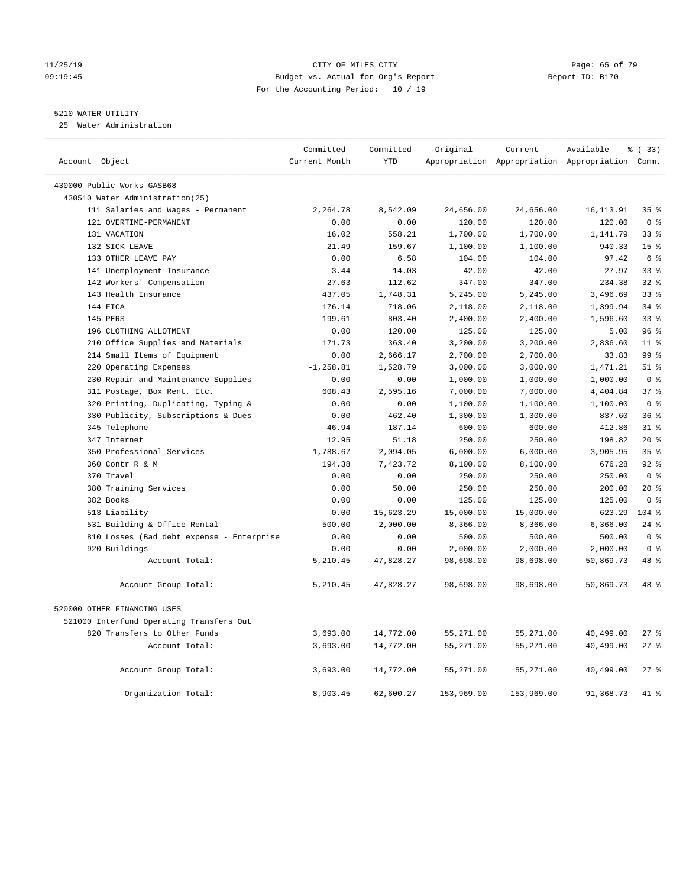#### 11/25/19 **Page: 65 of 79** CITY OF MILES CITY **CITY Page: 65 of 79** 09:19:45 Budget vs. Actual for Org's Report Report ID: B170 For the Accounting Period: 10 / 19

#### 5210 WATER UTILITY

25 Water Administration

| Account Object                            | Committed<br>Current Month | Committed<br><b>YTD</b> | Original   | Current    | Available<br>Appropriation Appropriation Appropriation Comm. | % (33)          |
|-------------------------------------------|----------------------------|-------------------------|------------|------------|--------------------------------------------------------------|-----------------|
| 430000 Public Works-GASB68                |                            |                         |            |            |                                                              |                 |
| 430510 Water Administration(25)           |                            |                         |            |            |                                                              |                 |
| 111 Salaries and Wages - Permanent        | 2,264.78                   | 8,542.09                | 24,656.00  | 24,656.00  | 16, 113.91                                                   | 35%             |
| 121 OVERTIME-PERMANENT                    | 0.00                       | 0.00                    | 120.00     | 120.00     | 120.00                                                       | 0 <sup>8</sup>  |
| 131 VACATION                              | 16.02                      | 558.21                  | 1,700.00   | 1,700.00   | 1,141.79                                                     | $33$ $%$        |
| 132 SICK LEAVE                            | 21.49                      | 159.67                  | 1,100.00   | 1,100.00   | 940.33                                                       | 15 <sup>°</sup> |
| 133 OTHER LEAVE PAY                       | 0.00                       | 6.58                    | 104.00     | 104.00     | 97.42                                                        | 6 %             |
| 141 Unemployment Insurance                | 3.44                       | 14.03                   | 42.00      | 42.00      | 27.97                                                        | 33 <sup>8</sup> |
| 142 Workers' Compensation                 | 27.63                      | 112.62                  | 347.00     | 347.00     | 234.38                                                       | 328             |
| 143 Health Insurance                      | 437.05                     | 1,748.31                | 5,245.00   | 5,245.00   | 3,496.69                                                     | 33%             |
| 144 FICA                                  | 176.14                     | 718.06                  | 2,118.00   | 2,118.00   | 1,399.94                                                     | 34%             |
| 145 PERS                                  | 199.61                     | 803.40                  | 2,400.00   | 2,400.00   | 1,596.60                                                     | 338             |
| 196 CLOTHING ALLOTMENT                    | 0.00                       | 120.00                  | 125.00     | 125.00     | 5.00                                                         | 96%             |
| 210 Office Supplies and Materials         | 171.73                     | 363.40                  | 3,200.00   | 3,200.00   | 2,836.60                                                     | 11 <sup>°</sup> |
| 214 Small Items of Equipment              | 0.00                       | 2,666.17                | 2,700.00   | 2,700.00   | 33.83                                                        | 99 <sub>8</sub> |
| 220 Operating Expenses                    | $-1, 258.81$               | 1,528.79                | 3,000.00   | 3,000.00   | 1,471.21                                                     | $51$ %          |
| 230 Repair and Maintenance Supplies       | 0.00                       | 0.00                    | 1,000.00   | 1,000.00   | 1,000.00                                                     | 0 <sup>8</sup>  |
| 311 Postage, Box Rent, Etc.               | 608.43                     | 2,595.16                | 7,000.00   | 7,000.00   | 4,404.84                                                     | 37%             |
| 320 Printing, Duplicating, Typing &       | 0.00                       | 0.00                    | 1,100.00   | 1,100.00   | 1,100.00                                                     | 0 <sup>8</sup>  |
| 330 Publicity, Subscriptions & Dues       | 0.00                       | 462.40                  | 1,300.00   | 1,300.00   | 837.60                                                       | 36%             |
| 345 Telephone                             | 46.94                      | 187.14                  | 600.00     | 600.00     | 412.86                                                       | $31$ %          |
| 347 Internet                              | 12.95                      | 51.18                   | 250.00     | 250.00     | 198.82                                                       | $20*$           |
| 350 Professional Services                 | 1,788.67                   | 2,094.05                | 6,000.00   | 6,000.00   | 3,905.95                                                     | 35 <sup>8</sup> |
| 360 Contr R & M                           | 194.38                     | 7,423.72                | 8,100.00   | 8,100.00   | 676.28                                                       | 92%             |
| 370 Travel                                | 0.00                       | 0.00                    | 250.00     | 250.00     | 250.00                                                       | 0 <sup>8</sup>  |
| 380 Training Services                     | 0.00                       | 50.00                   | 250.00     | 250.00     | 200.00                                                       | $20*$           |
| 382 Books                                 | 0.00                       | 0.00                    | 125.00     | 125.00     | 125.00                                                       | 0 <sup>8</sup>  |
| 513 Liability                             | 0.00                       | 15,623.29               | 15,000.00  | 15,000.00  | $-623.29$                                                    | $104$ %         |
| 531 Building & Office Rental              | 500.00                     | 2,000.00                | 8,366.00   | 8,366.00   | 6,366.00                                                     | $24$ %          |
| 810 Losses (Bad debt expense - Enterprise | 0.00                       | 0.00                    | 500.00     | 500.00     | 500.00                                                       | 0 <sup>8</sup>  |
| 920 Buildings                             | 0.00                       | 0.00                    | 2,000.00   | 2,000.00   | 2,000.00                                                     | 0 <sup>8</sup>  |
| Account Total:                            | 5,210.45                   | 47,828.27               | 98,698.00  | 98,698.00  | 50,869.73                                                    | 48 %            |
| Account Group Total:                      | 5,210.45                   | 47,828.27               | 98,698.00  | 98,698.00  | 50,869.73                                                    | 48 %            |
| 520000 OTHER FINANCING USES               |                            |                         |            |            |                                                              |                 |
| 521000 Interfund Operating Transfers Out  |                            |                         |            |            |                                                              |                 |
| 820 Transfers to Other Funds              | 3,693.00                   | 14,772.00               | 55,271.00  | 55,271.00  | 40,499.00                                                    | 27%             |
| Account Total:                            | 3,693.00                   | 14,772.00               | 55,271.00  | 55,271.00  | 40,499.00                                                    | 27%             |
| Account Group Total:                      | 3,693.00                   | 14,772.00               | 55,271.00  | 55,271.00  | 40,499.00                                                    | 27%             |
| Organization Total:                       | 8,903.45                   | 62,600.27               | 153,969.00 | 153,969.00 | 91,368.73                                                    | 41 %            |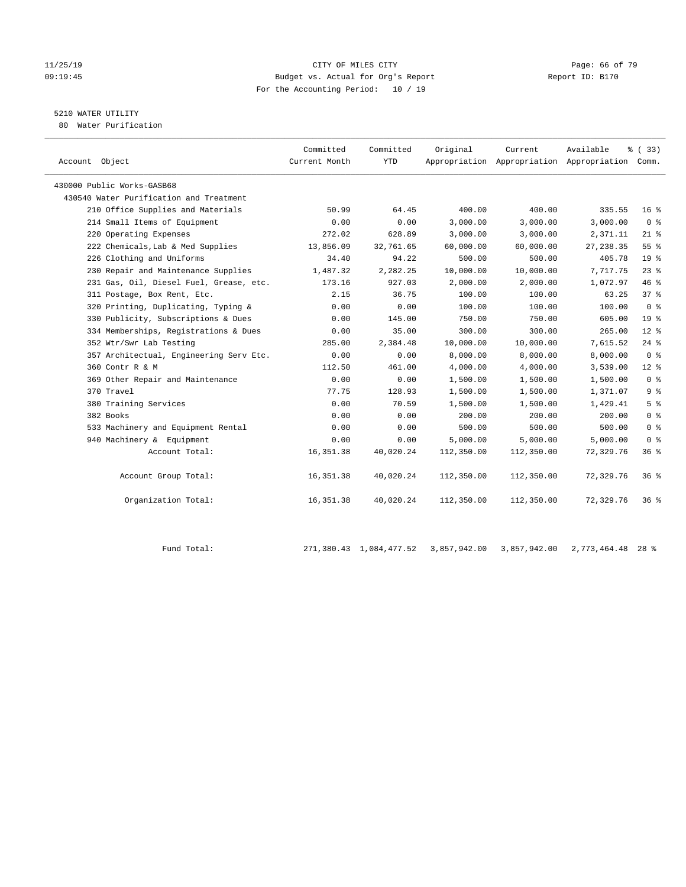#### 11/25/19 Page: 66 of 79 09:19:45 Budget vs. Actual for Org's Report Report ID: B170 For the Accounting Period: 10 / 19

## 5210 WATER UTILITY

80 Water Purification

| Account Object                          | Committed<br>Current Month | Committed<br><b>YTD</b> | Original   | Current    | Available<br>Appropriation Appropriation Appropriation Comm. | % (33)             |
|-----------------------------------------|----------------------------|-------------------------|------------|------------|--------------------------------------------------------------|--------------------|
| 430000 Public Works-GASB68              |                            |                         |            |            |                                                              |                    |
| 430540 Water Purification and Treatment |                            |                         |            |            |                                                              |                    |
| 210 Office Supplies and Materials       | 50.99                      | 64.45                   | 400.00     | 400.00     | 335.55                                                       | 16 <sup>°</sup>    |
| 214 Small Items of Equipment            | 0.00                       | 0.00                    | 3,000.00   | 3,000.00   | 3,000.00                                                     | 0 <sup>8</sup>     |
| 220 Operating Expenses                  | 272.02                     | 628.89                  | 3,000.00   | 3,000.00   | 2,371.11                                                     | $21$ %             |
| 222 Chemicals, Lab & Med Supplies       | 13,856.09                  | 32,761.65               | 60,000.00  | 60,000.00  | 27, 238.35                                                   | 55 %               |
| 226 Clothing and Uniforms               | 34.40                      | 94.22                   | 500.00     | 500.00     | 405.78                                                       | 19 <sup>°</sup>    |
| 230 Repair and Maintenance Supplies     | 1,487.32                   | 2,282.25                | 10,000.00  | 10,000.00  | 7,717.75                                                     | $23$ $%$           |
| 231 Gas, Oil, Diesel Fuel, Grease, etc. | 173.16                     | 927.03                  | 2,000.00   | 2,000.00   | 1,072.97                                                     | 46%                |
| 311 Postage, Box Rent, Etc.             | 2.15                       | 36.75                   | 100.00     | 100.00     | 63.25                                                        | 37%                |
| 320 Printing, Duplicating, Typing &     | 0.00                       | 0.00                    | 100.00     | 100.00     | 100.00                                                       | 0 <sup>8</sup>     |
| 330 Publicity, Subscriptions & Dues     | 0.00                       | 145.00                  | 750.00     | 750.00     | 605.00                                                       | 19 <sup>°</sup>    |
| 334 Memberships, Registrations & Dues   | 0.00                       | 35.00                   | 300.00     | 300.00     | 265.00                                                       | $12*$              |
| 352 Wtr/Swr Lab Testing                 | 285.00                     | 2,384.48                | 10,000.00  | 10,000.00  | 7,615.52                                                     | $24$ $%$           |
| 357 Architectual, Engineering Serv Etc. | 0.00                       | 0.00                    | 8,000.00   | 8,000.00   | 8,000.00                                                     | 0 <sup>8</sup>     |
| 360 Contr R & M                         | 112.50                     | 461.00                  | 4,000.00   | 4,000.00   | 3,539.00                                                     | $12*$              |
| 369 Other Repair and Maintenance        | 0.00                       | 0.00                    | 1,500.00   | 1,500.00   | 1,500.00                                                     | 0 <sup>8</sup>     |
| 370 Travel                              | 77.75                      | 128.93                  | 1,500.00   | 1,500.00   | 1,371.07                                                     | 9 <sup>°</sup>     |
| 380 Training Services                   | 0.00                       | 70.59                   | 1,500.00   | 1,500.00   | 1,429.41                                                     | 5 <sup>°</sup>     |
| 382 Books                               | 0.00                       | 0.00                    | 200.00     | 200.00     | 200.00                                                       | 0 <sup>8</sup>     |
| 533 Machinery and Equipment Rental      | 0.00                       | 0.00                    | 500.00     | 500.00     | 500.00                                                       | 0 <sup>8</sup>     |
| 940 Machinery & Equipment               | 0.00                       | 0.00                    | 5,000.00   | 5,000.00   | 5,000.00                                                     | 0 <sup>8</sup>     |
| Account Total:                          | 16,351.38                  | 40,020.24               | 112,350.00 | 112,350.00 | 72,329.76                                                    | 36 <sup>8</sup>    |
| Account Group Total:                    | 16, 351.38                 | 40,020.24               | 112,350.00 | 112,350.00 | 72,329.76                                                    | $36$ $\frac{6}{3}$ |
| Organization Total:                     | 16, 351.38                 | 40,020.24               | 112,350.00 | 112,350.00 | 72,329.76                                                    | $36$ $\frac{6}{3}$ |

| Fund Total. | 271,380.43 1,084,477.52 3,857,942.00 3,857,942.00 |  | 2,773,464.48 28 % |
|-------------|---------------------------------------------------|--|-------------------|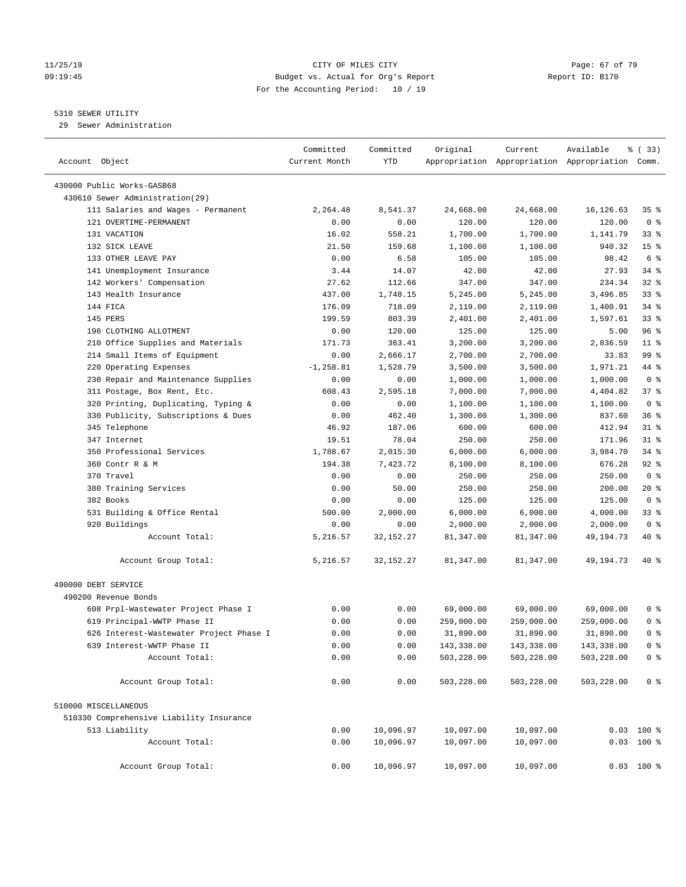#### 11/25/19 Page: 67 of 79 09:19:45 Budget vs. Actual for Org's Report Report ID: B170 For the Accounting Period: 10 / 19

————————————————————————————————————————————————————————————————————————————————————————————————————————————————————————————————————

#### 5310 SEWER UTILITY

29 Sewer Administration

|                                          | Committed     | Committed   | Original   | Current    | Available                                       | 8 (33)          |
|------------------------------------------|---------------|-------------|------------|------------|-------------------------------------------------|-----------------|
| Account Object                           | Current Month | YTD         |            |            | Appropriation Appropriation Appropriation Comm. |                 |
| 430000 Public Works-GASB68               |               |             |            |            |                                                 |                 |
| 430610 Sewer Administration(29)          |               |             |            |            |                                                 |                 |
| 111 Salaries and Wages - Permanent       | 2,264.48      | 8,541.37    | 24,668.00  | 24,668.00  | 16,126.63                                       | 35%             |
| 121 OVERTIME-PERMANENT                   | 0.00          | 0.00        | 120.00     | 120.00     | 120.00                                          | 0 <sup>8</sup>  |
| 131 VACATION                             | 16.02         | 558.21      | 1,700.00   | 1,700.00   | 1,141.79                                        | 338             |
| 132 SICK LEAVE                           | 21.50         | 159.68      | 1,100.00   | 1,100.00   | 940.32                                          | 15 <sup>°</sup> |
| 133 OTHER LEAVE PAY                      | 0.00          | 6.58        | 105.00     | 105.00     | 98.42                                           | 6 %             |
| 141 Unemployment Insurance               | 3.44          | 14.07       | 42.00      | 42.00      | 27.93                                           | $34$ $%$        |
| 142 Workers' Compensation                | 27.62         | 112.66      | 347.00     | 347.00     | 234.34                                          | $32$ $%$        |
| 143 Health Insurance                     | 437.00        | 1,748.15    | 5,245.00   | 5,245.00   | 3,496.85                                        | 33%             |
| 144 FICA                                 | 176.09        | 718.09      | 2,119.00   | 2,119.00   | 1,400.91                                        | $34$ $%$        |
| 145 PERS                                 | 199.59        | 803.39      | 2,401.00   | 2,401.00   | 1,597.61                                        | 33%             |
| 196 CLOTHING ALLOTMENT                   | 0.00          | 120.00      | 125.00     | 125.00     | 5.00                                            | 96%             |
| 210 Office Supplies and Materials        | 171.73        | 363.41      | 3,200.00   | 3,200.00   | 2,836.59                                        | $11$ %          |
| 214 Small Items of Equipment             | 0.00          | 2,666.17    | 2,700.00   | 2,700.00   | 33.83                                           | 99 %            |
| 220 Operating Expenses                   | $-1, 258.81$  | 1,528.79    | 3,500.00   | 3,500.00   | 1,971.21                                        | 44 %            |
| 230 Repair and Maintenance Supplies      | 0.00          | 0.00        | 1,000.00   | 1,000.00   | 1,000.00                                        | 0 <sup>8</sup>  |
| 311 Postage, Box Rent, Etc.              | 608.43        | 2,595.18    | 7,000.00   | 7,000.00   | 4,404.82                                        | 37%             |
| 320 Printing, Duplicating, Typing &      | 0.00          | 0.00        | 1,100.00   | 1,100.00   | 1,100.00                                        | 0 <sup>8</sup>  |
| 330 Publicity, Subscriptions & Dues      | 0.00          | 462.40      | 1,300.00   | 1,300.00   | 837.60                                          | 36%             |
| 345 Telephone                            | 46.92         | 187.06      | 600.00     | 600.00     | 412.94                                          | $31$ %          |
| 347 Internet                             | 19.51         | 78.04       | 250.00     | 250.00     | 171.96                                          | $31$ %          |
| 350 Professional Services                | 1,788.67      | 2,015.30    | 6,000.00   | 6,000.00   | 3,984.70                                        | $34$ $%$        |
| 360 Contr R & M                          | 194.38        | 7,423.72    | 8,100.00   | 8,100.00   | 676.28                                          | $92$ %          |
| 370 Travel                               | 0.00          | 0.00        | 250.00     | 250.00     | 250.00                                          | 0 <sup>8</sup>  |
| 380 Training Services                    | 0.00          | 50.00       | 250.00     | 250.00     | 200.00                                          | 20 %            |
| 382 Books                                | 0.00          | 0.00        | 125.00     | 125.00     | 125.00                                          | 0 <sup>8</sup>  |
| 531 Building & Office Rental             | 500.00        | 2,000.00    | 6,000.00   | 6,000.00   | 4,000.00                                        | $33$ $%$        |
| 920 Buildings                            | 0.00          | 0.00        | 2,000.00   | 2,000.00   | 2,000.00                                        | 0 <sup>8</sup>  |
| Account Total:                           | 5,216.57      | 32, 152. 27 | 81,347.00  | 81,347.00  | 49,194.73                                       | 40 %            |
| Account Group Total:                     | 5,216.57      | 32, 152. 27 | 81,347.00  | 81,347.00  | 49,194.73                                       | 40 %            |
| 490000 DEBT SERVICE                      |               |             |            |            |                                                 |                 |
| 490200 Revenue Bonds                     |               |             |            |            |                                                 |                 |
| 608 Prpl-Wastewater Project Phase I      | 0.00          | 0.00        | 69,000.00  | 69,000.00  | 69,000.00                                       | 0 %             |
| 619 Principal-WWTP Phase II              | 0.00          | 0.00        | 259,000.00 | 259,000.00 | 259,000.00                                      | 0 <sup>8</sup>  |
| 626 Interest-Wastewater Project Phase I  | 0.00          | 0.00        | 31,890.00  | 31,890.00  | 31,890.00                                       | 0 <sup>8</sup>  |
| 639 Interest-WWTP Phase II               | 0.00          | 0.00        | 143,338.00 | 143,338.00 | 143,338.00                                      | 0 <sup>8</sup>  |
| Account Total:                           | 0.00          | 0.00        | 503,228.00 | 503,228.00 | 503,228.00                                      | 0 %             |
| Account Group Total:                     | 0.00          | 0.00        | 503,228.00 | 503,228.00 | 503,228.00                                      | 0 <sup>8</sup>  |
| 510000 MISCELLANEOUS                     |               |             |            |            |                                                 |                 |
| 510330 Comprehensive Liability Insurance |               |             |            |            |                                                 |                 |
| 513 Liability                            | 0.00          | 10,096.97   | 10,097.00  | 10,097.00  |                                                 | $0.03$ 100 %    |
| Account Total:                           | 0.00          | 10,096.97   | 10,097.00  | 10,097.00  |                                                 | $0.03$ 100 %    |
|                                          |               |             |            |            |                                                 |                 |
| Account Group Total:                     | 0.00          | 10,096.97   | 10,097.00  | 10,097.00  |                                                 | $0.03$ 100 %    |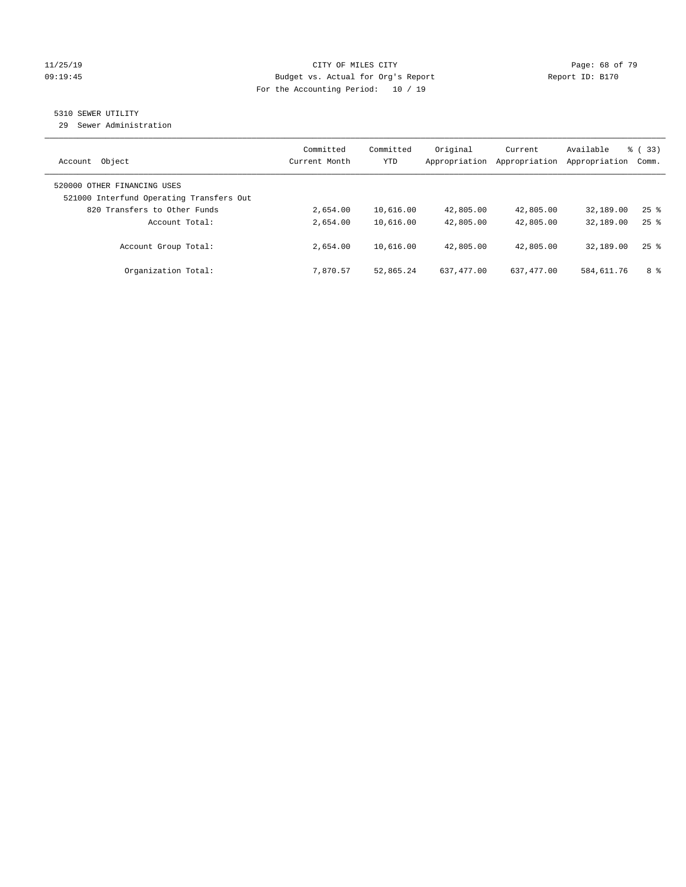#### 11/25/19 Page: 68 of 79 09:19:45 Budget vs. Actual for Org's Report Communication Chemical Report ID: B170 For the Accounting Period: 10 / 19

#### 5310 SEWER UTILITY

29 Sewer Administration

| Object<br>Account                                                       | Committed<br>Current Month | Committed<br><b>YTD</b> | Original<br>Appropriation | Current<br>Appropriation | Available<br>Appropriation | $\frac{6}{6}$ (33)<br>Comm. |
|-------------------------------------------------------------------------|----------------------------|-------------------------|---------------------------|--------------------------|----------------------------|-----------------------------|
| 520000 OTHER FINANCING USES<br>521000 Interfund Operating Transfers Out |                            |                         |                           |                          |                            |                             |
| 820 Transfers to Other Funds                                            | 2,654.00                   | 10,616.00               | 42,805.00                 | 42,805.00                | 32,189.00                  | $25$ $\frac{6}{5}$          |
| Account Total:                                                          | 2,654.00                   | 10,616.00               | 42,805.00                 | 42,805.00                | 32,189.00                  | $25$ $\frac{6}{5}$          |
| Account Group Total:                                                    | 2,654.00                   | 10,616.00               | 42,805.00                 | 42,805.00                | 32,189.00                  | $25$ $%$                    |
| Organization Total:                                                     | 7.870.57                   | 52,865.24               | 637, 477, 00              | 637, 477, 00             | 584,611.76                 | 8 %                         |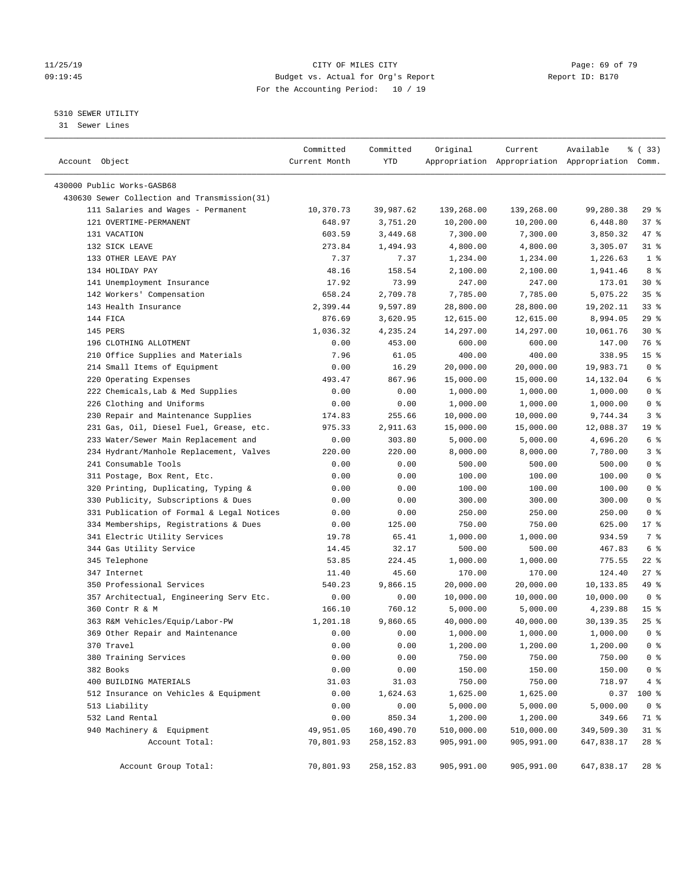#### 11/25/19 Page: 69 of 79 09:19:45 Budget vs. Actual for Org's Report Communication of Report ID: B170 For the Accounting Period: 10 / 19

————————————————————————————————————————————————————————————————————————————————————————————————————————————————————————————————————

#### 5310 SEWER UTILITY

31 Sewer Lines

| Account Object                               | Committed<br>Current Month | Committed<br>YTD     | Original   | Current               | Available<br>Appropriation Appropriation Appropriation Comm. | % (33)          |
|----------------------------------------------|----------------------------|----------------------|------------|-----------------------|--------------------------------------------------------------|-----------------|
| 430000 Public Works-GASB68                   |                            |                      |            |                       |                                                              |                 |
| 430630 Sewer Collection and Transmission(31) |                            |                      |            |                       |                                                              |                 |
| 111 Salaries and Wages - Permanent           | 10,370.73                  | 39,987.62            | 139,268.00 | 139,268.00            | 99,280.38                                                    | 29%             |
| 121 OVERTIME-PERMANENT                       | 648.97                     | 3,751.20             |            | 10,200.00             |                                                              | 37%             |
| 131 VACATION                                 |                            |                      | 10,200.00  |                       | 6,448.80                                                     | 47 %            |
| 132 SICK LEAVE                               | 603.59                     | 3,449.68             | 7,300.00   | 7,300.00              | 3,850.32                                                     | $31$ %          |
|                                              | 273.84<br>7.37             | 1,494.93<br>7.37     | 4,800.00   | 4,800.00              | 3,305.07                                                     | 1 <sup>°</sup>  |
| 133 OTHER LEAVE PAY                          |                            |                      | 1,234.00   | 1,234.00              | 1,226.63                                                     | 8 %             |
| 134 HOLIDAY PAY                              | 48.16<br>17.92             | 158.54<br>73.99      | 2,100.00   | 2,100.00              | 1,941.46<br>173.01                                           | $30*$           |
| 141 Unemployment Insurance                   |                            |                      | 247.00     | 247.00                |                                                              | 35%             |
| 142 Workers' Compensation                    | 658.24<br>2,399.44         | 2,709.78<br>9,597.89 | 7,785.00   | 7,785.00<br>28,800.00 | 5,075.22                                                     | $33$ $%$        |
| 143 Health Insurance                         |                            |                      | 28,800.00  |                       | 19,202.11                                                    |                 |
| 144 FICA                                     | 876.69                     | 3,620.95             | 12,615.00  | 12,615.00             | 8,994.05                                                     | 29%             |
| 145 PERS                                     | 1,036.32                   | 4,235.24             | 14,297.00  | 14,297.00             | 10,061.76                                                    | $30*$           |
| 196 CLOTHING ALLOTMENT                       | 0.00                       | 453.00               | 600.00     | 600.00                | 147.00                                                       | 76 %            |
| 210 Office Supplies and Materials            | 7.96                       | 61.05                | 400.00     | 400.00                | 338.95                                                       | 15 <sup>°</sup> |
| 214 Small Items of Equipment                 | 0.00                       | 16.29                | 20,000.00  | 20,000.00             | 19,983.71                                                    | 0 <sup>8</sup>  |
| 220 Operating Expenses                       | 493.47                     | 867.96               | 15,000.00  | 15,000.00             | 14, 132.04                                                   | 6 <sup>°</sup>  |
| 222 Chemicals, Lab & Med Supplies            | 0.00                       | 0.00                 | 1,000.00   | 1,000.00              | 1,000.00                                                     | 0 <sup>8</sup>  |
| 226 Clothing and Uniforms                    | 0.00                       | 0.00                 | 1,000.00   | 1,000.00              | 1,000.00                                                     | 0 <sup>8</sup>  |
| 230 Repair and Maintenance Supplies          | 174.83                     | 255.66               | 10,000.00  | 10,000.00             | 9,744.34                                                     | 3%              |
| 231 Gas, Oil, Diesel Fuel, Grease, etc.      | 975.33                     | 2,911.63             | 15,000.00  | 15,000.00             | 12,088.37                                                    | 19 <sup>°</sup> |
| 233 Water/Sewer Main Replacement and         | 0.00                       | 303.80               | 5,000.00   | 5,000.00              | 4,696.20                                                     | $6\degree$      |
| 234 Hydrant/Manhole Replacement, Valves      | 220.00                     | 220.00               | 8,000.00   | 8,000.00              | 7,780.00                                                     | 3%              |
| 241 Consumable Tools                         | 0.00                       | 0.00                 | 500.00     | 500.00                | 500.00                                                       | 0 <sup>8</sup>  |
| 311 Postage, Box Rent, Etc.                  | 0.00                       | 0.00                 | 100.00     | 100.00                | 100.00                                                       | 0 <sup>8</sup>  |
| 320 Printing, Duplicating, Typing &          | 0.00                       | 0.00                 | 100.00     | 100.00                | 100.00                                                       | 0 <sup>8</sup>  |
| 330 Publicity, Subscriptions & Dues          | 0.00                       | 0.00                 | 300.00     | 300.00                | 300.00                                                       | 0 <sup>8</sup>  |
| 331 Publication of Formal & Legal Notices    | 0.00                       | 0.00                 | 250.00     | 250.00                | 250.00                                                       | 0 <sup>8</sup>  |
| 334 Memberships, Registrations & Dues        | 0.00                       | 125.00               | 750.00     | 750.00                | 625.00                                                       | $17$ %          |
| 341 Electric Utility Services                | 19.78                      | 65.41                | 1,000.00   | 1,000.00              | 934.59                                                       | 7 %             |
| 344 Gas Utility Service                      | 14.45                      | 32.17                | 500.00     | 500.00                | 467.83                                                       | 6 <sup>°</sup>  |
| 345 Telephone                                | 53.85                      | 224.45               | 1,000.00   | 1,000.00              | 775.55                                                       | $22$ %          |
| 347 Internet                                 | 11.40                      | 45.60                | 170.00     | 170.00                | 124.40                                                       | 27%             |
| 350 Professional Services                    | 540.23                     | 9,866.15             | 20,000.00  | 20,000.00             | 10,133.85                                                    | 49 %            |
| 357 Architectual, Engineering Serv Etc.      | 0.00                       | 0.00                 | 10,000.00  | 10,000.00             | 10,000.00                                                    | 0 <sup>8</sup>  |
| 360 Contr R & M                              | 166.10                     | 760.12               | 5,000.00   | 5,000.00              | 4,239.88                                                     | 15 <sup>°</sup> |
| 363 R&M Vehicles/Equip/Labor-PW              | 1,201.18                   | 9,860.65             | 40,000.00  | 40,000.00             | 30,139.35                                                    | $25$ %          |
| 369 Other Repair and Maintenance             | 0.00                       | 0.00                 | 1,000.00   | 1,000.00              | 1,000.00                                                     | 0 <sup>8</sup>  |
| 370 Travel                                   | 0.00                       | 0.00                 | 1,200.00   | 1,200.00              | 1,200.00                                                     | 0 <sup>8</sup>  |
| 380 Training Services                        | 0.00                       | 0.00                 | 750.00     | 750.00                | 750.00                                                       | 0 <sup>8</sup>  |
| 382 Books                                    | 0.00                       | 0.00                 | 150.00     | 150.00                | 150.00                                                       | 0 <sup>°</sup>  |
| 400 BUILDING MATERIALS                       | 31.03                      | 31.03                | 750.00     | 750.00                | 718.97                                                       | 4%              |
| 512 Insurance on Vehicles & Equipment        | 0.00                       | 1,624.63             | 1,625.00   | 1,625.00              | 0.37                                                         | 100 %           |
| 513 Liability                                | 0.00                       | 0.00                 | 5,000.00   | 5,000.00              | 5,000.00                                                     | 0 <sub>8</sub>  |
| 532 Land Rental                              | 0.00                       | 850.34               | 1,200.00   | 1,200.00              | 349.66                                                       | 71 %            |
| 940 Machinery & Equipment                    | 49,951.05                  | 160,490.70           | 510,000.00 | 510,000.00            | 349,509.30                                                   | 31 %            |
| Account Total:                               | 70,801.93                  | 258,152.83           | 905,991.00 | 905,991.00            | 647,838.17                                                   | 28 %            |
| Account Group Total:                         | 70,801.93                  | 258,152.83           | 905,991.00 | 905,991.00            | 647,838.17                                                   | $28$ %          |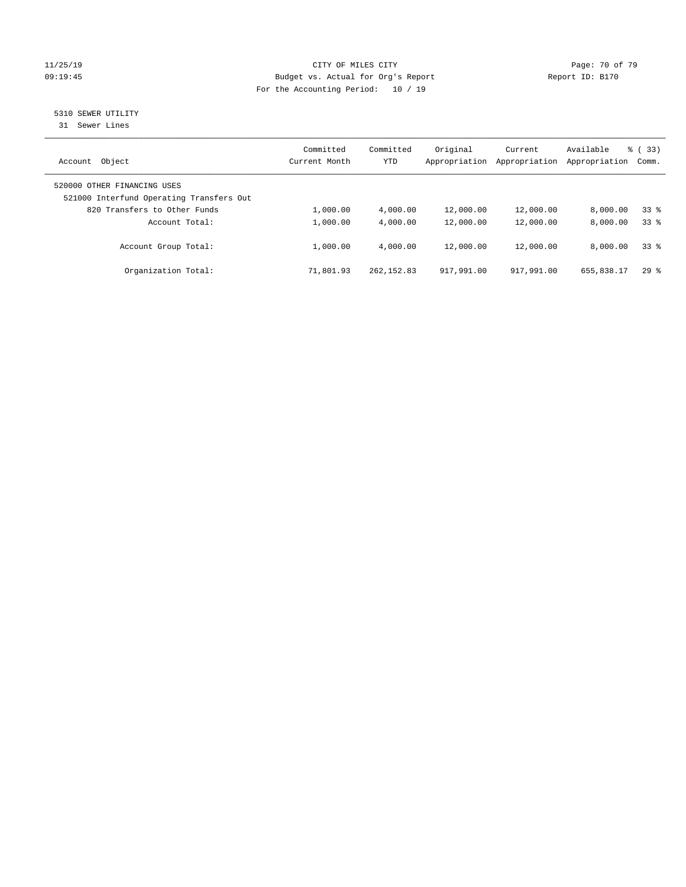#### 11/25/19 Page: 70 of 79 09:19:45 Budget vs. Actual for Org's Report Report ID: B170 For the Accounting Period: 10 / 19

# 5310 SEWER UTILITY

31 Sewer Lines

| Object<br>Account                                                       | Committed<br>Current Month | Committed<br>YTD | Original<br>Appropriation | Current<br>Appropriation | Available<br>Appropriation | $\frac{6}{6}$ (33)<br>Comm. |
|-------------------------------------------------------------------------|----------------------------|------------------|---------------------------|--------------------------|----------------------------|-----------------------------|
| 520000 OTHER FINANCING USES<br>521000 Interfund Operating Transfers Out |                            |                  |                           |                          |                            |                             |
| 820 Transfers to Other Funds                                            | 1,000.00                   | 4,000.00         | 12,000.00                 | 12,000.00                | 8.000.00                   | 338                         |
| Account Total:                                                          | 1,000.00                   | 4,000.00         | 12,000.00                 | 12,000.00                | 8,000.00                   | 338                         |
| Account Group Total:                                                    | 1,000.00                   | 4,000.00         | 12,000.00                 | 12,000.00                | 8,000.00                   | 338                         |
| Organization Total:                                                     | 71,801.93                  | 262, 152.83      | 917,991.00                | 917,991.00               | 655,838.17                 | 298                         |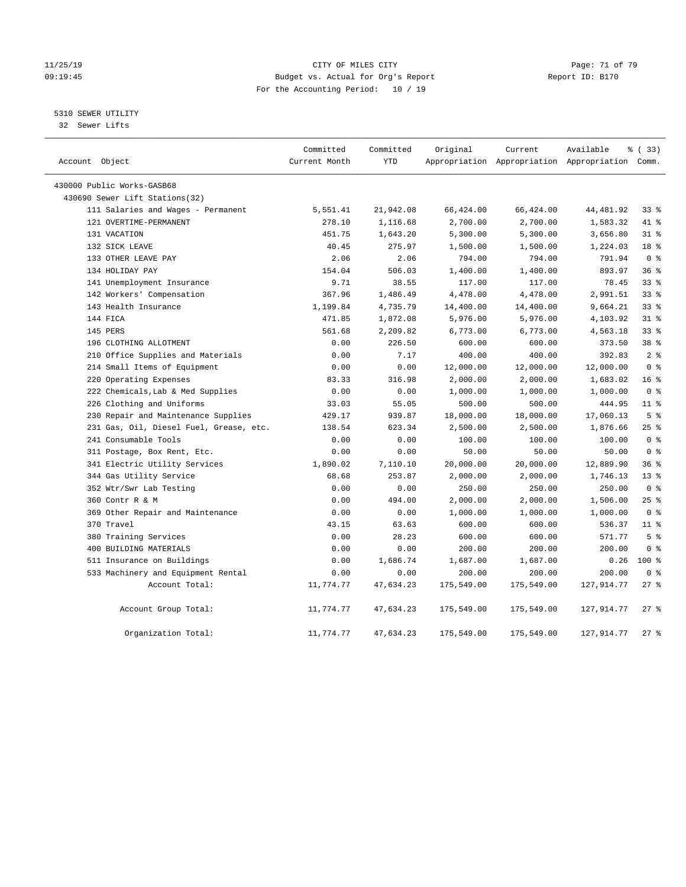#### 11/25/19 Page: 71 of 79 CITY OF MILES CITY CHANGES OF THE PAGE: 71 of 79 09:19:45 Budget vs. Actual for Org's Report Changer Report ID: B170 For the Accounting Period: 10 / 19

5310 SEWER UTILITY

32 Sewer Lifts

| Account Object                          | Committed<br>Current Month | Committed<br>YTD | Original   | Current    | Available<br>Appropriation Appropriation Appropriation Comm. | % (33)          |
|-----------------------------------------|----------------------------|------------------|------------|------------|--------------------------------------------------------------|-----------------|
| 430000 Public Works-GASB68              |                            |                  |            |            |                                                              |                 |
| 430690 Sewer Lift Stations(32)          |                            |                  |            |            |                                                              |                 |
| 111 Salaries and Wages - Permanent      | 5,551.41                   | 21,942.08        | 66,424.00  | 66,424.00  | 44,481.92                                                    | 33%             |
| 121 OVERTIME-PERMANENT                  | 278.10                     | 1,116.68         | 2,700.00   | 2,700.00   | 1,583.32                                                     | 41 %            |
| 131 VACATION                            | 451.75                     | 1,643.20         | 5,300.00   | 5,300.00   | 3,656.80                                                     | $31$ %          |
| 132 SICK LEAVE                          | 40.45                      | 275.97           | 1,500.00   | 1,500.00   | 1,224.03                                                     | 18 %            |
| 133 OTHER LEAVE PAY                     | 2.06                       | 2.06             | 794.00     | 794.00     | 791.94                                                       | 0 <sup>8</sup>  |
| 134 HOLIDAY PAY                         | 154.04                     | 506.03           | 1,400.00   | 1,400.00   | 893.97                                                       | 36%             |
| 141 Unemployment Insurance              | 9.71                       | 38.55            | 117.00     | 117.00     | 78.45                                                        | 33%             |
| 142 Workers' Compensation               | 367.96                     | 1,486.49         | 4,478.00   | 4,478.00   | 2,991.51                                                     | $33$ $%$        |
| 143 Health Insurance                    | 1,199.84                   | 4,735.79         | 14,400.00  | 14,400.00  | 9,664.21                                                     | $33$ $%$        |
| 144 FICA                                | 471.85                     | 1,872.08         | 5,976.00   | 5,976.00   | 4,103.92                                                     | $31$ %          |
| 145 PERS                                | 561.68                     | 2,209.82         | 6,773.00   | 6,773.00   | 4,563.18                                                     | $33$ $%$        |
| 196 CLOTHING ALLOTMENT                  | 0.00                       | 226.50           | 600.00     | 600.00     | 373.50                                                       | 38 %            |
| 210 Office Supplies and Materials       | 0.00                       | 7.17             | 400.00     | 400.00     | 392.83                                                       | 2 <sup>8</sup>  |
| 214 Small Items of Equipment            | 0.00                       | 0.00             | 12,000.00  | 12,000.00  | 12,000.00                                                    | 0 <sup>8</sup>  |
| 220 Operating Expenses                  | 83.33                      | 316.98           | 2,000.00   | 2,000.00   | 1,683.02                                                     | 16 <sup>°</sup> |
| 222 Chemicals, Lab & Med Supplies       | 0.00                       | 0.00             | 1,000.00   | 1,000.00   | 1,000.00                                                     | 0 <sup>8</sup>  |
| 226 Clothing and Uniforms               | 33.03                      | 55.05            | 500.00     | 500.00     | 444.95                                                       | $11$ %          |
| 230 Repair and Maintenance Supplies     | 429.17                     | 939.87           | 18,000.00  | 18,000.00  | 17,060.13                                                    | 5 <sup>°</sup>  |
| 231 Gas, Oil, Diesel Fuel, Grease, etc. | 138.54                     | 623.34           | 2,500.00   | 2,500.00   | 1,876.66                                                     | $25$ %          |
| 241 Consumable Tools                    | 0.00                       | 0.00             | 100.00     | 100.00     | 100.00                                                       | 0 <sup>8</sup>  |
| 311 Postage, Box Rent, Etc.             | 0.00                       | 0.00             | 50.00      | 50.00      | 50.00                                                        | 0 <sup>8</sup>  |
| 341 Electric Utility Services           | 1,890.02                   | 7,110.10         | 20,000.00  | 20,000.00  | 12,889.90                                                    | 36%             |
| 344 Gas Utility Service                 | 68.68                      | 253.87           | 2,000.00   | 2,000.00   | 1,746.13                                                     | $13*$           |
| 352 Wtr/Swr Lab Testing                 | 0.00                       | 0.00             | 250.00     | 250.00     | 250.00                                                       | 0 <sup>8</sup>  |
| 360 Contr R & M                         | 0.00                       | 494.00           | 2,000.00   | 2,000.00   | 1,506.00                                                     | 25%             |
| 369 Other Repair and Maintenance        | 0.00                       | 0.00             | 1,000.00   | 1,000.00   | 1,000.00                                                     | 0 <sup>8</sup>  |
| 370 Travel                              | 43.15                      | 63.63            | 600.00     | 600.00     | 536.37                                                       | $11$ %          |
| 380 Training Services                   | 0.00                       | 28.23            | 600.00     | 600.00     | 571.77                                                       | 5 <sup>°</sup>  |
| 400 BUILDING MATERIALS                  | 0.00                       | 0.00             | 200.00     | 200.00     | 200.00                                                       | 0 <sup>8</sup>  |
| 511 Insurance on Buildings              | 0.00                       | 1,686.74         | 1,687.00   | 1,687.00   | 0.26                                                         | $100*$          |
| 533 Machinery and Equipment Rental      | 0.00                       | 0.00             | 200.00     | 200.00     | 200.00                                                       | 0 <sup>8</sup>  |
| Account Total:                          | 11,774.77                  | 47,634.23        | 175,549.00 | 175,549.00 | 127,914.77                                                   | $27$ %          |
| Account Group Total:                    | 11,774.77                  | 47,634.23        | 175,549.00 | 175,549.00 | 127,914.77                                                   | $27$ %          |
| Organization Total:                     | 11,774.77                  | 47,634.23        | 175,549.00 | 175,549.00 | 127,914.77                                                   | $27$ %          |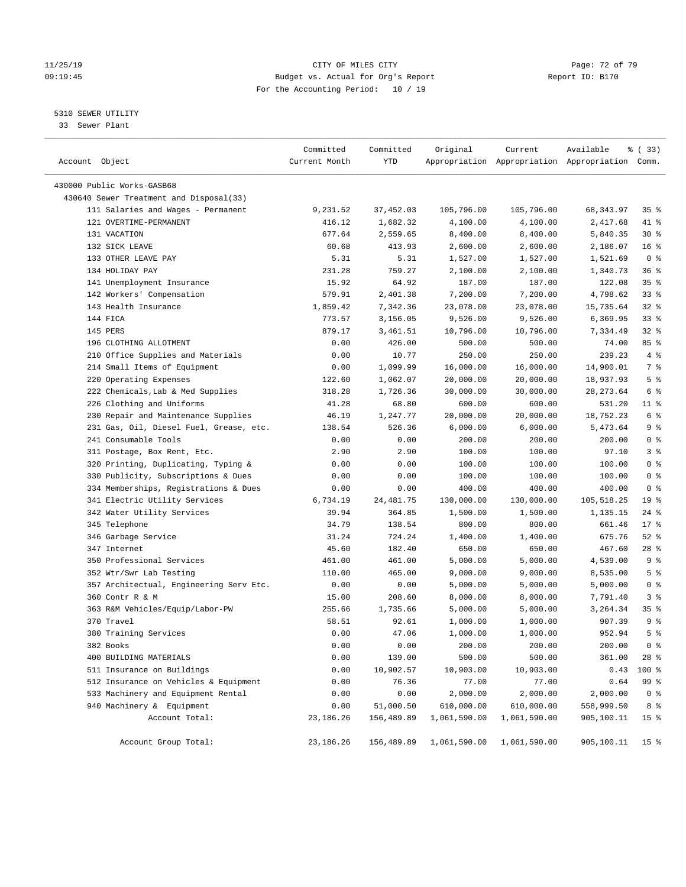#### 11/25/19 Page: 72 of 79 09:19:45 Budget vs. Actual for Org's Report Report ID: B170 For the Accounting Period: 10 / 19

————————————————————————————————————————————————————————————————————————————————————————————————————————————————————————————————————

#### 5310 SEWER UTILITY

33 Sewer Plant

|                                         | Committed     | Committed  | Original     | Current      | Available                                       | % (33)             |
|-----------------------------------------|---------------|------------|--------------|--------------|-------------------------------------------------|--------------------|
| Account Object                          | Current Month | YTD        |              |              | Appropriation Appropriation Appropriation Comm. |                    |
| 430000 Public Works-GASB68              |               |            |              |              |                                                 |                    |
| 430640 Sewer Treatment and Disposal(33) |               |            |              |              |                                                 |                    |
| 111 Salaries and Wages - Permanent      | 9,231.52      | 37,452.03  | 105,796.00   | 105,796.00   | 68,343.97                                       | 35%                |
| 121 OVERTIME-PERMANENT                  | 416.12        | 1,682.32   | 4,100.00     | 4,100.00     | 2,417.68                                        | 41 %               |
| 131 VACATION                            | 677.64        | 2,559.65   | 8,400.00     | 8,400.00     | 5,840.35                                        | $30*$              |
| 132 SICK LEAVE                          | 60.68         | 413.93     | 2,600.00     | 2,600.00     | 2,186.07                                        | 16 <sup>°</sup>    |
| 133 OTHER LEAVE PAY                     | 5.31          | 5.31       | 1,527.00     | 1,527.00     | 1,521.69                                        | 0 <sup>8</sup>     |
| 134 HOLIDAY PAY                         | 231.28        | 759.27     | 2,100.00     | 2,100.00     | 1,340.73                                        | 36%                |
| 141 Unemployment Insurance              | 15.92         | 64.92      | 187.00       | 187.00       | 122.08                                          | 35%                |
| 142 Workers' Compensation               | 579.91        | 2,401.38   | 7,200.00     | 7,200.00     | 4,798.62                                        | 33%                |
| 143 Health Insurance                    | 1,859.42      | 7,342.36   | 23,078.00    | 23,078.00    | 15,735.64                                       | $32$ $%$           |
| 144 FICA                                | 773.57        | 3,156.05   | 9,526.00     | 9,526.00     | 6,369.95                                        | 33%                |
| 145 PERS                                | 879.17        | 3,461.51   | 10,796.00    | 10,796.00    | 7,334.49                                        | $32$ $%$           |
| 196 CLOTHING ALLOTMENT                  | 0.00          | 426.00     | 500.00       | 500.00       | 74.00                                           | 85 %               |
| 210 Office Supplies and Materials       | 0.00          | 10.77      | 250.00       | 250.00       | 239.23                                          | 4%                 |
| 214 Small Items of Equipment            | 0.00          | 1,099.99   | 16,000.00    | 16,000.00    | 14,900.01                                       | 7 %                |
| 220 Operating Expenses                  | 122.60        | 1,062.07   | 20,000.00    | 20,000.00    | 18,937.93                                       | 5 <sup>°</sup>     |
| 222 Chemicals, Lab & Med Supplies       | 318.28        | 1,726.36   | 30,000.00    | 30,000.00    | 28, 273.64                                      | 6 %                |
| 226 Clothing and Uniforms               | 41.28         | 68.80      | 600.00       | 600.00       | 531.20                                          | $11$ %             |
| 230 Repair and Maintenance Supplies     | 46.19         | 1,247.77   | 20,000.00    | 20,000.00    | 18,752.23                                       | $6\degree$         |
| 231 Gas, Oil, Diesel Fuel, Grease, etc. | 138.54        | 526.36     | 6,000.00     | 6,000.00     | 5,473.64                                        | 9 <sup>°</sup>     |
| 241 Consumable Tools                    | 0.00          | 0.00       | 200.00       | 200.00       | 200.00                                          | 0 <sup>8</sup>     |
| 311 Postage, Box Rent, Etc.             | 2.90          | 2.90       | 100.00       | 100.00       | 97.10                                           | 3%                 |
| 320 Printing, Duplicating, Typing &     | 0.00          | 0.00       | 100.00       | 100.00       | 100.00                                          | 0 <sup>8</sup>     |
| 330 Publicity, Subscriptions & Dues     | 0.00          | 0.00       | 100.00       | 100.00       | 100.00                                          | 0 <sup>8</sup>     |
| 334 Memberships, Registrations & Dues   | 0.00          | 0.00       | 400.00       | 400.00       | 400.00                                          | 0 <sup>8</sup>     |
| 341 Electric Utility Services           | 6,734.19      | 24,481.75  | 130,000.00   | 130,000.00   | 105,518.25                                      | 19 <sup>°</sup>    |
| 342 Water Utility Services              | 39.94         | 364.85     | 1,500.00     | 1,500.00     | 1,135.15                                        | $24$ %             |
| 345 Telephone                           | 34.79         | 138.54     | 800.00       | 800.00       | 661.46                                          | $17*$              |
| 346 Garbage Service                     | 31.24         | 724.24     | 1,400.00     | 1,400.00     | 675.76                                          | $52$ %             |
| 347 Internet                            | 45.60         | 182.40     | 650.00       | 650.00       | 467.60                                          | 28 %               |
| 350 Professional Services               | 461.00        | 461.00     | 5,000.00     | 5,000.00     | 4,539.00                                        | 9 <sup>°</sup>     |
| 352 Wtr/Swr Lab Testing                 | 110.00        | 465.00     | 9,000.00     | 9,000.00     | 8,535.00                                        | 5 <sup>°</sup>     |
| 357 Architectual, Engineering Serv Etc. | 0.00          | 0.00       | 5,000.00     | 5,000.00     | 5,000.00                                        | 0 <sup>8</sup>     |
| 360 Contr R & M                         | 15.00         | 208.60     | 8,000.00     | 8,000.00     | 7,791.40                                        | 3%                 |
| 363 R&M Vehicles/Equip/Labor-PW         | 255.66        | 1,735.66   | 5,000.00     | 5,000.00     | 3,264.34                                        | $35$ $\frac{6}{3}$ |
| 370 Travel                              | 58.51         | 92.61      | 1,000.00     | 1,000.00     | 907.39                                          | 9 <sup>°</sup>     |
| 380 Training Services                   | 0.00          | 47.06      | 1,000.00     | 1,000.00     | 952.94                                          | 5 <sup>°</sup>     |
| 382 Books                               | 0.00          | 0.00       | 200.00       | 200.00       | 200.00                                          | 0 <sup>8</sup>     |
| 400 BUILDING MATERIALS                  | 0.00          | 139.00     | 500.00       | 500.00       | 361.00                                          | $28$ %             |
| 511 Insurance on Buildings              | 0.00          | 10,902.57  | 10,903.00    | 10,903.00    | 0.43                                            | 100 %              |
| 512 Insurance on Vehicles & Equipment   | 0.00          | 76.36      | 77.00        | 77.00        | 0.64                                            | 99 %               |
| 533 Machinery and Equipment Rental      | 0.00          | 0.00       | 2,000.00     | 2,000.00     | 2,000.00                                        | 0 <sup>8</sup>     |
| 940 Machinery & Equipment               | 0.00          | 51,000.50  | 610,000.00   | 610,000.00   | 558,999.50                                      | 8 %                |
| Account Total:                          | 23, 186. 26   | 156,489.89 | 1,061,590.00 | 1,061,590.00 | 905,100.11                                      | 15 <sup>°</sup>    |
|                                         |               |            |              |              |                                                 |                    |
| Account Group Total:                    | 23, 186. 26   | 156,489.89 | 1,061,590.00 | 1,061,590.00 | 905,100.11                                      | 15 <sup>8</sup>    |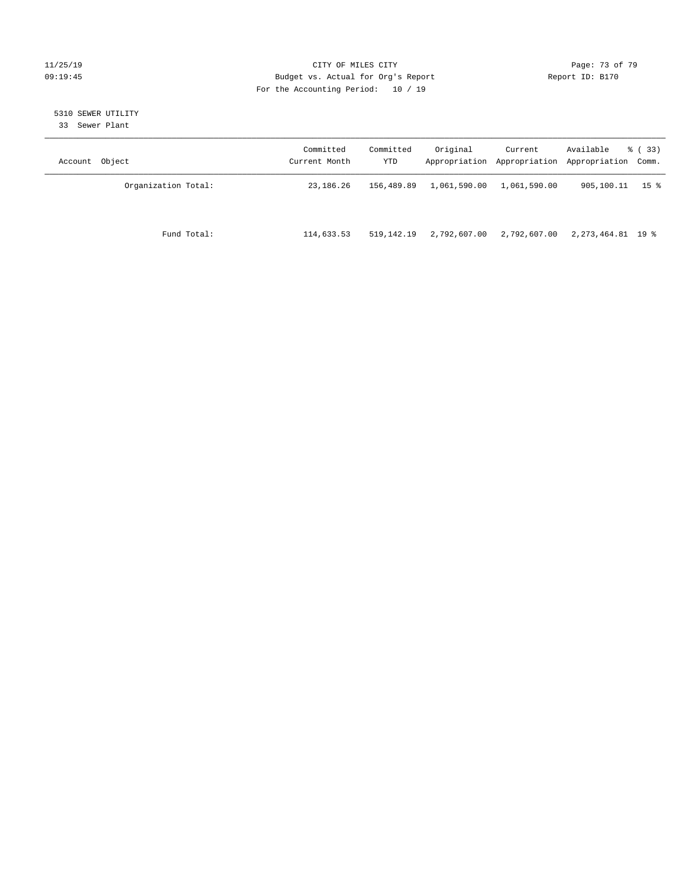#### 11/25/19 Page: 73 of 79 09:19:45 Budget vs. Actual for Org's Report Communication Report ID: B170 For the Accounting Period: 10 / 19

# 5310 SEWER UTILITY

33 Sewer Plant

| Account Object      | Committed<br>Current Month | Committed<br>YTD | Original     | Current      | Available<br>Appropriation Appropriation Appropriation Comm. | % ( 33 ) |
|---------------------|----------------------------|------------------|--------------|--------------|--------------------------------------------------------------|----------|
| Organization Total: | 23,186.26                  | 156,489.89       | 1,061,590.00 | 1,061,590.00 | 905,100.11                                                   | 15 %     |
| Fund Total:         | 114,633.53                 | 519,142.19       | 2,792,607.00 | 2,792,607.00 | 2, 273, 464.81 19 %                                          |          |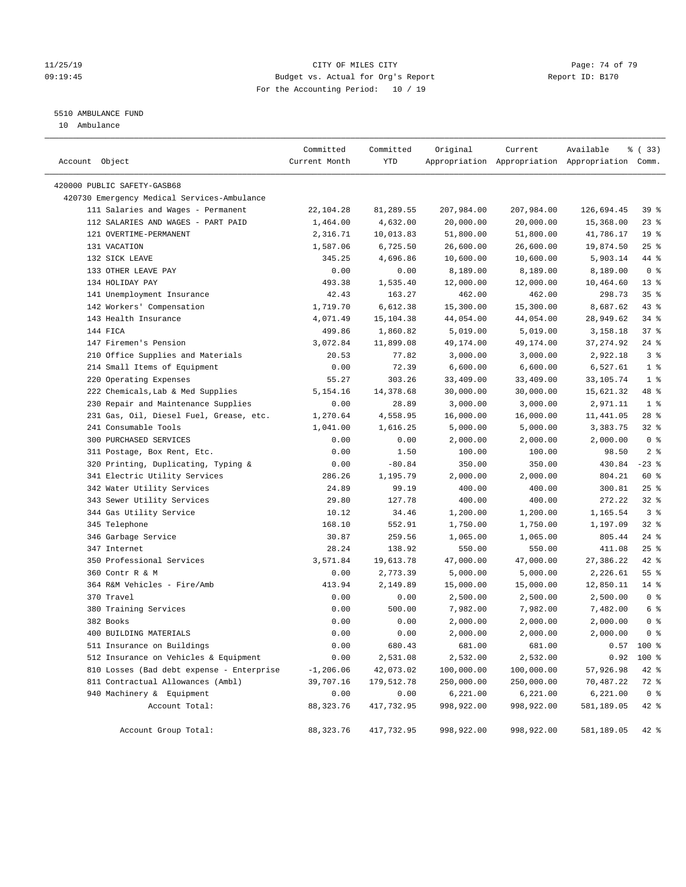#### 11/25/19 Page: 74 of 79 09:19:45 Budget vs. Actual for Org's Report Changer Report ID: B170 For the Accounting Period: 10 / 19

# 5510 AMBULANCE FUND

10 Ambulance

| Account Object                              | Committed<br>Current Month | Committed<br>YTD | Original   | Current    | Available<br>Appropriation Appropriation Appropriation Comm. | % (33)          |
|---------------------------------------------|----------------------------|------------------|------------|------------|--------------------------------------------------------------|-----------------|
| 420000 PUBLIC SAFETY-GASB68                 |                            |                  |            |            |                                                              |                 |
| 420730 Emergency Medical Services-Ambulance |                            |                  |            |            |                                                              |                 |
| 111 Salaries and Wages - Permanent          | 22,104.28                  | 81,289.55        | 207,984.00 | 207,984.00 | 126,694.45                                                   | 39%             |
| 112 SALARIES AND WAGES - PART PAID          | 1,464.00                   | 4,632.00         | 20,000.00  | 20,000.00  | 15,368.00                                                    | $23$ $%$        |
| 121 OVERTIME-PERMANENT                      | 2,316.71                   | 10,013.83        | 51,800.00  | 51,800.00  | 41,786.17                                                    | 19 <sup>°</sup> |
| 131 VACATION                                | 1,587.06                   | 6,725.50         | 26,600.00  | 26,600.00  | 19,874.50                                                    | $25$ %          |
| 132 SICK LEAVE                              | 345.25                     | 4,696.86         | 10,600.00  | 10,600.00  | 5,903.14                                                     | 44 %            |
| 133 OTHER LEAVE PAY                         | 0.00                       | 0.00             | 8,189.00   | 8,189.00   | 8,189.00                                                     | 0 <sup>8</sup>  |
| 134 HOLIDAY PAY                             | 493.38                     | 1,535.40         | 12,000.00  | 12,000.00  | 10,464.60                                                    | $13*$           |
| 141 Unemployment Insurance                  | 42.43                      | 163.27           | 462.00     | 462.00     | 298.73                                                       | 35%             |
| 142 Workers' Compensation                   | 1,719.70                   | 6,612.38         | 15,300.00  | 15,300.00  | 8,687.62                                                     | $43$ %          |
| 143 Health Insurance                        | 4,071.49                   | 15,104.38        | 44,054.00  | 44,054.00  | 28,949.62                                                    | 34%             |
| 144 FICA                                    | 499.86                     | 1,860.82         | 5,019.00   | 5,019.00   | 3,158.18                                                     | 37%             |
| 147 Firemen's Pension                       | 3,072.84                   | 11,899.08        | 49,174.00  | 49,174.00  | 37, 274.92                                                   | $24$ %          |
| 210 Office Supplies and Materials           | 20.53                      | 77.82            | 3,000.00   | 3,000.00   | 2,922.18                                                     | 3 <sup>8</sup>  |
| 214 Small Items of Equipment                | 0.00                       | 72.39            | 6,600.00   | 6,600.00   | 6,527.61                                                     | 1 <sup>°</sup>  |
| 220 Operating Expenses                      | 55.27                      | 303.26           | 33,409.00  | 33,409.00  | 33,105.74                                                    | 1 <sup>°</sup>  |
| 222 Chemicals, Lab & Med Supplies           | 5,154.16                   | 14,378.68        | 30,000.00  | 30,000.00  | 15,621.32                                                    | 48 %            |
| 230 Repair and Maintenance Supplies         | 0.00                       | 28.89            | 3,000.00   | 3,000.00   | 2,971.11                                                     | 1 <sup>°</sup>  |
| 231 Gas, Oil, Diesel Fuel, Grease, etc.     | 1,270.64                   | 4,558.95         | 16,000.00  | 16,000.00  | 11,441.05                                                    | $28$ %          |
| 241 Consumable Tools                        | 1,041.00                   | 1,616.25         | 5,000.00   | 5,000.00   | 3,383.75                                                     | $32$ $%$        |
| 300 PURCHASED SERVICES                      | 0.00                       | 0.00             | 2,000.00   | 2,000.00   | 2,000.00                                                     | 0 <sup>8</sup>  |
| 311 Postage, Box Rent, Etc.                 | 0.00                       | 1.50             | 100.00     | 100.00     | 98.50                                                        | 2 <sub>8</sub>  |
| 320 Printing, Duplicating, Typing &         | 0.00                       | $-80.84$         | 350.00     | 350.00     | 430.84                                                       | $-23$ %         |
| 341 Electric Utility Services               | 286.26                     | 1,195.79         | 2,000.00   | 2,000.00   | 804.21                                                       | 60 %            |
| 342 Water Utility Services                  | 24.89                      | 99.19            | 400.00     | 400.00     | 300.81                                                       | $25$ %          |
| 343 Sewer Utility Services                  | 29.80                      | 127.78           | 400.00     | 400.00     | 272.22                                                       | 32%             |
| 344 Gas Utility Service                     | 10.12                      | 34.46            | 1,200.00   | 1,200.00   | 1,165.54                                                     | 3 <sup>8</sup>  |
| 345 Telephone                               | 168.10                     | 552.91           | 1,750.00   | 1,750.00   | 1,197.09                                                     | 32%             |
| 346 Garbage Service                         | 30.87                      | 259.56           | 1,065.00   | 1,065.00   | 805.44                                                       | $24$ %          |
| 347 Internet                                | 28.24                      | 138.92           | 550.00     | 550.00     | 411.08                                                       | $25$ %          |
| 350 Professional Services                   | 3,571.84                   | 19,613.78        | 47,000.00  | 47,000.00  | 27,386.22                                                    | 42 %            |
| 360 Contr R & M                             | 0.00                       | 2,773.39         | 5,000.00   | 5,000.00   | 2,226.61                                                     | 55%             |
| 364 R&M Vehicles - Fire/Amb                 | 413.94                     | 2,149.89         | 15,000.00  | 15,000.00  | 12,850.11                                                    | $14*$           |
| 370 Travel                                  | 0.00                       | 0.00             | 2,500.00   | 2,500.00   | 2,500.00                                                     | 0 <sup>8</sup>  |
| 380 Training Services                       | 0.00                       | 500.00           | 7,982.00   | 7,982.00   | 7,482.00                                                     | 6 <sup>8</sup>  |
| 382 Books                                   | 0.00                       | 0.00             | 2,000.00   | 2,000.00   | 2,000.00                                                     | 0 <sup>8</sup>  |
| 400 BUILDING MATERIALS                      | 0.00                       | 0.00             | 2,000.00   | 2,000.00   | 2,000.00                                                     | 0 <sup>8</sup>  |
| 511 Insurance on Buildings                  | 0.00                       | 680.43           | 681.00     | 681.00     | 0.57                                                         | 100 %           |
| 512 Insurance on Vehicles & Equipment       | 0.00                       | 2,531.08         | 2,532.00   | 2,532.00   | 0.92                                                         | 100 %           |
| 810 Losses (Bad debt expense - Enterprise   | $-1, 206.06$               | 42,073.02        | 100,000.00 | 100,000.00 | 57,926.98                                                    | 42 %            |
| 811 Contractual Allowances (Ambl)           | 39,707.16                  | 179,512.78       | 250,000.00 | 250,000.00 | 70,487.22                                                    | 72 %            |
| 940 Machinery & Equipment                   | 0.00                       | 0.00             | 6,221.00   | 6,221.00   | 6,221.00                                                     | 0 <sup>8</sup>  |
| Account Total:                              | 88, 323. 76                | 417,732.95       | 998,922.00 | 998,922.00 | 581,189.05                                                   | 42 %            |
|                                             |                            |                  |            |            |                                                              |                 |
| Account Group Total:                        | 88, 323. 76                | 417,732.95       | 998,922.00 | 998,922.00 | 581,189.05                                                   | $42$ %          |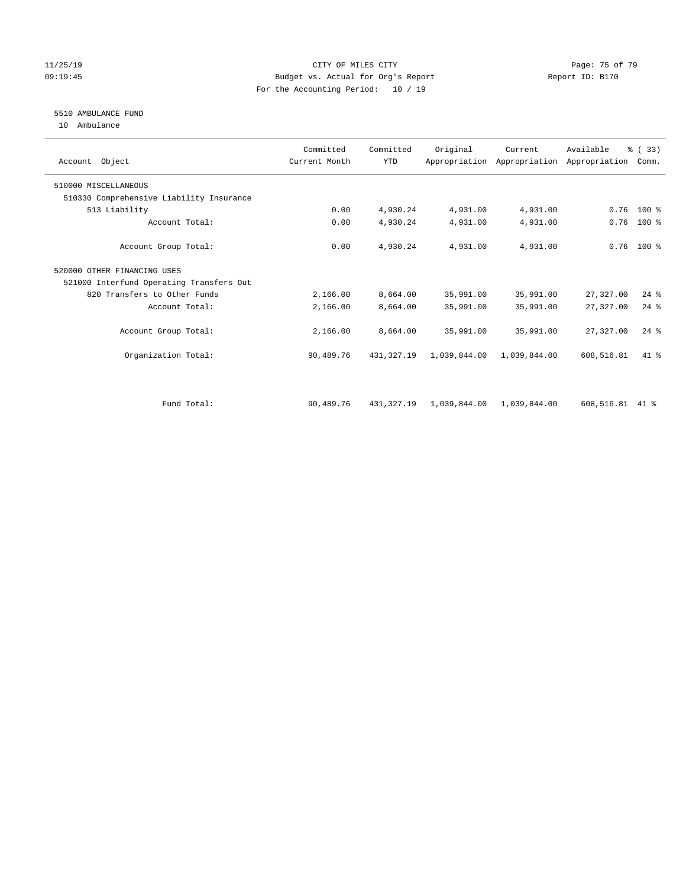#### 11/25/19 Page: 75 of 79 09:19:45 Budget vs. Actual for Org's Report Communication of Report ID: B170 For the Accounting Period: 10 / 19

# 5510 AMBULANCE FUND

10 Ambulance

| Account Object                           | Committed<br>Current Month | Committed<br><b>YTD</b> | Original     | Current      | Available<br>Appropriation Appropriation Appropriation | % (33)<br>Comm. |  |
|------------------------------------------|----------------------------|-------------------------|--------------|--------------|--------------------------------------------------------|-----------------|--|
| 510000 MISCELLANEOUS                     |                            |                         |              |              |                                                        |                 |  |
| 510330 Comprehensive Liability Insurance |                            |                         |              |              |                                                        |                 |  |
| 513 Liability                            | 0.00                       | 4,930.24                | 4,931.00     | 4,931.00     | 0.76                                                   | $100*$          |  |
| Account Total:                           | 0.00                       | 4,930.24                | 4,931.00     | 4,931.00     | 0.76                                                   | $100$ %         |  |
| Account Group Total:                     | 0.00                       | 4,930.24                | 4,931.00     | 4,931.00     |                                                        | $0.76$ 100 %    |  |
| 520000 OTHER FINANCING USES              |                            |                         |              |              |                                                        |                 |  |
| 521000 Interfund Operating Transfers Out |                            |                         |              |              |                                                        |                 |  |
| 820 Transfers to Other Funds             | 2,166.00                   | 8,664.00                | 35,991.00    | 35,991.00    | 27,327.00                                              | $24$ %          |  |
| Account Total:                           | 2,166.00                   | 8,664.00                | 35,991.00    | 35,991.00    | 27,327.00                                              | $24$ $%$        |  |
| Account Group Total:                     | 2,166.00                   | 8,664.00                | 35,991.00    | 35,991.00    | 27,327.00                                              | $24$ %          |  |
| Organization Total:                      | 90,489.76                  | 431, 327, 19            | 1,039,844.00 | 1,039,844.00 | 608,516.81                                             | $41*$           |  |
|                                          |                            |                         |              |              |                                                        |                 |  |
| Fund Total:                              | 90,489.76                  | 431,327.19              | 1,039,844.00 | 1,039,844.00 | 608,516.81                                             | $41*$           |  |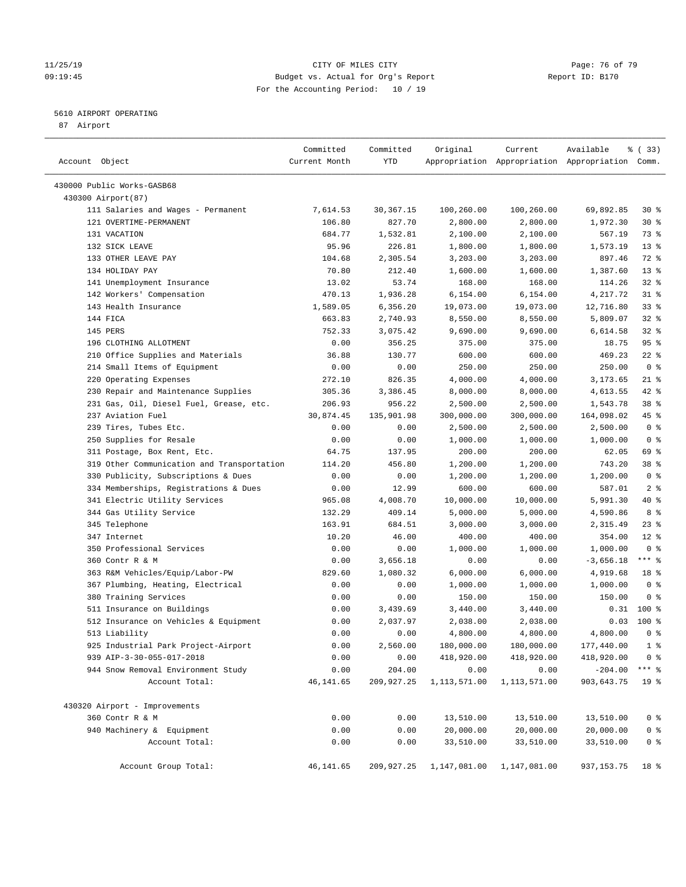#### 11/25/19 Page: 76 of 79 09:19:45 Budget vs. Actual for Org's Report Changer Report ID: B170 For the Accounting Period: 10 / 19

————————————————————————————————————————————————————————————————————————————————————————————————————————————————————————————————————

## 5610 AIRPORT OPERATING

87 Airport

|                                            | Committed     | Committed  | Original     | Current      | Available                                       | % (33)          |
|--------------------------------------------|---------------|------------|--------------|--------------|-------------------------------------------------|-----------------|
| Account Object                             | Current Month | YTD        |              |              | Appropriation Appropriation Appropriation Comm. |                 |
| 430000 Public Works-GASB68                 |               |            |              |              |                                                 |                 |
| 430300 Airport (87)                        |               |            |              |              |                                                 |                 |
| 111 Salaries and Wages - Permanent         | 7,614.53      | 30,367.15  | 100,260.00   | 100,260.00   | 69,892.85                                       | $30*$           |
| 121 OVERTIME-PERMANENT                     | 106.80        | 827.70     | 2,800.00     | 2,800.00     | 1,972.30                                        | $30*$           |
| 131 VACATION                               | 684.77        | 1,532.81   | 2,100.00     | 2,100.00     | 567.19                                          | 73 %            |
| 132 SICK LEAVE                             | 95.96         | 226.81     | 1,800.00     | 1,800.00     | 1,573.19                                        | $13*$           |
| 133 OTHER LEAVE PAY                        | 104.68        | 2,305.54   | 3,203.00     | 3,203.00     | 897.46                                          | 72 %            |
| 134 HOLIDAY PAY                            | 70.80         | 212.40     | 1,600.00     | 1,600.00     | 1,387.60                                        | $13*$           |
| 141 Unemployment Insurance                 | 13.02         | 53.74      | 168.00       | 168.00       | 114.26                                          | $32$ $%$        |
| 142 Workers' Compensation                  | 470.13        | 1,936.28   | 6,154.00     | 6,154.00     | 4,217.72                                        | $31$ %          |
| 143 Health Insurance                       | 1,589.05      | 6,356.20   | 19,073.00    | 19,073.00    | 12,716.80                                       | $33$ $%$        |
| 144 FICA                                   | 663.83        | 2,740.93   | 8,550.00     | 8,550.00     | 5,809.07                                        | $32$ $%$        |
| 145 PERS                                   | 752.33        | 3,075.42   | 9,690.00     | 9,690.00     | 6,614.58                                        | 32%             |
| 196 CLOTHING ALLOTMENT                     | 0.00          | 356.25     | 375.00       | 375.00       | 18.75                                           | 95%             |
| 210 Office Supplies and Materials          | 36.88         | 130.77     | 600.00       | 600.00       | 469.23                                          | $22$ %          |
| 214 Small Items of Equipment               | 0.00          | 0.00       | 250.00       | 250.00       | 250.00                                          | 0 <sup>8</sup>  |
| 220 Operating Expenses                     | 272.10        | 826.35     | 4,000.00     | 4,000.00     | 3,173.65                                        | $21$ %          |
| 230 Repair and Maintenance Supplies        | 305.36        | 3,386.45   | 8,000.00     | 8,000.00     | 4,613.55                                        | 42 %            |
| 231 Gas, Oil, Diesel Fuel, Grease, etc.    | 206.93        | 956.22     | 2,500.00     | 2,500.00     | 1,543.78                                        | 38 <sup>8</sup> |
| 237 Aviation Fuel                          | 30,874.45     | 135,901.98 | 300,000.00   | 300,000.00   | 164,098.02                                      | 45 %            |
| 239 Tires, Tubes Etc.                      | 0.00          | 0.00       | 2,500.00     | 2,500.00     | 2,500.00                                        | 0 <sup>8</sup>  |
| 250 Supplies for Resale                    | 0.00          | 0.00       | 1,000.00     | 1,000.00     | 1,000.00                                        | 0 <sup>8</sup>  |
| 311 Postage, Box Rent, Etc.                | 64.75         | 137.95     | 200.00       | 200.00       | 62.05                                           | 69 %            |
| 319 Other Communication and Transportation | 114.20        | 456.80     | 1,200.00     | 1,200.00     | 743.20                                          | 38 %            |
| 330 Publicity, Subscriptions & Dues        | 0.00          | 0.00       | 1,200.00     | 1,200.00     | 1,200.00                                        | 0 <sup>8</sup>  |
| 334 Memberships, Registrations & Dues      | 0.00          | 12.99      | 600.00       | 600.00       | 587.01                                          | 2 <sub>8</sub>  |
| 341 Electric Utility Services              | 965.08        | 4,008.70   | 10,000.00    | 10,000.00    | 5,991.30                                        | 40 %            |
| 344 Gas Utility Service                    | 132.29        | 409.14     | 5,000.00     | 5,000.00     | 4,590.86                                        | 8 %             |
| 345 Telephone                              | 163.91        | 684.51     | 3,000.00     | 3,000.00     | 2,315.49                                        | $23$ $%$        |
| 347 Internet                               | 10.20         | 46.00      | 400.00       | 400.00       | 354.00                                          | $12*$           |
| 350 Professional Services                  | 0.00          | 0.00       | 1,000.00     | 1,000.00     | 1,000.00                                        | 0 <sup>8</sup>  |
| 360 Contr R & M                            | 0.00          | 3,656.18   | 0.00         | 0.00         | $-3,656.18$                                     | $***$ $-$       |
| 363 R&M Vehicles/Equip/Labor-PW            | 829.60        | 1,080.32   | 6,000.00     | 6,000.00     | 4,919.68                                        | 18 <sup>°</sup> |
| 367 Plumbing, Heating, Electrical          | 0.00          | 0.00       | 1,000.00     | 1,000.00     | 1,000.00                                        | 0 <sup>8</sup>  |
| 380 Training Services                      | 0.00          | 0.00       | 150.00       | 150.00       | 150.00                                          | 0 <sup>8</sup>  |
| 511 Insurance on Buildings                 | 0.00          | 3,439.69   | 3,440.00     | 3,440.00     | 0.31                                            | 100 %           |
| 512 Insurance on Vehicles & Equipment      | 0.00          | 2,037.97   | 2,038.00     | 2,038.00     | 0.03                                            | $100$ %         |
| 513 Liability                              | 0.00          | 0.00       | 4,800.00     | 4,800.00     | 4,800.00                                        | 0 <sup>8</sup>  |
| 925 Industrial Park Project-Airport        | 0.00          | 2,560.00   | 180,000.00   | 180,000.00   | 177,440.00                                      | 1 <sup>8</sup>  |
| 939 AIP-3-30-055-017-2018                  | 0.00          | 0.00       | 418,920.00   | 418,920.00   | 418,920.00                                      | 0 <sup>8</sup>  |
| 944 Snow Removal Environment Study         | 0.00          | 204.00     | 0.00         | 0.00         | $-204.00$                                       | $***$ $_{8}$    |
| Account Total:                             | 46, 141.65    | 209,927.25 | 1,113,571.00 | 1,113,571.00 | 903,643.75                                      | 19 <sup>°</sup> |
| 430320 Airport - Improvements              |               |            |              |              |                                                 |                 |
| 360 Contr R & M                            | 0.00          | 0.00       | 13,510.00    | 13,510.00    | 13,510.00                                       | 0 <sup>8</sup>  |
| 940 Machinery & Equipment                  | 0.00          | 0.00       | 20,000.00    | 20,000.00    | 20,000.00                                       | 0 <sup>8</sup>  |
| Account Total:                             | 0.00          | 0.00       | 33,510.00    | 33,510.00    | 33,510.00                                       | 0 <sup>8</sup>  |
| Account Group Total:                       | 46,141.65     | 209,927.25 | 1,147,081.00 | 1,147,081.00 | 937, 153.75                                     | 18 %            |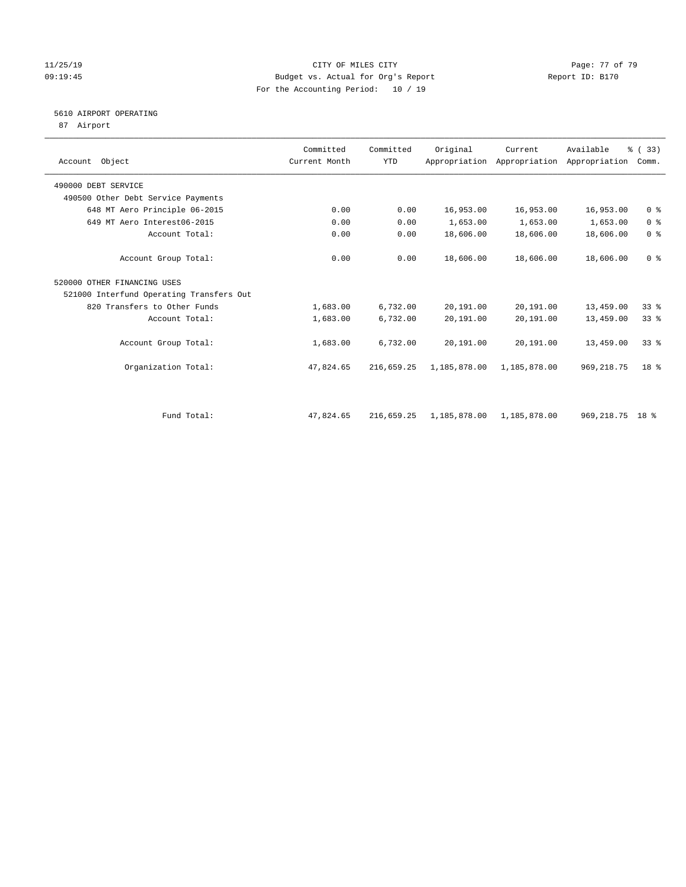### 11/25/19 Page: 77 of 79 09:19:45 Budget vs. Actual for Org's Report Report ID: B170 For the Accounting Period: 10 / 19

## 5610 AIRPORT OPERATING

87 Airport

| Account Object                           | Committed<br>Current Month | Committed<br><b>YTD</b> | Original                  | Current<br>Appropriation Appropriation Appropriation | Available         | % (33)<br>Comm. |
|------------------------------------------|----------------------------|-------------------------|---------------------------|------------------------------------------------------|-------------------|-----------------|
| 490000 DEBT SERVICE                      |                            |                         |                           |                                                      |                   |                 |
| 490500 Other Debt Service Payments       |                            |                         |                           |                                                      |                   |                 |
| 648 MT Aero Principle 06-2015            | 0.00                       | 0.00                    | 16,953.00                 | 16,953.00                                            | 16,953.00         | 0 <sup>8</sup>  |
| 649 MT Aero Interest06-2015              | 0.00                       | 0.00                    | 1,653.00                  | 1,653.00                                             | 1,653.00          | 0 <sup>8</sup>  |
| Account Total:                           | 0.00                       | 0.00                    | 18,606.00                 | 18,606.00                                            | 18,606.00         | 0 <sup>8</sup>  |
| Account Group Total:                     | 0.00                       | 0.00                    | 18,606.00                 | 18,606.00                                            | 18,606.00         | 0 <sup>8</sup>  |
| 520000 OTHER FINANCING USES              |                            |                         |                           |                                                      |                   |                 |
| 521000 Interfund Operating Transfers Out |                            |                         |                           |                                                      |                   |                 |
| 820 Transfers to Other Funds             | 1,683.00                   | 6,732.00                | 20,191.00                 | 20,191.00                                            | 13,459.00         | 33%             |
| Account Total:                           | 1,683.00                   | 6,732.00                | 20,191.00                 | 20,191.00                                            | 13,459.00         | $33*$           |
| Account Group Total:                     | 1,683.00                   | 6,732.00                | 20,191.00                 | 20,191.00                                            | 13,459.00         | 338             |
| Organization Total:                      | 47,824.65                  | 216,659.25              | 1,185,878.00              | 1,185,878.00                                         | 969, 218.75       | 18 <sup>8</sup> |
|                                          |                            |                         |                           |                                                      |                   |                 |
| Fund Total:                              | 47,824.65                  | 216,659.25              | 1,185,878.00 1,185,878.00 |                                                      | 969, 218. 75 18 % |                 |